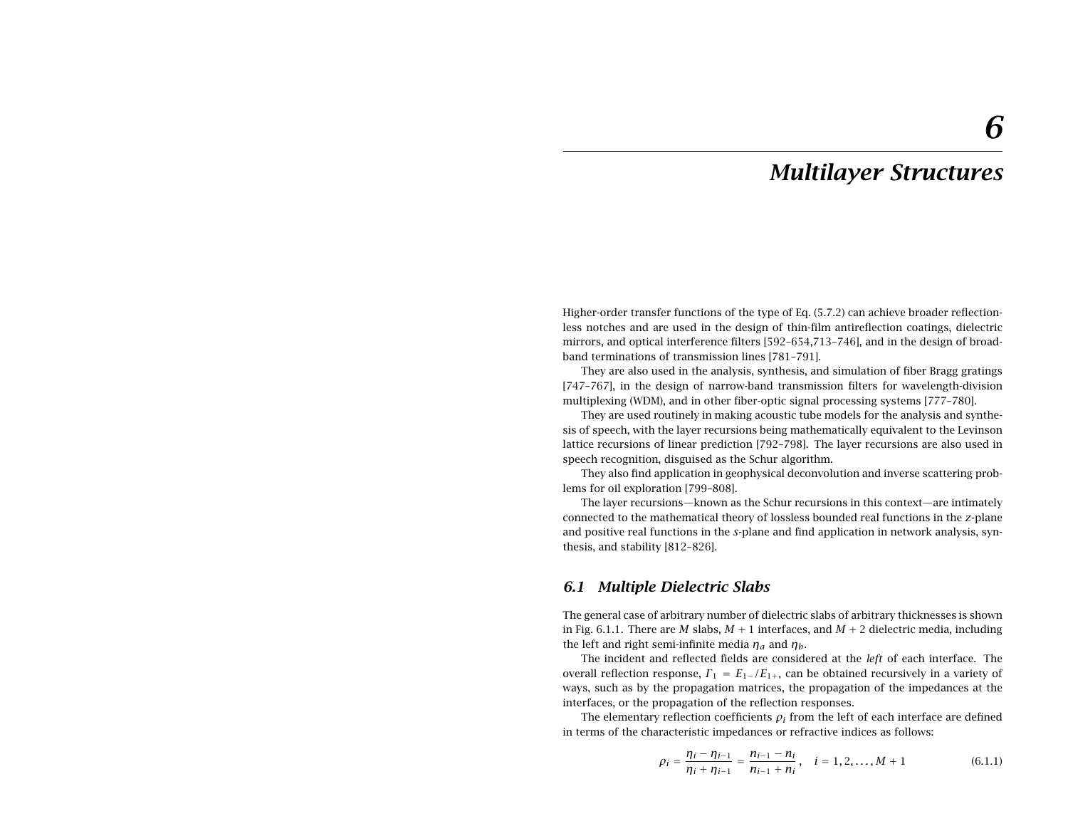Higher-order transfer functions of the type of Eq. (5.7.2) can achieve broader reflectionless notches and are used in the design of thin-film antireflection coatings, dielectric mirrors, and optical interference filters [592–654,713–746], and in the design of broadband terminations of transmission lines [781–791].

They are also used in the analysis, synthesis, and simulation of fiber Bragg gratings [747–767], in the design of narrow-band transmission filters for wavelength-division multiplexing (WDM), and in other fiber-optic signal processing systems [777–780].

They are used routinely in making acoustic tube models for the analysis and synthesis of speech, with the layer recursions being mathematically equivalent to the Levinson lattice recursions of linear prediction [792–798]. The layer recursions are also used in speech recognition, disguised as the Schur algorithm.

They also find application in geophysical deconvolution and inverse scattering problems for oil exploration [799–808].

The layer recursions—known as the Schur recursions in this context—are intimately connected to the mathematical theory of lossless bounded real functions in the <sup>z</sup>-plane and positive real functions in the <sup>s</sup>-plane and find application in network analysis, synthesis, and stability [812–826].

# **6.1 Multiple Dielectric Slabs**

The general case of arbitrary number of dielectric slabs of arbitrary thicknesses is shown in Fig. 6.1.1. There are M slabs,  $M+1$  interfaces, and  $M+2$  dielectric media, including the left and right semi-infinite media  $\eta_a$  and  $\eta_b$ .

The incident and reflected fields are considered at the *left* of each interface. The overall reflection response,  $\varGamma_1 = E_{1-}/E_{1+}$ , can be obtained recursively in a variety of ways, such as by the propagation matrices, the propagation of the impedances at the interfaces, or the propagation of the reflection responses.

The elementary reflection coefficients  $\rho_i$  from the left of each interface are defined in terms of the characteristic impedances or refractive indices as follows:

$$
\rho_i = \frac{\eta_i - \eta_{i-1}}{\eta_i + \eta_{i-1}} = \frac{n_{i-1} - n_i}{n_{i-1} + n_i}, \quad i = 1, 2, ..., M + 1 \tag{6.1.1}
$$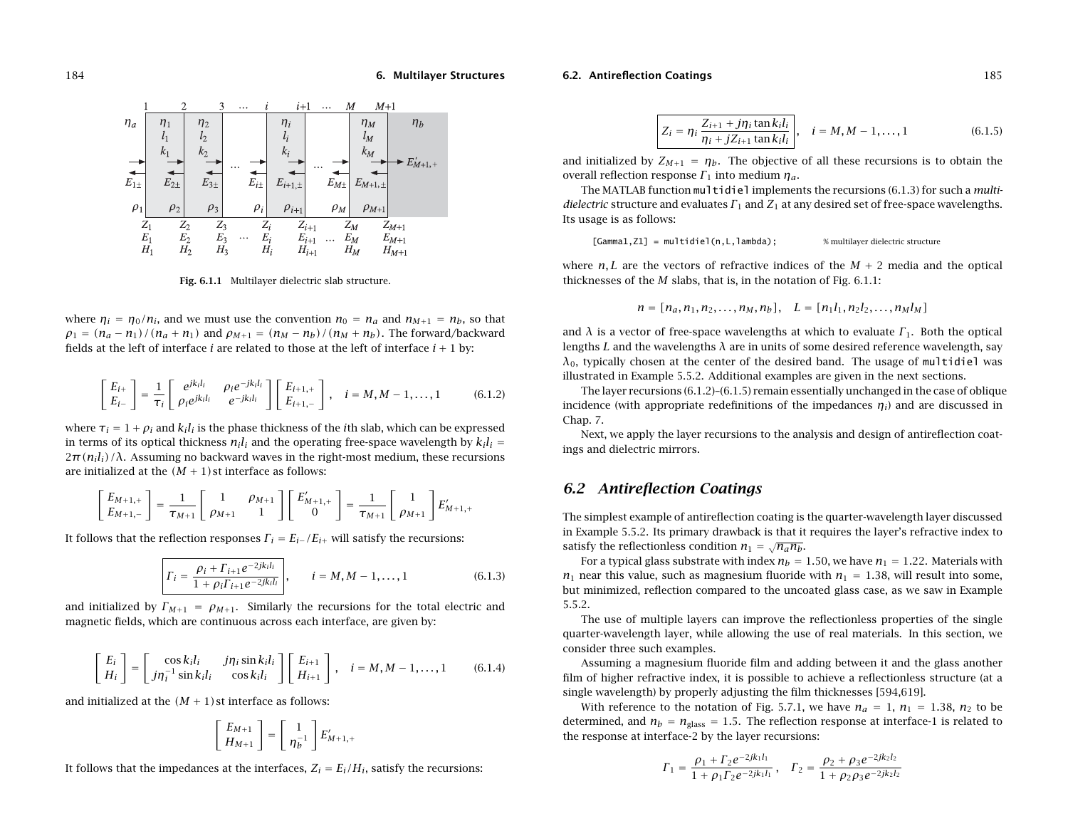

**Fig. 6.1.1** Multilayer dielectric slab structure.

where  $\eta_i = \eta_0/n_i$ , and we must use the convention  $n_0 = n_a$  and  $n_{M+1} = n_b$ , so that  $\rho_1 = (n_a - n_1)/(n_a + n_1)$  and  $\rho_{M+1} = (n_M - n_b)/(n_M + n_b)$ . The forward/backward fields at the left of interface i are related to those at the left of interface  $i+1$  by:

$$
\begin{bmatrix} E_{i+} \\ E_{i-} \end{bmatrix} = \frac{1}{\tau_i} \begin{bmatrix} e^{jk_i l_i} & \rho_i e^{-jk_i l_i} \\ \rho_i e^{jk_i l_i} & e^{-jk_i l_i} \end{bmatrix} \begin{bmatrix} E_{i+1,+} \\ E_{i+1,-} \end{bmatrix}, \quad i = M, M-1, \dots, 1 \quad (6.1.2)
$$

where  $\tau_i = 1 + \rho_i$  and  $k_i l_i$  is the phase thickness of the *i*th slab, which can be expressed in terms of its optical thickness  $n_i l_i$  and the operating free-space wavelength by  $k_i l_i =$  $2\pi (n_i l_i)/\lambda$ . Assuming no backward waves in the right-most medium, these recursions are initialized at the  $(M+1)\,\mathrm{st}$  interface as follows:

$$
\begin{bmatrix} E_{M+1,+} \\ E_{M+1,-} \end{bmatrix} = \frac{1}{\tau_{M+1}} \begin{bmatrix} 1 & \rho_{M+1} \\ \rho_{M+1} & 1 \end{bmatrix} \begin{bmatrix} E'_{M+1,+} \\ 0 \end{bmatrix} = \frac{1}{\tau_{M+1}} \begin{bmatrix} 1 \\ \rho_{M+1} \end{bmatrix} E'_{M+1,+}
$$

It follows that the reflection responses  $\Gamma_i = E_{i-}/E_{i+}$  will satisfy the recursions:

$$
\Gamma_i = \frac{\rho_i + \Gamma_{i+1} e^{-2jk_i l_i}}{1 + \rho_i \Gamma_{i+1} e^{-2jk_i l_i}} \Bigg|, \qquad i = M, M - 1, \dots, 1 \tag{6.1.3}
$$

and initialized by  $\Gamma_{M+1} = \rho_{M+1}$ . Similarly the recursions for the total electric and magnetic fields, which are continuous across each interface, are given by:

$$
\begin{bmatrix} E_i \\ H_i \end{bmatrix} = \begin{bmatrix} \cos k_i l_i & j \eta_i \sin k_i l_i \\ j \eta_i^{-1} \sin k_i l_i & \cos k_i l_i \end{bmatrix} \begin{bmatrix} E_{i+1} \\ H_{i+1} \end{bmatrix}, \quad i = M, M-1, \dots, 1 \quad (6.1.4)
$$

and initialized at the  $(M + 1)$ st interface as follows:

$$
\left[\begin{array}{c}E_{M+1}\\H_{M+1}\end{array}\right]=\left[\begin{array}{c}1\\ \eta_b^{-1}\end{array}\right]E'_{M+1,+}
$$

It follows that the impedances at the interfaces,  $Z_i = E_i/H_i$ , satisfy the recursions:

# **6.2. Antireflection Coatings** 185

$$
Z_i = \eta_i \frac{Z_{i+1} + j\eta_i \tan k_i l_i}{\eta_i + jZ_{i+1} \tan k_i l_i}, \quad i = M, M - 1, ..., 1
$$
 (6.1.5)

and initialized by  $Z_{M+1} = \eta_b$ . The objective of all these recursions is to obtain the overall reflection response  $\mathit{\Gamma}_1$  into medium  $\eta_a$ .

The MATLAB function multidiel implements the recursions (6.1.3) for such a *multidielectric* structure and evaluates  $\mathit{\Gamma}_{1}$  and  $\mathit{Z}_{1}$  at any desired set of free-space wavelengths. Its usage is as follows:

[Gamma1,Z1] <sup>=</sup> multidiel(n,L,lambda); % multilayer dielectric structure

where  $n, L$  are the vectors of refractive indices of the  $M + 2$  media and the optical thicknesses of the  $M$  slabs, that is, in the notation of Fig. 6.1.1:

$$
n = [n_a, n_1, n_2, \ldots, n_M, n_b], \quad L = [n_1 l_1, n_2 l_2, \ldots, n_M l_M]
$$

and  $\lambda$  is a vector of free-space wavelengths at which to evaluate  $\Gamma_1$ . Both the optical lengths L and the wavelengths  $\lambda$  are in units of some desired reference wavelength, say  $\lambda_0$ , typically chosen at the center of the desired band. The usage of multidiel was illustrated in Example 5.5.2. Additional examples are given in the next sections.

The layer recursions (6.1.2)–(6.1.5) remain essentially unchanged in the case of oblique incidence (with appropriate redefinitions of the impedances  $\eta_i$ ) and are discussed in Chap. 7.

Next, we apply the layer recursions to the analysis and design of antireflection coatings and dielectric mirrors.

# **6.2 Antireflection Coatings**

The simplest example of antireflection coating is the quarter-wavelength layer discussed in Example 5.5.2. Its primary drawback is that it requires the layer's refractive index to satisfy the reflectionless condition  $n_1 = \sqrt{n_a n_b}$ .

For a typical glass substrate with index  $n_b = 1.50$ , we have  $n_1 = 1.22$ . Materials with  $n_1$  near this value, such as magnesium fluoride with  $n_1 = 1.38$ , will result into some, but minimized, reflection compared to the uncoated glass case, as we saw in Example 5.5.2.

The use of multiple layers can improve the reflectionless properties of the single quarter-wavelength layer, while allowing the use of real materials. In this section, we consider three such examples.

Assuming <sup>a</sup> magnesium fluoride film and adding between it and the glass another film of higher refractive index, it is possible to achieve <sup>a</sup> reflectionless structure (at <sup>a</sup> single wavelength) by properly adjusting the film thicknesses [594,619].

With reference to the notation of Fig. 5.7.1, we have  $n_a = 1, n_1 = 1.38, n_2$  to be determined, and  $n_b$  =  $n_{\rm glass}$  = 1.5. The reflection response at interface-1 is related to the response at interface-2 by the layer recursions:

$$
\Gamma_1 = \frac{\rho_1 + \Gamma_2 e^{-2jk_1 l_1}}{1 + \rho_1 \Gamma_2 e^{-2jk_1 l_1}}, \quad \Gamma_2 = \frac{\rho_2 + \rho_3 e^{-2jk_2 l_2}}{1 + \rho_2 \rho_3 e^{-2jk_2 l_2}}
$$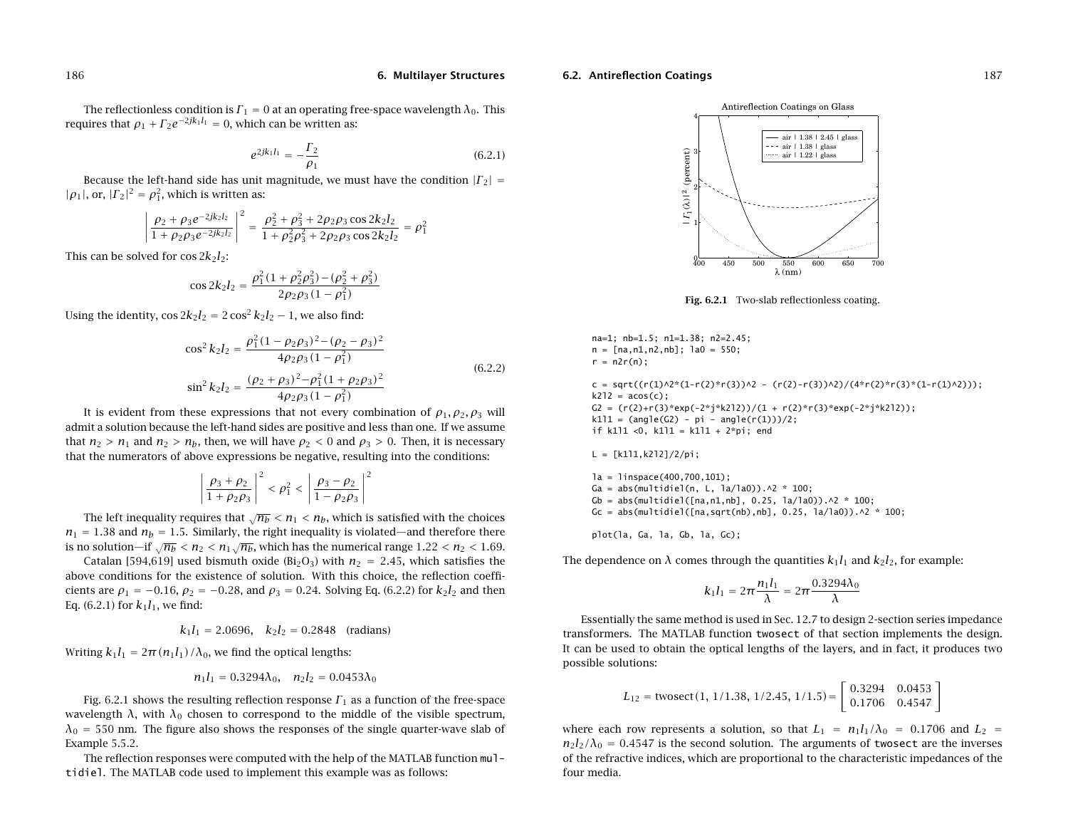#### **6.2. Antireflection Coatings** 187

The reflectionless condition is  $\mathit{\Gamma}_{1}=0$  at an operating free-space wavelength  $\lambda_{0}.$  This requires that  $\rho_1 + \Gamma_2 e^{-2jk_1l_1} = 0$ , which can be written as:

$$
e^{2jk_1l_1} = -\frac{\Gamma_2}{\rho_1} \tag{6.2.1}
$$

**6. Multilayer Structures**

Because the left-hand side has unit magnitude, we must have the condition  $|\Gamma_2|$  =  $|\rho_1|$ , or,  $|\Gamma_2|^2 = \rho_1^2$ , which is written as:

$$
\left|\frac{\rho_2 + \rho_3 e^{-2jk_2l_2}}{1 + \rho_2 \rho_3 e^{-2jk_2l_2}}\right|^2 = \frac{\rho_2^2 + \rho_3^2 + 2\rho_2 \rho_3 \cos 2k_2l_2}{1 + \rho_2^2 \rho_3^2 + 2\rho_2 \rho_3 \cos 2k_2l_2} = \rho_1^2
$$

I I This can be solved for  $\cos 2k_2l_2$ :

I I I

$$
\cos 2k_2 l_2 = \frac{\rho_1^2 (1 + \rho_2^2 \rho_3^2) - (\rho_2^2 + \rho_3^2)}{2 \rho_2 \rho_3 (1 - \rho_1^2)}
$$

Using the identity, cos 2 $k_2l_2$  = 2 cos<sup>2</sup>  $k_2l_2$  – 1, we also find:

$$
\cos^2 k_2 l_2 = \frac{\rho_1^2 (1 - \rho_2 \rho_3)^2 - (\rho_2 - \rho_3)^2}{4 \rho_2 \rho_3 (1 - \rho_1^2)}
$$
  

$$
\sin^2 k_2 l_2 = \frac{(\rho_2 + \rho_3)^2 - \rho_1^2 (1 + \rho_2 \rho_3)^2}{4 \rho_2 \rho_3 (1 - \rho_1^2)}
$$
(6.2.2)

It is evident from these expressions that not every combination of  $\rho_1, \rho_2, \rho_3$  will admit <sup>a</sup> solution because the left-hand sides are positive and less than one. If we assume that  $n_2 > n_1$  and  $n_2 > n_b$ , then, we will have  $\rho_2 < 0$  and  $\rho_3 > 0$ . Then, it is necessary that the numerators of above expressions be negative, resulting into the conditions:

$$
\left|\frac{\rho_3+\rho_2}{1+\rho_2\rho_3}\right|^2<\rho_1^2<\left|\frac{\rho_3-\rho_2}{1-\rho_2\rho_3}\right|^2
$$

The left inequality requires that  $\sqrt{n_b} < n_1 < n_b$ , which is satisfied with the choices  $n_1 = 1.38$  and  $n_b = 1.5$ . Similarly, the right inequality is violated—and therefore there is no solution—if  $\sqrt{n_b} < n_2 < n_1\sqrt{n_b},$  which has the numerical range  $1.22 < n_2 < 1.69.$ 

Catalan [594,619] used bismuth oxide (Bi<sub>2</sub>O<sub>3</sub>) with  $n_2 = 2.45$ , which satisfies the above conditions for the existence of solution. With this choice, the reflection coefficients are  $\rho_1 = -0.16$ ,  $\rho_2 = -0.28$ , and  $\rho_3 = 0.24$ . Solving Eq. (6.2.2) for  $k_2 l_2$  and then Eq. (6.2.1) for  $k_1l_1$ , we find:

$$
k_1 l_1 = 2.0696
$$
,  $k_2 l_2 = 0.2848$  (radians)

Writing  $k_1l_1 = 2\pi (n_1l_1)/\lambda_0$ , we find the optical lengths:

$$
n_1l_1 = 0.3294\lambda_0
$$
,  $n_2l_2 = 0.0453\lambda_0$ 

Fig. 6.2.1 shows the resulting reflection response  $\varGamma_1$  as a function of the free-space wavelength  $\lambda,$  with  $\lambda_0$  chosen to correspond to the middle of the visible spectrum,  $\lambda_0$  = 550 nm. The figure also shows the responses of the single quarter-wave slab of Example 5.5.2.

The reflection responses were computed with the help of the MATLAB function multidiel. The MATLAB code used to implement this example was as follows:



**Fig. 6.2.1** Two-slab reflectionless coating.

na=1; nb=1.5; n1=1.38; n2=2.45;  $n = [na, n1, n2, nb];$   $1a0 = 550;$  $r = n2r(n);$ 

c = sqrt((r(1)^2\*(1-r(2)\*r(3))^2 - (r(2)-r(3))^2)/(4\*r(2)\*r(3)\*(1-r(1)^2)));  $k212 = a\cos(c)$ : G2 =  $(r(2)+r(3)*exp(-2*j*k212))/(1 + r(2)*r(3)*exp(-2*j*k212));$  $k111 = (angle(G2) - pi - angle(r(1)))/2;$ if k1l1 <0, k1l1 = k1l1 +  $2*pi$ ; end

 $L = [k111, k212]/2$ /pi;

la <sup>=</sup> linspace(400,700,101);  $Ga = abs(multidiel(n, L, la/la0))$ .^2 \* 100; Gb = abs(multidiel([na,n1,nb],  $0.25$ ,  $1a/1a0$ )).^2 \* 100; Gc = abs(multidiel( $[na,sqrt(nb),nb]$ , 0.25,  $la/la(0)$ ).^2 \* 100;

plot(la, Ga, la, Gb, la, Gc);

The dependence on  $\lambda$  comes through the quantities  $k_1l_1$  and  $k_2l_2$ , for example:

$$
k_1 l_1 = 2\pi \frac{n_1 l_1}{\lambda} = 2\pi \frac{0.3294 \lambda_0}{\lambda}
$$

Essentially the same method is used in Sec. 12.7 to design 2-section series impedance transformers. The MATLAB function twosect of that section implements the design. It can be used to obtain the optical lengths of the layers, and in fact, it produces two possible solutions:

$$
L_{12} = \text{twosect}(1, 1/1.38, 1/2.45, 1/1.5) = \begin{bmatrix} 0.3294 & 0.0453 \\ 0.1706 & 0.4547 \end{bmatrix}
$$

where each row represents a solution, so that  $L_1$  =  $n_1 l_1/\lambda_0$  = 0.1706 and  $L_2$  =  $n_2l_2/\lambda_0 = 0.4547$  is the second solution. The arguments of twosect are the inverses of the refractive indices, which are proportional to the characteristic impedances of the four media.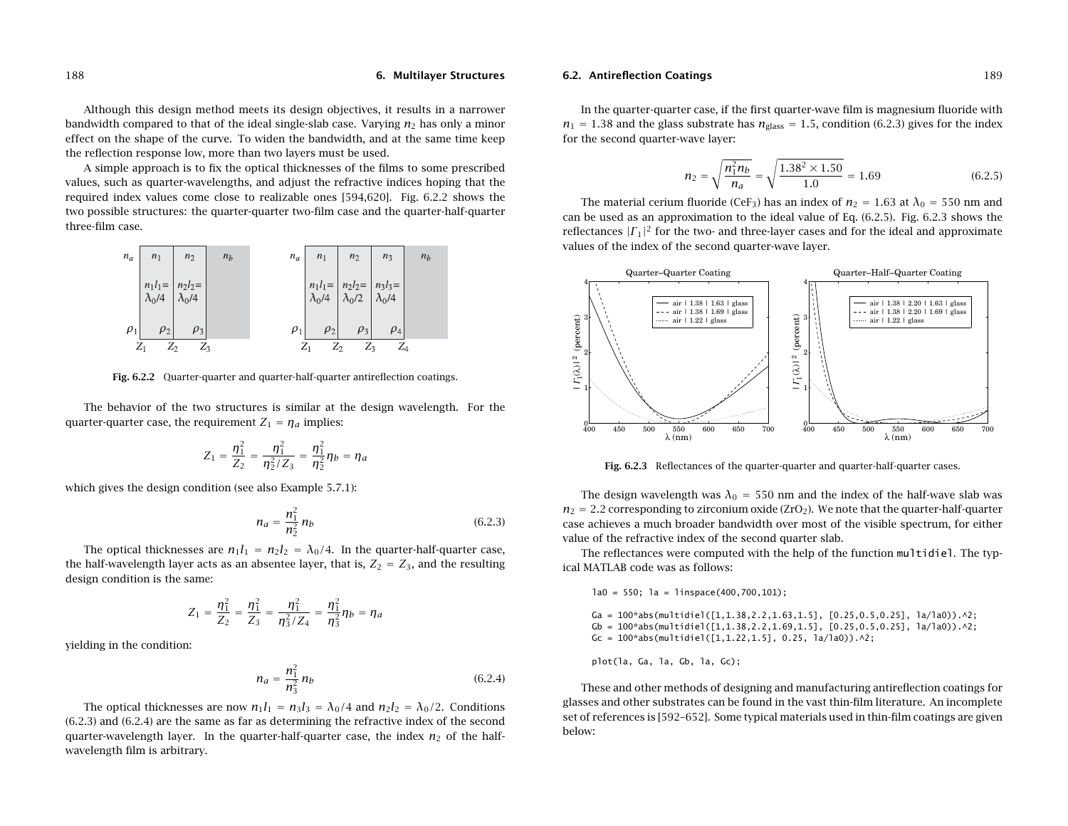Although this design method meets its design objectives, it results in <sup>a</sup> narrower bandwidth compared to that of the ideal single-slab case. Varying  $n_2$  has only a minor effect on the shape of the curve. To widen the bandwidth, and at the same time keep the reflection response low, more than two layers must be used.

A simple approach is to fix the optical thicknesses of the films to some prescribed values, such as quarter-wavelengths, and adjust the refractive indices hoping that the required index values come close to realizable ones [594,620]. Fig. 6.2.2 shows the two possible structures: the quarter-quarter two-film case and the quarter-half-quarter three-film case.



**Fig. 6.2.2** Quarter-quarter and quarter-half-quarter antireflection coatings.

The behavior of the two structures is similar at the design wavelength. For the quarter-quarter case, the requirement  $Z_1 = \eta_{\it a}$  implies:

$$
Z_1 = \frac{\eta_1^2}{Z_2} = \frac{\eta_1^2}{\eta_2^2/Z_3} = \frac{\eta_1^2}{\eta_2^2}\eta_b = \eta_a
$$

which gives the design condition (see also Example 5.7.1):

$$
n_a = \frac{n_1^2}{n_2^2} n_b \tag{6.2.3}
$$

The optical thicknesses are  $n_1l_1 = n_2l_2 = \lambda_0/4$ . In the quarter-half-quarter case, the half-wavelength layer acts as an absentee layer, that is,  $Z_2\,=\,Z_3,$  and the resulting design condition is the same:

$$
Z_1 = \frac{\eta_1^2}{Z_2} = \frac{\eta_1^2}{Z_3} = \frac{\eta_1^2}{\eta_3^2/Z_4} = \frac{\eta_1^2}{\eta_3^2}\eta_b = \eta_a
$$

yielding in the condition:

$$
n_a = \frac{n_1^2}{n_3^2} n_b \tag{6.2.4}
$$

The optical thicknesses are now  $n_1l_1 = n_3l_3 = \lambda_0/4$  and  $n_2l_2 = \lambda_0/2$ . Conditions (6.2.3) and (6.2.4) are the same as far as determining the refractive index of the second quarter-wavelength layer. In the quarter-half-quarter case, the index  $n_2$  of the halfwavelength film is arbitrary.

# **6.2. Antireflection Coatings** 189

In the quarter-quarter case, if the first quarter-wave film is magnesium fluoride with  $n_1 = 1.38$  and the glass substrate has  $n_{\text{glass}} = 1.5$ , condition (6.2.3) gives for the index for the second quarter-wave layer:

$$
n_2 = \sqrt{\frac{n_1^2 n_b}{n_a}} = \sqrt{\frac{1.38^2 \times 1.50}{1.0}} = 1.69 \tag{6.2.5}
$$

The material cerium fluoride (CeF<sub>3</sub>) has an index of  $n_2 = 1.63$  at  $\lambda_0 = 550$  nm and can be used as an approximation to the ideal value of Eq. (6.2.5). Fig. 6.2.3 shows the reflectances  $|\Gamma_1|^2$  for the two- and three-layer cases and for the ideal and approximate values of the index of the second quarter-wave layer.



**Fig. 6.2.3** Reflectances of the quarter-quarter and quarter-half-quarter cases.

The design wavelength was  $\lambda_0$  = 550 nm and the index of the half-wave slab was  $n_2 = 2.2$  corresponding to zirconium oxide (ZrO $_2$ ). We note that the quarter-half-quarter case achieves <sup>a</sup> much broader bandwidth over most of the visible spectrum, for either value of the refractive index of the second quarter slab.

The reflectances were computed with the help of the function multidiel. The typical MATLAB code was as follows:

la0 <sup>=</sup> 550; la <sup>=</sup> linspace(400,700,101);

Ga =  $100*$ abs(multidiel([1,1.38,2.2,1.63,1.5], [0.25,0.5,0.25], la/la0)).^2; Gb =  $100*$ abs(multidiel([1,1.38,2.2,1.69,1.5], [0.25,0.5,0.25], la/la0)).^2; Gc =  $100*abs(multidi[1,1.22,1.5], 0.25, 1a/1a0)).$ <sup>2</sup>;

plot(la, Ga, la, Gb, la, Gc);

These and other methods of designing and manufacturing antireflection coatings for glasses and other substrates can be found in the vast thin-film literature. An incomplete set of references is [592–652]. Some typical materials used in thin-film coatings are given below: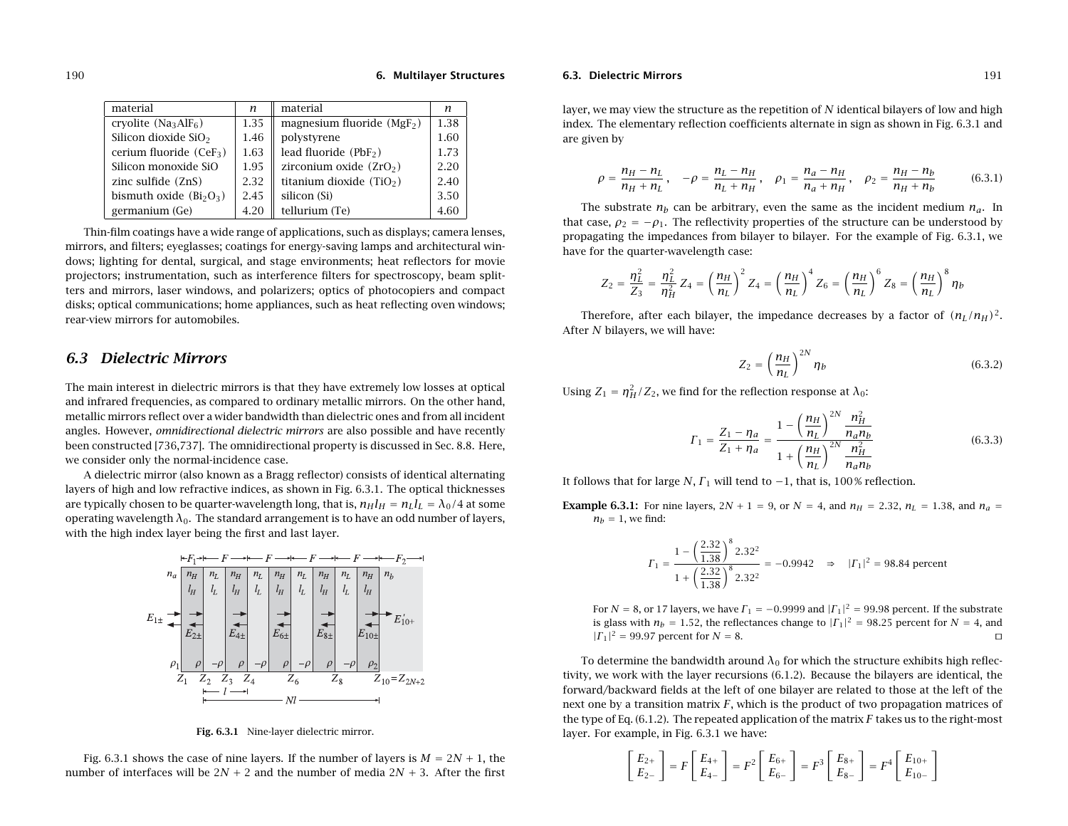| material                         | n    | material                       | n    |
|----------------------------------|------|--------------------------------|------|
| cryolite $(Na_3AlF_6)$           | 1.35 | magnesium fluoride ( $MgF_2$ ) | 1.38 |
| Silicon dioxide SiO <sub>2</sub> | 1.46 | polystyrene                    | 1.60 |
| cerium fluoride $(CeF_3)$        | 1.63 | lead fluoride $(PbF2)$         | 1.73 |
| Silicon monoxide SiO             | 1.95 | zirconium oxide $(ZrO2)$       | 2.20 |
| zinc sulfide (ZnS)               | 2.32 | titanium dioxide $(TiO2)$      | 2.40 |
| bismuth oxide $(Bi2O3)$          | 2.45 | silicon (Si)                   | 3.50 |
| germanium (Ge)                   | 4.20 | tellurium (Te)                 | 4.60 |

Thin-film coatings have <sup>a</sup> wide range of applications, such as displays; camera lenses, mirrors, and filters; eyeglasses; coatings for energy-saving lamps and architectural windows; lighting for dental, surgical, and stage environments; heat reflectors for movie projectors; instrumentation, such as interference filters for spectroscopy, beam splitters and mirrors, laser windows, and polarizers; optics of photocopiers and compact disks; optical communications; home appliances, such as heat reflecting oven windows; rear-view mirrors for automobiles.

# **6.3 Dielectric Mirrors**

The main interest in dielectric mirrors is that they have extremely low losses at optical and infrared frequencies, as compared to ordinary metallic mirrors. On the other hand, metallic mirrors reflect over <sup>a</sup> wider bandwidth than dielectric ones and from all incidentangles. However, omnidirectional dielectric mirrors are also possible and have recently been constructed [736,737]. The omnidirectional property is discussed in Sec. 8.8. Here, we consider only the normal-incidence case.

A dielectric mirror (also known as <sup>a</sup> Bragg reflector) consists of identical alternating layers of high and low refractive indices, as shown in Fig. 6.3.1. The optical thicknesses are typically chosen to be quarter-wavelength long, that is,  $n_H l_H = n_L l_L = \lambda_0/4$  at some operating wavelength  $\lambda_0$ . The standard arrangement is to have an odd number of layers, with the high index layer being the first and last layer.



**Fig. 6.3.1** Nine-layer dielectric mirror.

Fig. 6.3.1 shows the case of nine layers. If the number of layers is  $M = 2N + 1$ , the number of interfaces will be  $2N + 2$  and the number of media  $2N + 3$ . After the first

#### **6.3. Dielectric Mirrors**

layer, we may view the structure as the repetition of  $N$  identical bilayers of low and high index. The elementary reflection coefficients alternate in sign as shown in Fig. 6.3.1 and are given by

$$
\rho = \frac{n_H - n_L}{n_H + n_L}, \quad -\rho = \frac{n_L - n_H}{n_L + n_H}, \quad \rho_1 = \frac{n_a - n_H}{n_a + n_H}, \quad \rho_2 = \frac{n_H - n_b}{n_H + n_b}
$$
(6.3.1)

The substrate  $n_b$  can be arbitrary, even the same as the incident medium  $n_a$ . In that case,  $\rho_2 = -\rho_1$ . The reflectivity properties of the structure can be understood by propagating the impedances from bilayer to bilayer. For the example of Fig. 6.3.1, we have for the quarter-wavelength case:

$$
Z_2 = \frac{\eta_L^2}{Z_3} = \frac{\eta_L^2}{\eta_H^2} Z_4 = \left(\frac{n_H}{n_L}\right)^2 Z_4 = \left(\frac{n_H}{n_L}\right)^4 Z_6 = \left(\frac{n_H}{n_L}\right)^6 Z_8 = \left(\frac{n_H}{n_L}\right)^8 \eta_b
$$

Therefore, after each bilayer, the impedance decreases by a factor of  $(n_L/n_H)^2$ . After N bilayers, we will have:

$$
Z_2 = \left(\frac{n_H}{n_L}\right)^{2N} \eta_b \tag{6.3.2}
$$

Using  $Z_1 = \eta_H^2/Z_2$ , we find for the reflection response at  $\lambda_0$ :

$$
\Gamma_1 = \frac{Z_1 - \eta_a}{Z_1 + \eta_a} = \frac{1 - \left(\frac{n_H}{n_L}\right)^{2N} \frac{n_H^2}{n_a n_b}}{1 + \left(\frac{n_H}{n_L}\right)^{2N} \frac{n_H^2}{n_a n_b}}
$$
(6.3.3)

It follows that for large N,  $\Gamma_1$  will tend to  $-1$ , that is, 100% reflection.

**Example 6.3.1:** For nine layers,  $2N + 1 = 9$ , or  $N = 4$ , and  $n_H = 2.32$ ,  $n_L = 1.38$ , and  $n_a =$  $n_b$  = 1, we find:

$$
\Gamma_1 = \frac{1 - \left(\frac{2.32}{1.38}\right)^8 2.32^2}{1 + \left(\frac{2.32}{1.38}\right)^8 2.32^2} = -0.9942 \implies |\Gamma_1|^2 = 98.84 \text{ percent}
$$

For  $N = 8$ , or 17 layers, we have  $\Gamma_1 = -0.9999$  and  $|\Gamma_1|^2 = 99.98$  percent. If the substrate is glass with  $n_b = 1.52$ , the reflectances change to  $|\Gamma_1|^2 = 98.25$  percent for  $N = 4$ , and  $|{\Gamma}_1|^2 = 99.97$  percent for  $N = 8$ .

To determine the bandwidth around  $\lambda_0$  for which the structure exhibits high reflectivity, we work with the layer recursions (6.1.2). Because the bilayers are identical, the forward/backward fields at the left of one bilayer are related to those at the left of the next one by a transition matrix  $F$ , which is the product of two propagation matrices of the type of Eq. (6.1.2). The repeated application of the matrix  $F$  takes us to the right-most layer. For example, in Fig. 6.3.1 we have:

$$
\begin{bmatrix} E_{2+} \\ E_{2-} \end{bmatrix} = F \begin{bmatrix} E_{4+} \\ E_{4-} \end{bmatrix} = F^2 \begin{bmatrix} E_{6+} \\ E_{6-} \end{bmatrix} = F^3 \begin{bmatrix} E_{8+} \\ E_{8-} \end{bmatrix} = F^4 \begin{bmatrix} E_{10+} \\ E_{10-} \end{bmatrix}
$$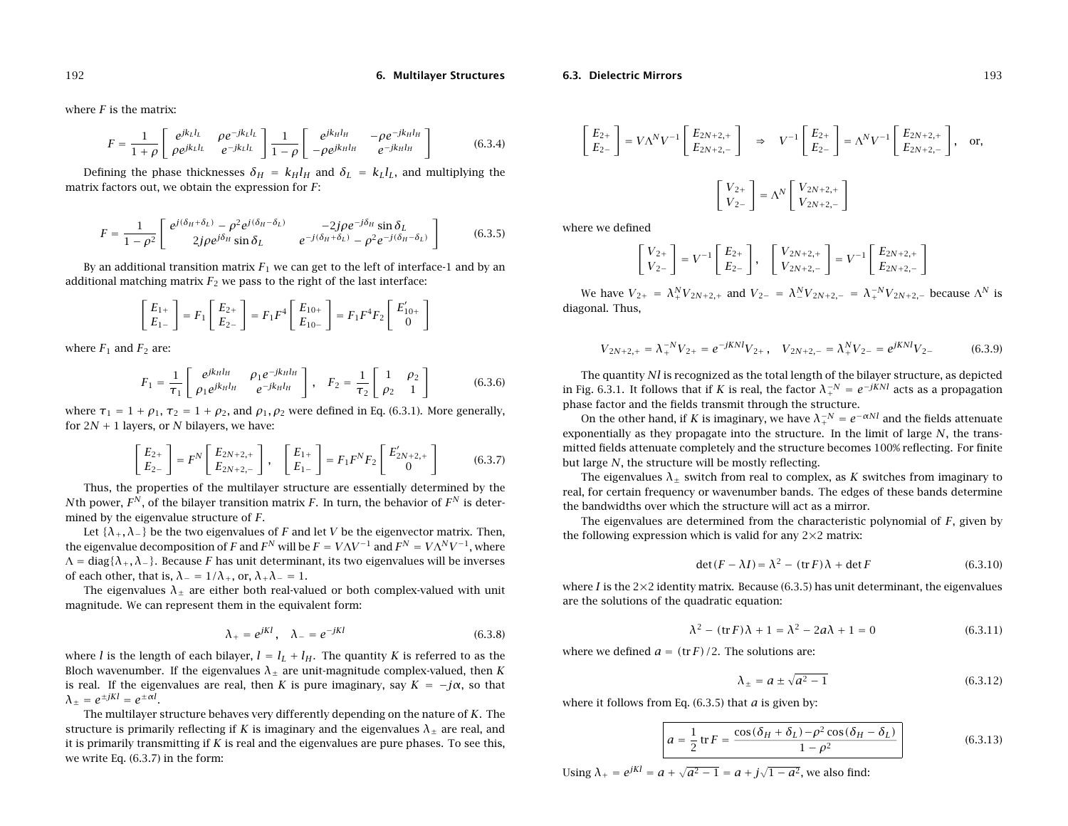where  $F$  is the matrix:

$$
F = \frac{1}{1+\rho} \left[ \begin{array}{cc} e^{jk_L l_L} & \rho e^{-jk_L l_L} \\ \rho e^{jk_L l_L} & e^{-jk_L l_L} \end{array} \right] \frac{1}{1-\rho} \left[ \begin{array}{cc} e^{jk_H l_H} & -\rho e^{-jk_H l_H} \\ -\rho e^{jk_H l_H} & e^{-jk_H l_H} \end{array} \right] \tag{6.3.4}
$$

Defining the phase thicknesses  $\delta_H = k_H l_H$  and  $\delta_L = k_L l_L$ , and multiplying the matrix factors out, we obtain the expression for  $F$ :

$$
F = \frac{1}{1 - \rho^2} \begin{bmatrix} e^{j(\delta_H + \delta_L)} - \rho^2 e^{j(\delta_H - \delta_L)} & -2j\rho e^{-j\delta_H} \sin \delta_L \\ 2j\rho e^{j\delta_H} \sin \delta_L & e^{-j(\delta_H + \delta_L)} - \rho^2 e^{-j(\delta_H - \delta_L)} \end{bmatrix}
$$
(6.3.5)

By an additional transition matrix  $F_1$  we can get to the left of interface-1 and by an additional matching matrix  $F_2$  we pass to the right of the last interface:

$$
\begin{bmatrix} E_{1+} \\ E_{1-} \end{bmatrix} = F_1 \begin{bmatrix} E_{2+} \\ E_{2-} \end{bmatrix} = F_1 F^4 \begin{bmatrix} E_{10+} \\ E_{10-} \end{bmatrix} = F_1 F^4 F_2 \begin{bmatrix} E'_{10+} \\ 0 \end{bmatrix}
$$

where  $F_1$  and  $F_2$  are:

$$
F_1 = \frac{1}{\tau_1} \begin{bmatrix} e^{jk_H l_H} & \rho_1 e^{-jk_H l_H} \\ \rho_1 e^{jk_H l_H} & e^{-jk_H l_H} \end{bmatrix}, \quad F_2 = \frac{1}{\tau_2} \begin{bmatrix} 1 & \rho_2 \\ \rho_2 & 1 \end{bmatrix}
$$
(6.3.6)

where  $\tau_1 = 1 + \rho_1$ ,  $\tau_2 = 1 + \rho_2$ , and  $\rho_1$ ,  $\rho_2$  were defined in Eq. (6.3.1). More generally, for 2 $N+1$  layers, or  $N$  bilayers, we have:

$$
\begin{bmatrix} E_{2+} \\ E_{2-} \end{bmatrix} = F^N \begin{bmatrix} E_{2N+2,+} \\ E_{2N+2,-} \end{bmatrix}, \quad \begin{bmatrix} E_{1+} \\ E_{1-} \end{bmatrix} = F_1 F^N F_2 \begin{bmatrix} E'_{2N+2,+} \\ 0 \end{bmatrix}
$$
(6.3.7)

Thus, the properties of the multilayer structure are essentially determined by the Nth power,  $F^N$ , of the bilayer transition matrix F. In turn, the behavior of  $F^N$  is determined by the eigenvalue structure of F.

Let  $\{\lambda_+, \lambda_-\}$  be the two eigenvalues of F and let V be the eigenvector matrix. Then, the eigenvalue decomposition of  $F$  and  $F^N$  will be  $F=V\Lambda V^{-1}$  and  $F^N=V\Lambda^N V^{-1}$  , where  $\Lambda = \text{diag}\{\lambda_+, \lambda_-\}$ . Because  $F$  has unit determinant, its two eigenvalues will be inverses of each other, that is,  $\lambda_-=1/\lambda_+$ , or,  $\lambda_+\lambda_-=1$ .

The eigenvalues  $\lambda_\pm$  are either both real-valued or both complex-valued with unit magnitude. We can represent them in the equivalent form:

$$
\lambda_{+} = e^{jKl}, \quad \lambda_{-} = e^{-jKl} \tag{6.3.8}
$$

where  $l$  is the length of each bilayer,  $l=l_L+l_H.$  The quantity  $K$  is referred to as the Bloch wavenumber. If the eigenvalues  $\lambda_\pm$  are unit-magnitude complex-valued, then  $K$ is real. If the eigenvalues are real, then K is pure imaginary, say  $K = -j\alpha$ , so that  $\lambda_{\pm} = e^{\pm jKl} = e^{\pm \alpha l}.$ 

The multilayer structure behaves very differently depending on the nature of  $K$ . The structure is primarily reflecting if K is imaginary and the eigenvalues  $\lambda_\pm$  are real, and it is primarily transmitting if  $K$  is real and the eigenvalues are pure phases. To see this, we write Eq. (6.3.7) in the form:

$$
\begin{bmatrix} E_{2+} \\ E_{2-} \end{bmatrix} = V\Lambda^N V^{-1} \begin{bmatrix} E_{2N+2,+} \\ E_{2N+2,-} \end{bmatrix} \Rightarrow V^{-1} \begin{bmatrix} E_{2+} \\ E_{2-} \end{bmatrix} = \Lambda^N V^{-1} \begin{bmatrix} E_{2N+2,+} \\ E_{2N+2,-} \end{bmatrix}, \text{ or,}
$$

$$
\begin{bmatrix} V_{2+} \\ V_{2-} \end{bmatrix} = \Lambda^N \begin{bmatrix} V_{2N+2,+} \\ V_{2N+2,-} \end{bmatrix}
$$

where we defined

**6.3. Dielectric Mirrors**

$$
\begin{bmatrix} V_{2+} \\ V_{2-} \end{bmatrix} = V^{-1} \begin{bmatrix} E_{2+} \\ E_{2-} \end{bmatrix}, \quad \begin{bmatrix} V_{2N+2,+} \\ V_{2N+2,-} \end{bmatrix} = V^{-1} \begin{bmatrix} E_{2N+2,+} \\ E_{2N+2,-} \end{bmatrix}
$$

We have  $V_{2+} = \lambda_{+}^{N} V_{2N+2,+}$  and  $V_{2-} = \lambda_{-}^{N} V_{2N+2,-} = \lambda_{+}^{-N} V_{2N+2,-}$  because  $\Lambda^{N}$  is diagonal. Thus,

$$
V_{2N+2,+} = \lambda_{+}^{-N} V_{2+} = e^{-jKNl} V_{2+}, \quad V_{2N+2,-} = \lambda_{+}^{N} V_{2-} = e^{jKNl} V_{2-}
$$
 (6.3.9)

The quantity Nl is recognized as the total length of the bilayer structure, as depicted in Fig. 6.3.1. It follows that if K is real, the factor  $\lambda_+^{-N}=e^{-jKNl}$  acts as a propagation phase factor and the fields transmit through the structure.

On the other hand, if K is imaginary, we have  $\lambda_+^{-N}=e^{-\alpha N l}$  and the fields attenuate exponentially as they propagate into the structure. In the limit of large  $N$ , the transmitted fields attenuate completely and the structure becomes 100% reflecting. For finite but large N, the structure will be mostly reflecting.

The eigenvalues  $\lambda_{\pm}$  switch from real to complex, as K switches from imaginary to real, for certain frequency or wavenumber bands. The edges of these bands determine the bandwidths over which the structure will act as a mirror.

The eigenvalues are determined from the characteristic polynomial of F, given by the following expression which is valid for any  $2{\times}2$  matrix:

$$
\det(F - \lambda I) = \lambda^2 - (\operatorname{tr} F)\lambda + \det F \tag{6.3.10}
$$

where  $I$  is the 2 $\times$ 2 identity matrix. Because (6.3.5) has unit determinant, the eigenvalues are the solutions of the quadratic equation:

$$
\lambda^2 - (\operatorname{tr} F)\lambda + 1 = \lambda^2 - 2a\lambda + 1 = 0 \tag{6.3.11}
$$

where we defined  $a = (\text{tr } F)/2$ . The solutions are:

$$
\lambda_{\pm} = a \pm \sqrt{a^2 - 1} \tag{6.3.12}
$$

where it follows from Eq.  $(6.3.5)$  that a is given by:

$$
a = \frac{1}{2} \operatorname{tr} F = \frac{\cos(\delta_H + \delta_L) - \rho^2 \cos(\delta_H - \delta_L)}{1 - \rho^2}
$$
 (6.3.13)

Using  $\lambda_+ = e^{jKl} = a + \sqrt{a^2 - 1} = a + j\sqrt{1 - a^2}$ , we also find: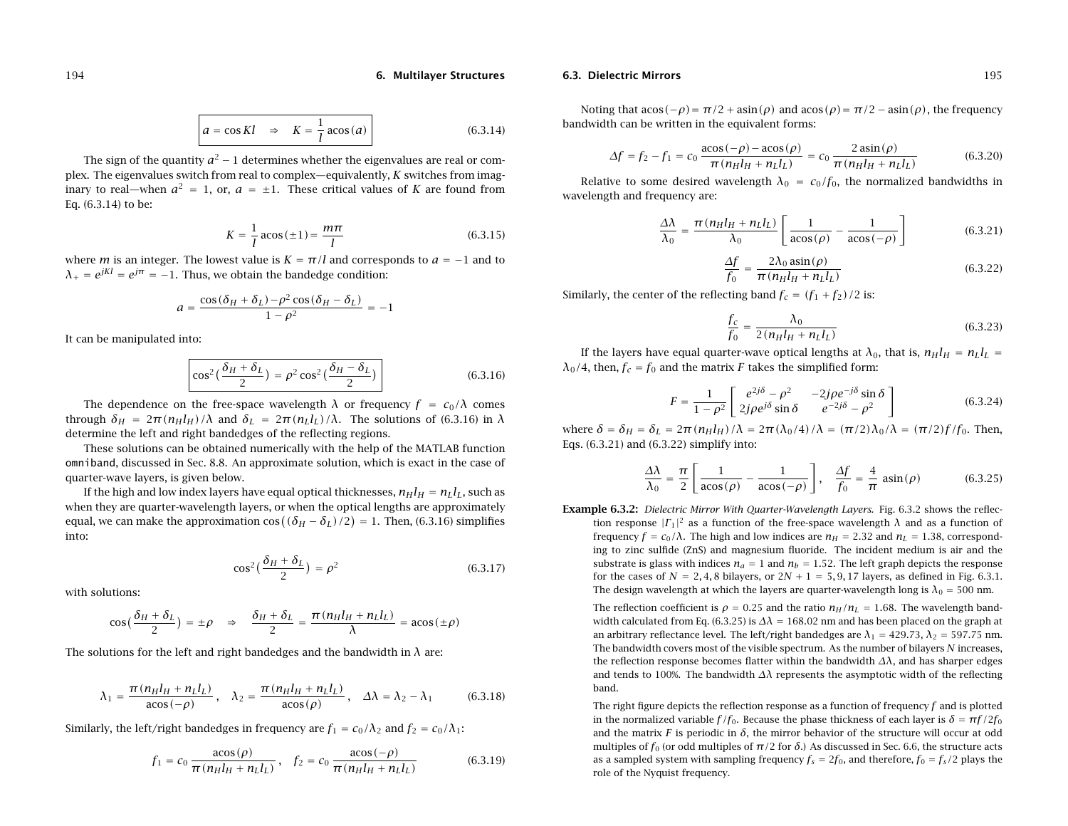### 194

#### **6. Multilayer Structures**

$$
a = \cos Kl \Rightarrow K = \frac{1}{l} \arccos(a)
$$
 (6.3.14)

The sign of the quantity  $a^2 - 1$  determines whether the eigenvalues are real or complex. The eigenvalues switch from real to complex—equivalently, K switches from imaginary to real—when  $a^2 = 1$ , or,  $a = \pm 1$ . These critical values of K are found from Eq. (6.3.14) to be:

$$
K = \frac{1}{l} \operatorname{acos}(\pm 1) = \frac{m\pi}{l}
$$
 (6.3.15)

where *m* is an integer. The lowest value is  $K = \pi / l$  and corresponds to  $a = -1$  and to  $\lambda_+ = e^{jKl} = e^{j\pi} = -1$ . Thus, we obtain the bandedge condition:

$$
a = \frac{\cos(\delta_H + \delta_L) - \rho^2 \cos(\delta_H - \delta_L)}{1 - \rho^2} = -1
$$

It can be manipulated into:

$$
\cos^2\left(\frac{\delta_H + \delta_L}{2}\right) = \rho^2 \cos^2\left(\frac{\delta_H - \delta_L}{2}\right)
$$
 (6.3.16)

The dependence on the free-space wavelength  $\lambda$  or frequency  $f = c_0/\lambda$  comes through  $\delta_H = 2\pi (n_H l_H)/\lambda$  and  $\delta_L = 2\pi (n_L l_L)/\lambda$ . The solutions of (6.3.16) in  $\lambda$ determine the left and right bandedges of the reflecting regions.

These solutions can be obtained numerically with the help of the MATLAB function omniband, discussed in Sec. 8.8. An approximate solution, which is exact in the case of quarter-wave layers, is given below.

If the high and low index layers have equal optical thicknesses,  $n_Hl_H= n_Ll_L$ , such as when they are quarter-wavelength layers, or when the optical lengths are approximately equal, we can make the approximation cos (  $(\delta_H-\delta_L)/2) = 1$  . Then, (6.3.16) simplifies into:

$$
\cos^2\left(\frac{\delta_H + \delta_L}{2}\right) = \rho^2 \tag{6.3.17}
$$

with solutions:

$$
\cos\left(\frac{\delta_H + \delta_L}{2}\right) = \pm \rho \quad \Rightarrow \quad \frac{\delta_H + \delta_L}{2} = \frac{\pi (n_H l_H + n_L l_L)}{\lambda} = \arccos(\pm \rho)
$$

The solutions for the left and right bandedges and the bandwidth in  $\lambda$  are:

$$
\lambda_1 = \frac{\pi (n_H l_H + n_L l_L)}{\arccos(-\rho)}, \quad \lambda_2 = \frac{\pi (n_H l_H + n_L l_L)}{\arccos(\rho)}, \quad \Delta \lambda = \lambda_2 - \lambda_1 \tag{6.3.18}
$$

Similarly, the left/right bandedges in frequency are  $f_1 = c_0/\lambda_2$  and  $f_2 = c_0/\lambda_1$ :

$$
f_1 = c_0 \frac{\arccos(\rho)}{\pi (n_H l_H + n_L l_L)}, \quad f_2 = c_0 \frac{\arccos(-\rho)}{\pi (n_H l_H + n_L l_L)} \tag{6.3.19}
$$

#### **6.3. Dielectric Mirrors**

Noting that  $\arccos(-\rho) = \pi/2 + \arcsin(\rho)$  and  $\arccos(\rho) = \pi/2 - \arcsin(\rho)$ , the frequency bandwidth can be written in the equivalent forms:

$$
\Delta f = f_2 - f_1 = c_0 \frac{\cos(-\rho) - \cos(\rho)}{\pi (n_H l_H + n_L l_L)} = c_0 \frac{2 \sin(\rho)}{\pi (n_H l_H + n_L l_L)}
$$
(6.3.20)

Relative to some desired wavelength  $\lambda_0 = c_0/f_0$ , the normalized bandwidths in wavelength and frequency are:

$$
\frac{\Delta\lambda}{\lambda_0} = \frac{\pi (n_H l_H + n_L l_L)}{\lambda_0} \left[ \frac{1}{\arccos(\rho)} - \frac{1}{\arccos(-\rho)} \right] \tag{6.3.21}
$$

$$
\frac{\Delta f}{f_0} = \frac{2\lambda_0 \operatorname{asin}(\rho)}{\pi (n_H l_H + n_L l_L)}\tag{6.3.22}
$$

Similarly, the center of the reflecting band  $f_c = (f_1 + f_2)/2$  is:

$$
\frac{f_c}{f_0} = \frac{\lambda_0}{2(n_H l_H + n_L l_L)}\tag{6.3.23}
$$

If the layers have equal quarter-wave optical lengths at  $\lambda_0$ , that is,  $n_Hl_H=n_Ll_L =$  $\lambda_{0}$ /4, then,  $f_{c}$  =  $f_{0}$  and the matrix  $F$  takes the simplified form:

$$
F = \frac{1}{1 - \rho^2} \begin{bmatrix} e^{2j\delta} - \rho^2 & -2j\rho e^{-j\delta} \sin \delta \\ 2j\rho e^{j\delta} \sin \delta & e^{-2j\delta} - \rho^2 \end{bmatrix}
$$
 (6.3.24)

where  $\delta = \delta_H = \delta_L = 2\pi (\frac{n_H l_H}{\lambda} - \lambda = 2\pi (\frac{\lambda_0}{4})/\lambda = (\frac{\pi}{2})\lambda_0/\lambda = (\frac{\pi}{2})f/f_0$ . Then, Eqs. (6.3.21) and (6.3.22) simplify into:

$$
\frac{\Delta\lambda}{\lambda_0} = \frac{\pi}{2} \left[ \frac{1}{a\cos(\rho)} - \frac{1}{a\cos(-\rho)} \right], \quad \frac{\Delta f}{f_0} = \frac{4}{\pi} \operatorname{asin}(\rho) \tag{6.3.25}
$$

**Example 6.3.2:** Dielectric Mirror With Quarter-Wavelength Layers. Fig. 6.3.2 shows the reflection response  $|\Gamma_1|^2$  as a function of the free-space wavelength  $\lambda$  and as a function of frequency  $f = c_0/\lambda$ . The high and low indices are  $n_H = 2.32$  and  $n_L = 1.38$ , corresponding to zinc sulfide (ZnS) and magnesium fluoride. The incident medium is air and the substrate is glass with indices  $n_a = 1$  and  $n_b = 1.52$ . The left graph depicts the response for the cases of  $N=2,4,8$  bilayers, or  $2N+1=5,9,17$  layers, as defined in Fig. 6.3.1. The design wavelength at which the layers are quarter-wavelength long is  $\lambda_0 = 500$  nm.

The reflection coefficient is  $\rho = 0.25$  and the ratio  $n_H/n_L = 1.68$ . The wavelength bandwidth calculated from Eq. (6.3.25) is  $\Delta \lambda = 168.02$  nm and has been placed on the graph at an arbitrary reflectance level. The left/right bandedges are  $\lambda_1$  = 429.73,  $\lambda_2$  = 597.75 nm. The bandwidth covers most of the visible spectrum. As the number of bilayers N increases, the reflection response becomes flatter within the bandwidth  $\Delta\lambda$ , and has sharper edges and tends to 100%. The bandwidth  $\varDelta\lambda$  represents the asymptotic width of the reflecting band.

The right figure depicts the reflection response as a function of frequency  $f$  and is plotted in the normalized variable  $f/f_0$ . Because the phase thickness of each layer is  $\delta = \pi f/2f_0$ and the matrix F is periodic in  $\delta$ , the mirror behavior of the structure will occur at odd multiples of  $f_0$  (or odd multiples of  $\pi$ /2 for  $\delta$ .) As discussed in Sec. 6.6, the structure acts as a sampled system with sampling frequency  $f_s = 2f_0$ , and therefore,  $f_0 = f_s/2$  plays the role of the Nyquist frequency.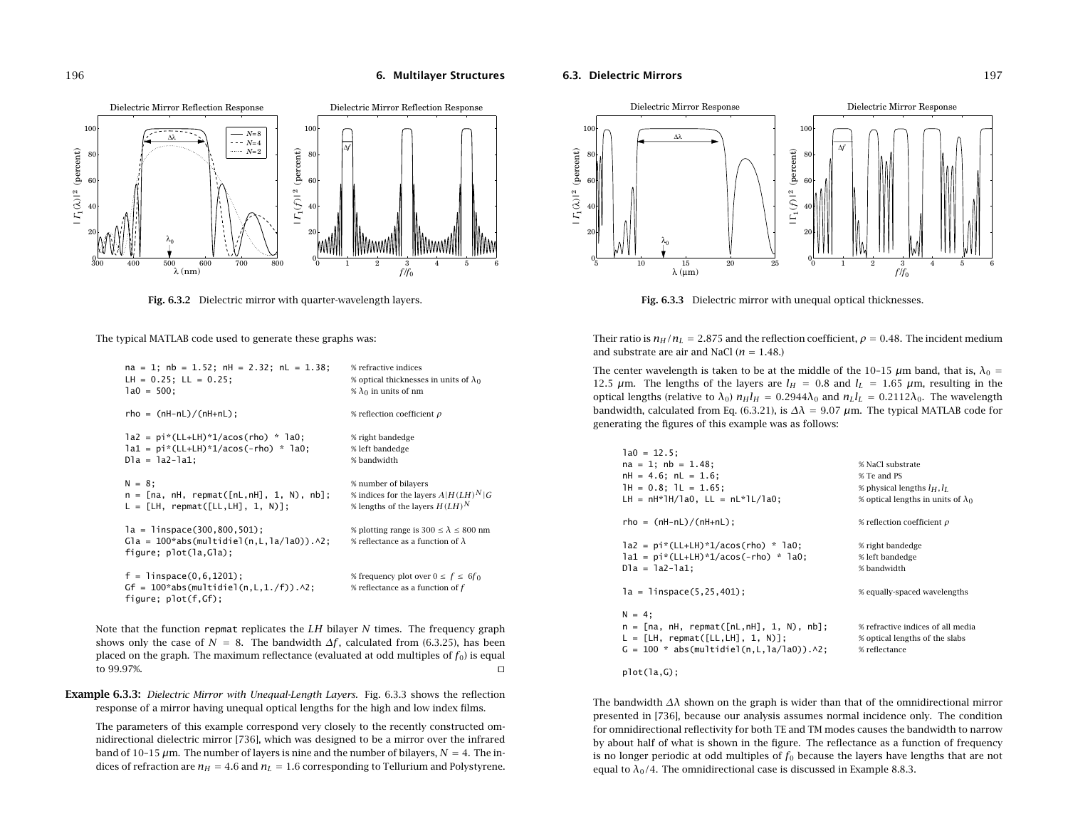#### **6.3. Dielectric Mirrors**



**Fig. 6.3.2** Dielectric mirror with quarter-wavelength layers.

The typical MATLAB code used to generate these graphs was:

| $na = 1$ ; $nb = 1.52$ ; $nH = 2.32$ ; $nL = 1.38$ ;                                                   | % refractive indices                                                                         |
|--------------------------------------------------------------------------------------------------------|----------------------------------------------------------------------------------------------|
| $LH = 0.25$ ; $LL = 0.25$ ;                                                                            | % optical thicknesses in units of $\lambda_0$                                                |
| $1a0 = 500$ ;                                                                                          | % $\lambda_0$ in units of nm                                                                 |
| $rho = (nH-nL)/(nH+nL)$ ;                                                                              | % reflection coefficient $\rho$                                                              |
| $la2 = pi * (LL+LH) * 1/acos(rho) * 1a0;$                                                              | % right bandedge                                                                             |
| $la1 = pi * (LL+LH) * 1/acos(-rho) * 1a0;$                                                             | % left bandedge                                                                              |
| $D1a = 1a2-1a1$ ;                                                                                      | % bandwidth                                                                                  |
| $N = 8:$                                                                                               | % number of bilayers                                                                         |
| $n = \lceil na, nh, remnat(\lceil nl, nH \rceil, 1, N), nb \rceil;$                                    | % indices for the layers $A H(LH)^N G$                                                       |
| $L = [LH,$ repmat([LL, LH], 1, N)];                                                                    | % lengths of the layers $H(LH)^N$                                                            |
| $a = 1$ inspace(300,800,501);<br>$G1a = 100*abs(multidiel(n, L, la/la0)).$<br>figure; $plot(la,Gla)$ ; | % plotting range is $300 \le \lambda \le 800$ nm<br>% reflectance as a function of $\lambda$ |
| $f = 1$ inspace $(0, 6, 1201)$ ;<br>$Gf = 100*abs(multidiel(n, L, 1./f)).$<br>figure: plot(f, Gf):     | % frequency plot over $0 \le f \le 6f_0$<br>% reflectance as a function of $f$               |

Note that the function repmat replicates the  $LH$  bilayer N times. The frequency graph shows only the case of  $N = 8$ . The bandwidth  $\Delta f$ , calculated from (6.3.25), has been placed on the graph. The maximum reflectance (evaluated at odd multiples of  $f_0$ ) is equal to 99.97%.

**Example 6.3.3:** Dielectric Mirror with Unequal-Length Layers. Fig. 6.3.3 shows the reflection response of <sup>a</sup> mirror having unequal optical lengths for the high and low index films.

The parameters of this example correspond very closely to the recently constructed omnidirectional dielectric mirror [736], which was designed to be <sup>a</sup> mirror over the infrared band of 10-15  $\mu$ m. The number of layers is nine and the number of bilayers,  $N=4$ . The indices of refraction are  $n_H = 4.6$  and  $n_L = 1.6$  corresponding to Tellurium and Polystyrene.



**Fig. 6.3.3** Dielectric mirror with unequal optical thicknesses.

Their ratio is  $n_H/n_L = 2.875$  and the reflection coefficient,  $\rho = 0.48.$  The incident medium and substrate are air and NaCl ( $n = 1.48$ .)

The center wavelength is taken to be at the middle of the 10-15  $\mu{\rm m}$  band, that is,  $\lambda_{0}$  = 12.5  $\mu$ m. The lengths of the layers are  $l_H$  = 0.8 and  $l_L$  = 1.65  $\mu$ m, resulting in the optical lengths (relative to  $\lambda_0$ )  $n_H l_H = 0.2944 \lambda_0$  and  $n_L l_L = 0.2112 \lambda_0$ . The wavelength bandwidth, calculated from Eq. (6.3.21), is  $\Delta \lambda = 9.07 \ \mu \text{m}$ . The typical MATLAB code for generating the figures of this example was as follows:

| $1a0 = 12.5$ ;                                                     |                                           |
|--------------------------------------------------------------------|-------------------------------------------|
| $na = 1$ ; $nb = 1.48$ ;                                           | % NaCl substrate                          |
| $nH = 4.6$ ; $nL = 1.6$ ;                                          | % Te and PS                               |
| $1H = 0.8$ ; 1L = 1.65;                                            | % physical lengths $l_H$ , $l_I$          |
| LH = $nH*1H/1a0$ , LL = $nL*1L/1a0$ ;                              | % optical lengths in units of $\lambda_0$ |
| $rho = (nH-nL)/(nH+nL)$ ;                                          | % reflection coefficient $\rho$           |
| $1a2 = pi * (LL+LH) * 1/acos(rho) * 1a0;$                          | % right bandedge                          |
| $la1 = pi * (LL+LH) * 1/acos(-rho) * 1a0;$                         | % left bandedge                           |
| $D1a = 1a2-1a1$ ;                                                  | % bandwidth                               |
| $a = 1$ inspace $(5, 25, 401)$ ;                                   | % equally-spaced wavelengths              |
|                                                                    |                                           |
| $N = 4$ :                                                          |                                           |
| $n = \lceil na, nh, remat(\lceil nl, nH \rceil, 1, N), nb \rceil;$ | % refractive indices of all media         |
| $L = [LH,$ repmat( $[LL, LH],$ 1, N)];                             | % optical lengths of the slabs            |
| $G = 100$ * abs(multidiel(n, L, la/la0)). ^2;                      | % reflectance                             |
| plot(la,G);                                                        |                                           |

The bandwidth  $\varDelta\lambda$  shown on the graph is wider than that of the omnidirectional mirror presented in [736], because our analysis assumes normal incidence only. The condition for omnidirectional reflectivity for both TE and TM modes causes the bandwidth to narrow by about half of what is shown in the figure. The reflectance as <sup>a</sup> function of frequency is no longer periodic at odd multiples of  $f_0$  because the layers have lengths that are not equal to  $\lambda_0/4$ . The omnidirectional case is discussed in Example 8.8.3.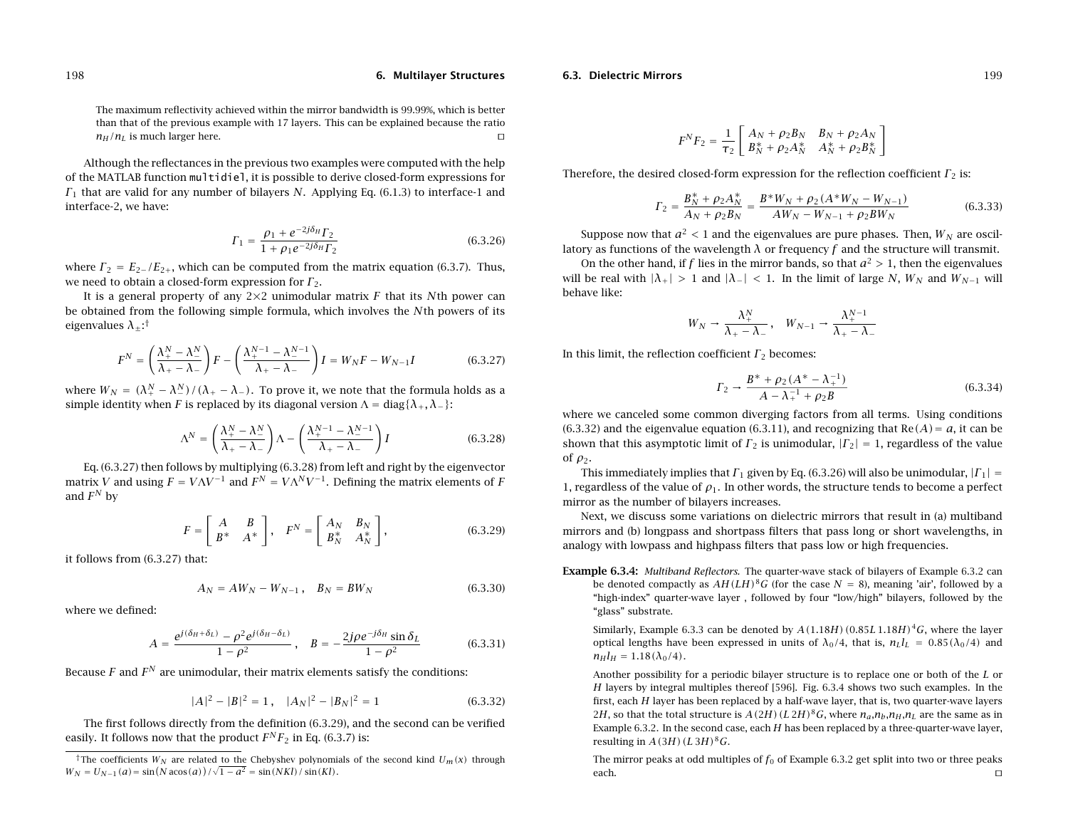### **6.3. Dielectric Mirrors**

The maximum reflectivity achieved within the mirror bandwidth is 99.99%, which is better than that of the previous example with 17 layers. This can be explained because the ratio  $n_H/n_L$  is much larger here.

Although the reflectances in the previous two examples were computed with the help of the MATLAB function multidiel, it is possible to derive closed-form expressions for  $\Gamma_1$  that are valid for any number of bilayers N. Applying Eq. (6.1.3) to interface-1 and interface-2, we have:

$$
\Gamma_1 = \frac{\rho_1 + e^{-2j\delta_H} \Gamma_2}{1 + \rho_1 e^{-2j\delta_H} \Gamma_2}
$$
\n(6.3.26)

**6. Multilayer Structures**

where  $\Gamma_2 = E_{2-}/E_{2+}$ , which can be computed from the matrix equation (6.3.7). Thus, we need to obtain a closed-form expression for  $\varGamma_2.$ 

It is a general property of any 2×2 unimodular matrix F that its Nth power can be obtained from the following simple formula, which involves the Nth powers of its eigenvalues  $\lambda_\pm$ : $^\dagger$ 

$$
F^N = \left(\frac{\lambda_+^N - \lambda_-^N}{\lambda_+ - \lambda_-}\right)F - \left(\frac{\lambda_+^{N-1} - \lambda_-^{N-1}}{\lambda_+ - \lambda_-}\right)I = W_NF - W_{N-1}I
$$
 (6.3.27)

where  $W_N = (\lambda_+^N - \lambda_-^N)/(\lambda_+ - \lambda_-)$ . To prove it, we note that the formula holds as a simple identity when F is replaced by its diagonal version  $\Lambda = diag\{\lambda_+, \lambda_-\}$ :

$$
\Lambda^N = \left(\frac{\lambda_+^N - \lambda_-^N}{\lambda_+ - \lambda_-}\right) \Lambda - \left(\frac{\lambda_+^{N-1} - \lambda_-^{N-1}}{\lambda_+ - \lambda_-}\right) I
$$
\n(6.3.28)

Eq. (6.3.27) then follows by multiplying (6.3.28) from left and right by the eigenvector matrix V and using  $F = V\Lambda V^{-1}$  and  $F^N = V\Lambda^N V^{-1}$ . Defining the matrix elements of F and  $F^N$  by

$$
F = \begin{bmatrix} A & B \\ B^* & A^* \end{bmatrix}, \quad F^N = \begin{bmatrix} A_N & B_N \\ B_N^* & A_N^* \end{bmatrix}, \tag{6.3.29}
$$

it follows from (6.3.27) that:

$$
A_N = AW_N - W_{N-1}, \quad B_N = BW_N \tag{6.3.30}
$$

where we defined:

$$
A = \frac{e^{j(\delta_H + \delta_L)} - \rho^2 e^{j(\delta_H - \delta_L)}}{1 - \rho^2}, \quad B = -\frac{2j\rho e^{-j\delta_H} \sin \delta_L}{1 - \rho^2}
$$
(6.3.31)

Because  $F$  and  $F^N$  are unimodular, their matrix elements satisfy the conditions:

$$
|A|^2 - |B|^2 = 1, \quad |A_N|^2 - |B_N|^2 = 1 \tag{6.3.32}
$$

The first follows directly from the definition (6.3.29), and the second can be verified easily. It follows now that the product  $F^NF_2$  in Eq. (6.3.7) is:

$$
F^{N}F_{2} = \frac{1}{\tau_{2}} \begin{bmatrix} A_{N} + \rho_{2}B_{N} & B_{N} + \rho_{2}A_{N} \\ B_{N}^{*} + \rho_{2}A_{N}^{*} & A_{N}^{*} + \rho_{2}B_{N}^{*} \end{bmatrix}
$$

Therefore, the desired closed-form expression for the reflection coefficient  $\varGamma_2$  is:

$$
\Gamma_2 = \frac{B_N^* + \rho_2 A_N^*}{A_N + \rho_2 B_N} = \frac{B^* W_N + \rho_2 (A^* W_N - W_{N-1})}{A W_N - W_{N-1} + \rho_2 B W_N}
$$
(6.3.33)

Suppose now that  $a^2 < 1$  and the eigenvalues are pure phases. Then,  $W_N$  are oscillatory as functions of the wavelength  $\lambda$  or frequency f and the structure will transmit.

On the other hand, if f lies in the mirror bands, so that  $a^2 > 1$ , then the eigenvalues will be real with  $|\lambda_+| > 1$  and  $|\lambda_-| < 1$ . In the limit of large N,  $W_N$  and  $W_{N-1}$  will behave like:

$$
W_N \to \frac{\lambda_+^N}{\lambda_+ - \lambda_-}, \quad W_{N-1} \to \frac{\lambda_+^{N-1}}{\lambda_+ - \lambda_-}
$$

In this limit, the reflection coefficient  $\mathit{\Gamma}_2$  becomes:

$$
\Gamma_2 \to \frac{B^* + \rho_2 (A^* - \lambda_+^{-1})}{A - \lambda_+^{-1} + \rho_2 B} \tag{6.3.34}
$$

where we canceled some common diverging factors from all terms. Using conditions  $(6.3.32)$  and the eigenvalue equation  $(6.3.11)$ , and recognizing that Re $(A) = a$ , it can be shown that this asymptotic limit of  $\Gamma_2$  is unimodular,  $|\Gamma_2|=1$ , regardless of the value of  $\rho_2$ .

This immediately implies that  $\varGamma_1$  given by Eq. (6.3.26) will also be unimodular,  $|\varGamma_1| =$ 1, regardless of the value of  $\rho_1.$  In other words, the structure tends to become a perfect mirror as the number of bilayers increases.

Next, we discuss some variations on dielectric mirrors that result in (a) multiband mirrors and (b) longpass and shortpass filters that pass long or short wavelengths, in analogy with lowpass and highpass filters that pass low or high frequencies.

**Example 6.3.4:** Multiband Reflectors. The quarter-wave stack of bilayers of Example 6.3.2 can be denoted compactly as  $AH(LH)^{8}G$  (for the case  $N = 8$ ), meaning 'air', followed by a "high-index" quarter-wave layer , followed by four "low/high" bilayers, followed by the "glass" substrate.

Similarly, Example 6.3.3 can be denoted by  $A(1.18H)(0.85L 1.18H)^4G$ , where the layer optical lengths have been expressed in units of  $\lambda_0/4$ , that is,  $n_Ll_L = 0.85(\lambda_0/4)$  and  $n_H l_H = 1.18(\lambda_0/4)$ .

Another possibility for <sup>a</sup> periodic bilayer structure is to replace one or both of the L or H layers by integral multiples thereof [596]. Fig. 6.3.4 shows two such examples. In the first, each  $H$  layer has been replaced by a half-wave layer, that is, two quarter-wave layers 2H, so that the total structure is  $A\left(2H\right)(L\,2H)^{8}G,$  where  $n_{a},\!_{b},\!n_{H},\!n_{L}$  are the same as in Example  $6.3.2.$  In the second case, each  $H$  has been replaced by a three-quarter-wave layer, resulting in  $A(3H)(L 3H)^8$ G.

The mirror peaks at odd multiples of  $f_0$  of Example 6.3.2 get split into two or three peaks each.. В последните поставите на селото на селото на селото на селото на селото на селото на селото на селото на се

198

<sup>&</sup>lt;sup>†</sup>The coefficients  $W_N$  are related to the Chebyshev polynomials of the second kind  $U_m(x)$  through  $W_N = U_{N-1}(a) = \sin(N \arccos(a)) / \sqrt{1 - a^2} = \sin(NKl) / \sin(Kl).$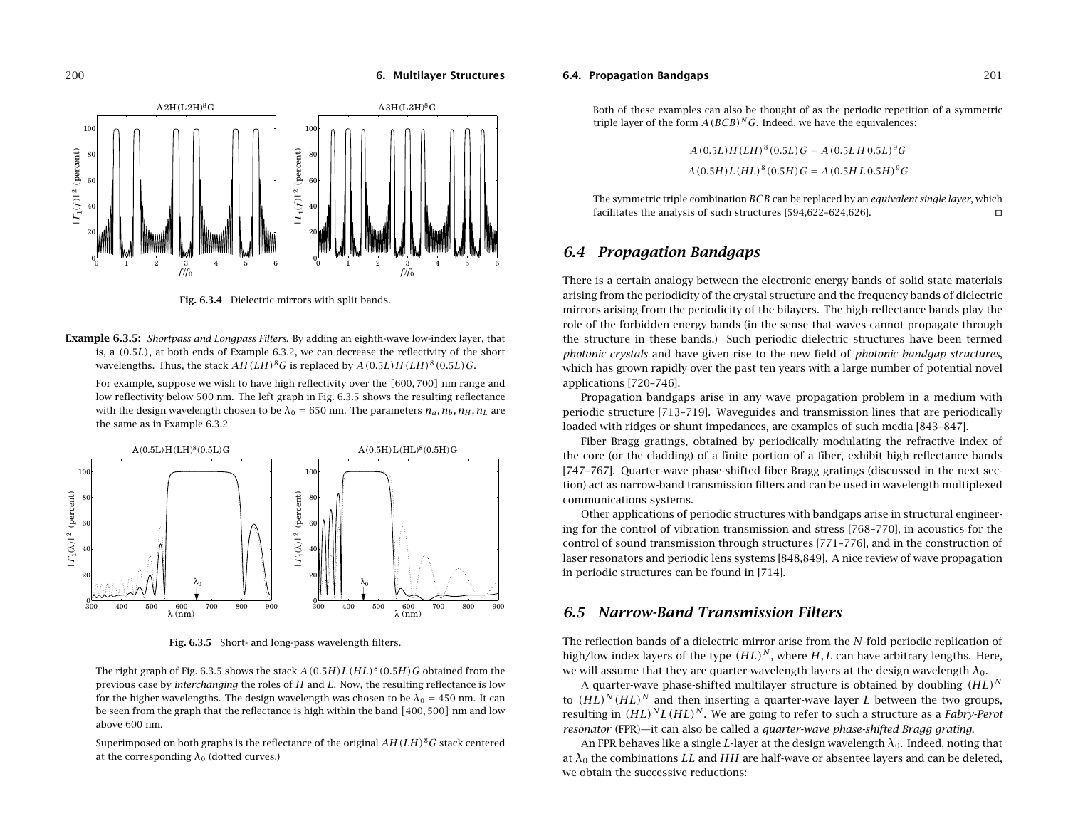

**Fig. 6.3.4** Dielectric mirrors with split bands.

**Example 6.3.5:** Shortpass and Longpass Filters. By adding an eighth-wave low-index layer, that is, <sup>a</sup> (0.5L), at both ends of Example 6.3.2, we can decrease the reflectivity of the short wavelengths. Thus, the stack  $AH(LH)^{8}G$  is replaced by  $A(0.5L)H(LH)^{8}(0.5L)G$ .

For example, suppose we wish to have high reflectivity over the [600, 700] nm range and low reflectivity below 500 nm. The left graph in Fig. 6.3.5 shows the resulting reflectance with the design wavelength chosen to be  $\lambda_0 = 650$  nm. The parameters  $n_a, n_b, n_H, n_L$  are the same as in Example 6.3.2



**Fig. 6.3.5** Short- and long-pass wavelength filters.

The right graph of Fig. 6.3.5 shows the stack  $A(0.5H)L(HL)^{8}(0.5H)G$  obtained from the previous case by *interchanging* the roles of  $H$  and  $L$ . Now, the resulting reflectance is low for the higher wavelengths. The design wavelength was chosen to be  $\lambda_0 = 450$  nm. It can be seen from the graph that the reflectance is high within the band [400, 500] nm and low above 600 nm.

Superimposed on both graphs is the reflectance of the original  $AH(LH)^8G$  stack centered at the corresponding  $\lambda_0$  (dotted curves.)

# **6.4. Propagation Bandgaps** 201

Both of these examples can also be thought of as the periodic repetition of <sup>a</sup> symmetric triple layer of the form  $A(BCB)^{N}G$ . Indeed, we have the equivalences:

> $A(0.5L)H(LH)^{8}(0.5L)G = A(0.5L H 0.5L)^{9}G$  $A(0.5H)L(HL)^{8}(0.5H)G = A(0.5HL0.5H)^{9}G$

The symmetric triple combination BCB can be replaced by an *equivalent single layer*, which facilitates the analysis of such structures  $[594,622-624,626]$ .

# **6.4 Propagation Bandgaps**

There is <sup>a</sup> certain analogy between the electronic energy bands of solid state materials arising from the periodicity of the crystal structure and the frequency bands of dielectric mirrors arising from the periodicity of the bilayers. The high-reflectance bands play the role of the forbidden energy bands (in the sense that waves cannot propagate through the structure in these bands.) Such periodic dielectric structures have been termed photonic crystals and have given rise to the new field of photonic bandgap structures, which has grown rapidly over the past ten years with <sup>a</sup> large number of potential novel applications [720–746].

Propagation bandgaps arise in any wave propagation problem in <sup>a</sup> medium with periodic structure [713–719]. Waveguides and transmission lines that are periodically loaded with ridges or shunt impedances, are examples of such media [843–847].

Fiber Bragg gratings, obtained by periodically modulating the refractive index of the core (or the cladding) of <sup>a</sup> finite portion of <sup>a</sup> fiber, exhibit high reflectance bands [747–767]. Quarter-wave phase-shifted fiber Bragg gratings (discussed in the next section) act as narrow-band transmission filters and can be used in wavelength multiplexed communications systems.

Other applications of periodic structures with bandgaps arise in structural engineering for the control of vibration transmission and stress [768–770], in acoustics for the control of sound transmission through structures [771–776], and in the construction of laser resonators and periodic lens systems [848,849]. A nice review of wave propagation in periodic structures can be found in [714].

# **6.5 Narrow-Band Transmission Filters**

The reflection bands of a dielectric mirror arise from the N-fold periodic replication of high/low index layers of the type  $(HL)^N$ , where H, L can have arbitrary lengths. Here, we will assume that they are quarter-wavelength layers at the design wavelength  $\lambda_0$ .

A quarter-wave phase-shifted multilayer structure is obtained by doubling  $(HL)^N$ to  $(HL)^N(HL)^N$  and then inserting a quarter-wave layer  $L$  between the two groups, resulting in  $(HL)^{N}L(HL)^{N}$ . We are going to refer to such a structure as a *Fabry-Perot* resonator (FPR)—it can also be called <sup>a</sup> quarter-wave phase-shifted Bragg grating.

An FPR behaves like a single L-layer at the design wavelength  $\lambda_0$ . Indeed, noting that at  $\lambda_0$  the combinations  $LL$  and  $HH$  are half-wave or absentee layers and can be deleted, we obtain the successive reductions: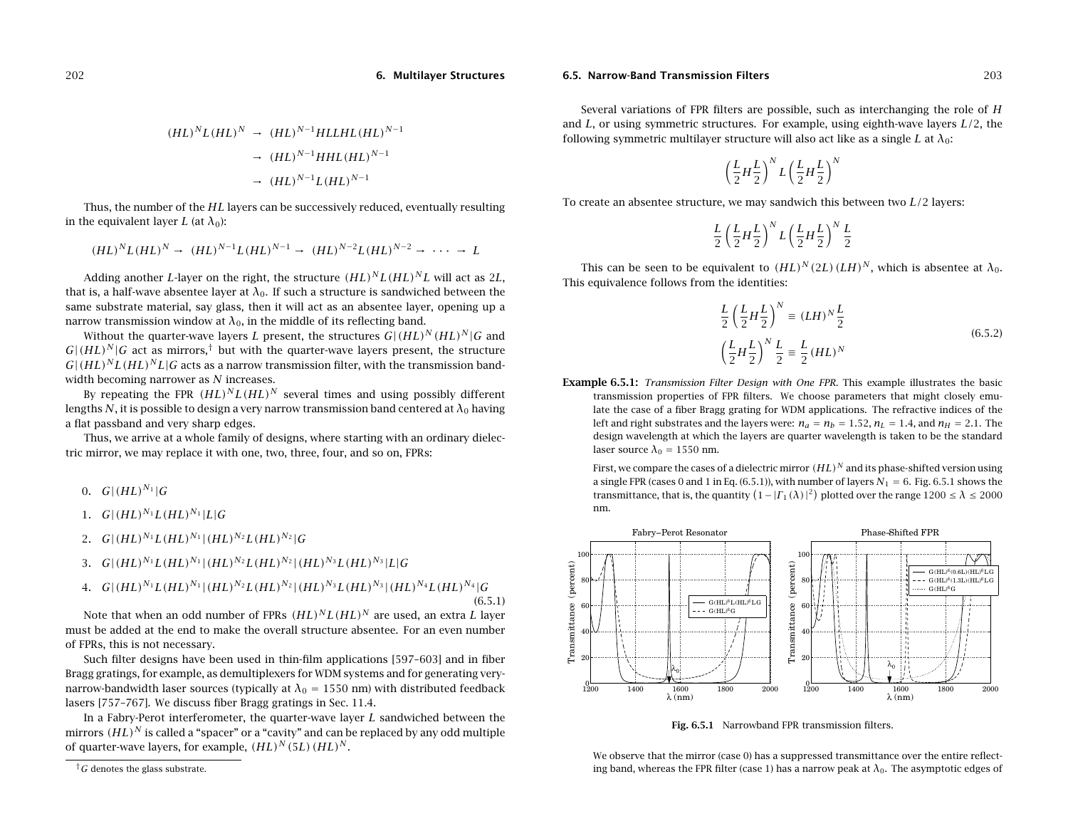(6.5.1)

$$
(HL)^{N}L(HL)^{N} \rightarrow (HL)^{N-1}HLLHL(HL)^{N-1}
$$

$$
\rightarrow (HL)^{N-1}HHL(HL)^{N-1}
$$

$$
\rightarrow (HL)^{N-1}L(HL)^{N-1}
$$

Thus, the number of the HL layers can be successively reduced, eventually resulting in the equivalent layer  $L$  (at  $\lambda_0$ ):

$$
(HL)^{N}L(HL)^{N} \rightarrow (HL)^{N-1}L(HL)^{N-1} \rightarrow (HL)^{N-2}L(HL)^{N-2} \rightarrow \cdots \rightarrow L
$$

Adding another L-layer on the right, the structure  $(HL)^NL(HL)^NL$  will act as 2L, that is, a half-wave absentee layer at  $\lambda_0$ . If such a structure is sandwiched between the same substrate material, say glass, then it will act as an absentee layer, opening up <sup>a</sup> narrow transmission window at  $\lambda_0$ , in the middle of its reflecting band.

Without the quarter-wave layers L present, the structures  $G|(HL)^N(HL)^N|G$  and  $G|(HL)^N|G$  act as mirrors,<sup>†</sup> but with the quarter-wave layers present, the structure  $G|(HL)^N L(HL)^N L|G$  acts as a narrow transmission filter, with the transmission bandwidth becoming narrower as N increases.

By repeating the FPR  $(HL)^NL(HL)^N$  several times and using possibly different lengths  $N$ , it is possible to design a very narrow transmission band centered at  $\lambda_0$  having <sup>a</sup> flat passband and very sharp edges.

Thus, we arrive at <sup>a</sup> whole family of designs, where starting with an ordinary dielectric mirror, we may replace it with one, two, three, four, and so on, FPRs:

- $0. \quad G \vert \, (HL)^{N_1} \vert \, G$
- 1.  $G|(HL)^{N_1}L(HL)^{N_1}|L|G$
- 2.  $G|(HL)^{N_1}L(HL)^{N_1}|(HL)^{N_2}L(HL)^{N_2}|G$
- $\,$ 3.  $\,$  G $\mid$  (HL) $^{N_{1}}$   $\mid$  (HL) $^{N_{2}}$   $\mid$  (HL) $^{N_{2}}$   $\mid$  (HL) $^{N_{3}}$   $\mid$  (HL) $^{N_{3}}$   $\mid$   $\mid$  G
- $4. \quad G \vert \, (HL)^{N_1} L \, (HL)^{N_1} \vert \, (HL)^{N_2} L \, (HL)^{N_2} \vert \, (HL)^{N_3} L \, (HL)^{N_3} \vert \, (HL)^{N_4} L \, (HL)^{N_4} \vert \, G$

Note that when an odd number of FPRs  $(HL)^N L(HL)^N$  are used, an extra L layer must be added at the end to make the overall structure absentee. For an even numberof FPRs, this is not necessary.

Such filter designs have been used in thin-film applications [597–603] and in fiber Bragg gratings, for example, as demultiplexers for WDM systems and for generating verynarrow-bandwidth laser sources (typically at  $\lambda_0$  = 1550 nm) with distributed feedback lasers [757–767]. We discuss fiber Bragg gratings in Sec. 11.4.

In a Fabry-Perot interferometer, the quarter-wave layer  $L$  sandwiched between the mirrors  $(HL)^N$  is called a "spacer" or a "cavity" and can be replaced by any odd multiple of quarter-wave layers, for example,  $(HL)^N(5L)$   $(HL)^N$ .

# **6.5. Narrow-Band Transmission Filters**

Several variations of FPR filters are possible, such as interchanging the role of  $H$ and L, or using symmetric structures. For example, using eighth-wave layers  $L/2$ , the following symmetric multilayer structure will also act like as a single L at  $\lambda_0$ :

$$
\left(\frac{L}{2}H\frac{L}{2}\right)^{N}L\left(\frac{L}{2}H\frac{L}{2}\right)^{N}
$$

To create an absentee structure, we may sandwich this between two  $L/2$  layers:

$$
\frac{L}{2} \left(\frac{L}{2}H\frac{L}{2}\right)^N L \left(\frac{L}{2}H\frac{L}{2}\right)^N \frac{L}{2}
$$

This can be seen to be equivalent to  $(HL)^N(2L)\,(LH)^N,$  which is absentee at  $\lambda_0.$ This equivalence follows from the identities:

$$
\frac{L}{2} \left(\frac{L}{2} H \frac{L}{2}\right)^N \equiv (LH)^N \frac{L}{2}
$$
\n
$$
\left(\frac{L}{2} H \frac{L}{2}\right)^N \frac{L}{2} \equiv \frac{L}{2} (HL)^N
$$
\n(6.5.2)

**Example 6.5.1:** *Transmission Filter Design with One FPR.* This example illustrates the basic transmission properties of FPR filters. We choose parameters that might closely emulate the case of <sup>a</sup> fiber Bragg grating for WDM applications. The refractive indices of the left and right substrates and the layers were:  $n_a=n_b=1.52,$   $n_L=1.4,$  and  $n_H=2.1.$  The design wavelength at which the layers are quarter wavelength is taken to be the standard laser source  $\lambda_0 = 1550$  nm.

First, we compare the cases of a dielectric mirror  $(HL)^N$  and its phase-shifted version using a single FPR (cases 0 and 1 in Eq. (6.5.1)), with number of layers  $N_1=6.$  Fig.  $6.5.1$  shows the transmittance, that is, the quantity  $(1-|{\Gamma_1(\lambda)}|^2)$  plotted over the range  $1200 \leq \lambda \leq 2000$ nm.



**Fig. 6.5.1** Narrowband FPR transmission filters.

We observe that the mirror (case 0) has <sup>a</sup> suppressed transmittance over the entire reflecting band, whereas the FPR filter (case 1) has a narrow peak at  $\lambda_0$ . The asymptotic edges of

 $\dagger$ *G* denotes the glass substrate.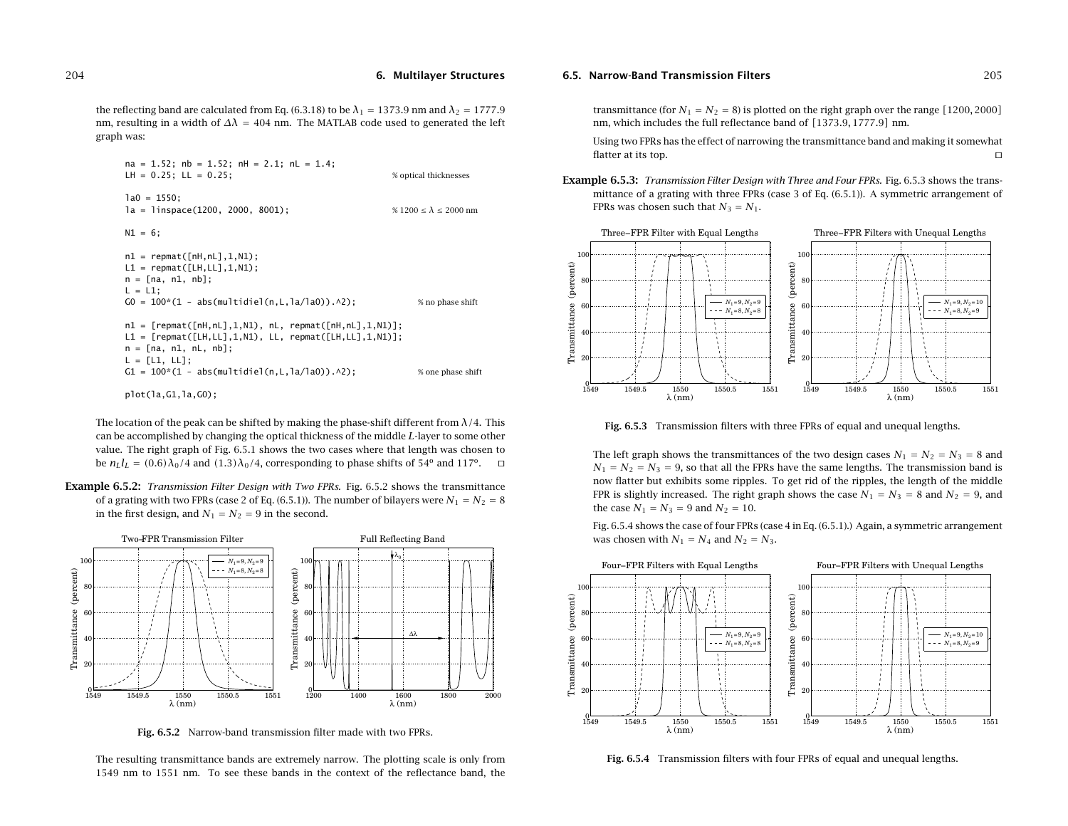the reflecting band are calculated from Eq. (6.3.18) to be  $\lambda_1 = 1373.9$  nm and  $\lambda_2 = 1777.9$ nm, resulting in a width of  $\Delta\lambda = 404$  nm. The MATLAB code used to generated the left graph was:

```
na = 1.52; nb = 1.52; nH = 2.1; nL = 1.4;
LH = 0.25; LL = 0.25; \frac{m}{25} % optical thicknesses
1a0 = 1550:
la = linspace(1200, 2000, 8001); \% 1200 \le \lambda \le 2000 nm
N1 = 6:
n1 = repmat([nH, nL], 1, N1);
L1 = repmat([LH, LL], 1, N1);
n = [na, n1, nb];
L = L1;
G0 = 100*(1 - abs(multidiel(n, L, la/la0)).<sup>2</sup>); % no phase shift
n1 = [repmat([nH,nL],1,N1), nL, repmat([nH,nL],1,N1)];
L1 = \text{[remat([LH, LL], 1, N1), LL, remat([LH, LL], 1, N1)];}n = [na, n1, nL, nb];
L = [L1, LL];G1 = 100*(1 - abs(multidien(n, L, la/la0)). A2); % one phase shift
plot(la,G1,la,G0);
```
The location of the peak can be shifted by making the phase-shift different from  $\lambda/4$ . This can be accomplished by changing the optical thickness of the middle L-layer to some other value. The right graph of Fig. 6.5.1 shows the two cases where that length was chosen to be  $n_Ll_L = (0.6)\lambda_0/4$  and  $(1.3)\lambda_0/4$ , corresponding to phase shifts of 54<sup>o</sup> and 117<sup>o</sup>.  $\Box$ 

**Example 6.5.2:** Transmission Filter Design with Two FPRs. Fig. 6.5.2 shows the transmittance of a grating with two FPRs (case 2 of Eq. (6.5.1)). The number of bilayers were  $N_1=N_2=8$ in the first design, and  $N_1=N_2=9$  in the second.



**Fig. 6.5.2** Narrow-band transmission filter made with two FPRs.

The resulting transmittance bands are extremely narrow. The plotting scale is only from 1549 nm to 1551 nm. To see these bands in the context of the reflectance band, the

#### **6.5. Narrow-Band Transmission Filters**

transmittance (for  $N_1 = N_2 = 8$ ) is plotted on the right graph over the range [1200, 2000] nm, which includes the full reflectance band of [1373.9, 1777.9] nm.

Using two FPRs has the effect of narrowing the transmittance band and making it somewhat flatter at its top.  $\Box$ 

**Example 6.5.3:** Transmission Filter Design with Three and Four FPRs. Fig. 6.5.3 shows the transmittance of <sup>a</sup> grating with three FPRs (case 3 of Eq. (6.5.1)). A symmetric arrangement of FPRs was chosen such that  $N_3=N_1.$ 



**Fig. 6.5.3** Transmission filters with three FPRs of equal and unequal lengths.

The left graph shows the transmittances of the two design cases  $N_1 = N_2 = N_3 = 8$  and  $N_1 = N_2 = N_3 = 9$ , so that all the FPRs have the same lengths. The transmission band is now flatter but exhibits some ripples. To get rid of the ripples, the length of the middle FPR is slightly increased. The right graph shows the case  $N_1 = N_3 = 8$  and  $N_2 = 9$ , and the case  $N_1 = N_3 = 9$  and  $N_2 = 10$ .

Fig. 6.5.4 shows the case of four FPRs (case 4 in Eq. (6.5.1).) Again, <sup>a</sup> symmetric arrangement was chosen with  $N_1=N_4$  and  $N_2=N_3.$ 



**Fig. 6.5.4** Transmission filters with four FPRs of equal and unequal lengths.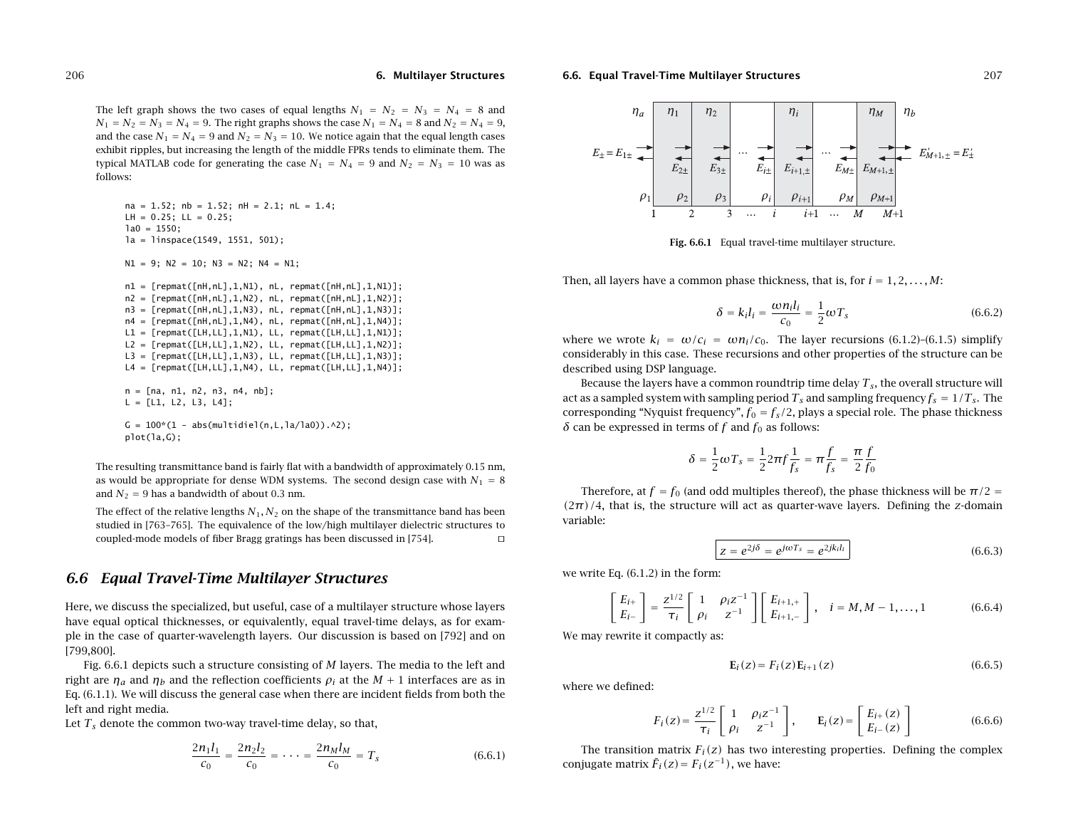The left graph shows the two cases of equal lengths  $N_1 = N_2 = N_3 = N_4 = 8$  and  $N_1 = N_2 = N_3 = N_4 = 9$ . The right graphs shows the case  $N_1 = N_4 = 8$  and  $N_2 = N_4 = 9$ , and the case  $N_1=N_4=9$  and  $N_2=N_3=10$ . We notice again that the equal length cases exhibit ripples, but increasing the length of the middle FPRs tends to eliminate them. The typical MATLAB code for generating the case  $N_1 = N_4 = 9$  and  $N_2 = N_3 = 10$  was as follows:

```
na = 1.52; nb = 1.52; nH = 2.1; nL = 1.4;
LH = 0.25; LL = 0.25;
1a0 = 1550:
la = linspace(1549, 1551, 501);
N1 = 9; N2 = 10; N3 = N2; N4 = N1;
n1 = [repmat([nH, nL], 1, N1), nL, repmat([nH, nL], 1, N1)];n2 = [repmat([nH,nL],1,N2), nL, repmat([nH,nL],1,N2)];
n3 = [repmat([nH, nL], 1, N3), nL, repmat([nH, nL], 1, N3)];n4 = [repmat([nH,nL],1,N4), nL, repmat([nH,nL],1,N4)];
L1 = [remat([LH, LL], 1, N1), LL, remat([LH, LL], 1, N1)];L2 = [repmat([LH,LL],1,N2), LL, repmat([LH,LL],1,N2)];
L3 = [repmat([LH,LL],1,N3), LL, repmat([LH,LL],1,N3)];
L4 = [remat([LH, LL], 1, N4), LL, remat([LH, LL], 1, N4)];n = \lceil na, n1, n2, n3, n4, nb \rceil;
L = [L1, L2, L3, L4];G = 100*(1 - abs(multidi(n, L, la/la0)).<sup>2</sup>);
plot(la,G);
```
The resulting transmittance band is fairly flat with <sup>a</sup> bandwidth of approximately 0.15 nm, as would be appropriate for dense WDM systems. The second design case with  $N_1\,=\,8$ and  $N_2=9$  has a bandwidth of about 0.3 nm.

The effect of the relative lengths  $N_1, N_2$  on the shape of the transmittance band has been studied in [763–765]. The equivalence of the low/high multilayer dielectric structures to coupled-mode models of fiber Bragg gratings has been discussed in [754].

# **6.6 Equal Travel-Time Multilayer Structures**

Here, we discuss the specialized, but useful, case of <sup>a</sup> multilayer structure whose layers have equal optical thicknesses, or equivalently, equal travel-time delays, as for example in the case of quarter-wavelength layers. Our discussion is based on [792] and on [799,800].

Fig. 6.6.1 depicts such <sup>a</sup> structure consisting of M layers. The media to the left and right are  $\eta_a$  and  $\eta_b$  and the reflection coefficients  $\rho_i$  at the  $M+1$  interfaces are as in Eq. (6.1.1). We will discuss the general case when there are incident fields from both the left and right media.

Let  $T_s$  denote the common two-way travel-time delay, so that,

$$
\frac{2n_1l_1}{c_0} = \frac{2n_2l_2}{c_0} = \dots = \frac{2n_Ml_M}{c_0} = T_s \tag{6.6.1}
$$

#### **6.6. Equal Travel-Time Multilayer Structures** 207



**Fig. 6.6.1** Equal travel-time multilayer structure.

Then, all layers have a common phase thickness, that is, for  $i = 1, 2, \ldots, M$ :

$$
\delta = k_i l_i = \frac{\omega n_i l_i}{c_0} = \frac{1}{2} \omega T_s \tag{6.6.2}
$$

where we wrote  $k_i = \omega/c_i = \omega n_i/c_0$ . The layer recursions (6.1.2)–(6.1.5) simplify considerably in this case. These recursions and other properties of the structure can be described using DSP language.

Because the layers have a common roundtrip time delay  $T<sub>s</sub>$ , the overall structure will act as a sampled system with sampling period  $T_s$  and sampling frequency  $f_s = 1/T_s$  . The corresponding "Nyquist frequency",  $f_0 = f_s/2$ , plays a special role. The phase thickness  $\delta$  can be expressed in terms of f and  $f_0$  as follows:

$$
\delta = \frac{1}{2}\omega T_s = \frac{1}{2}2\pi f \frac{1}{f_s} = \pi \frac{f}{f_s} = \frac{\pi}{2} \frac{f}{f_0}
$$

Therefore, at  $f=f_0$  (and odd multiples thereof), the phase thickness will be  $\pi/2=$  $(2\pi)/4$ , that is, the structure will act as quarter-wave layers. Defining the z-domain variable:

$$
Z = e^{2j\delta} = e^{j\omega T_s} = e^{2jk_lI_l}
$$
 (6.6.3)

we write Eq. (6.1.2) in the form:

$$
\begin{bmatrix} E_{i+} \\ E_{i-} \end{bmatrix} = \frac{Z^{1/2}}{\tau_i} \begin{bmatrix} 1 & \rho_i Z^{-1} \\ \rho_i & Z^{-1} \end{bmatrix} \begin{bmatrix} E_{i+1,+} \\ E_{i+1,-} \end{bmatrix}, \quad i = M, M-1, \dots, 1
$$
 (6.6.4)

We may rewrite it compactly as:

$$
\mathbf{E}_{i}(z) = F_{i}(z)\,\mathbf{E}_{i+1}(z) \tag{6.6.5}
$$

where we defined:

$$
F_i(z) = \frac{z^{1/2}}{\tau_i} \begin{bmatrix} 1 & \rho_i z^{-1} \\ \rho_i & z^{-1} \end{bmatrix}, \qquad E_i(z) = \begin{bmatrix} E_{i+}(z) \\ E_{i-}(z) \end{bmatrix}
$$
(6.6.6)

The transition matrix  $F_i(z)$  has two interesting properties. Defining the complex conjugate matrix  $\bar{F}_i(z)$  =  $F_i(z^{-1})$ , we have: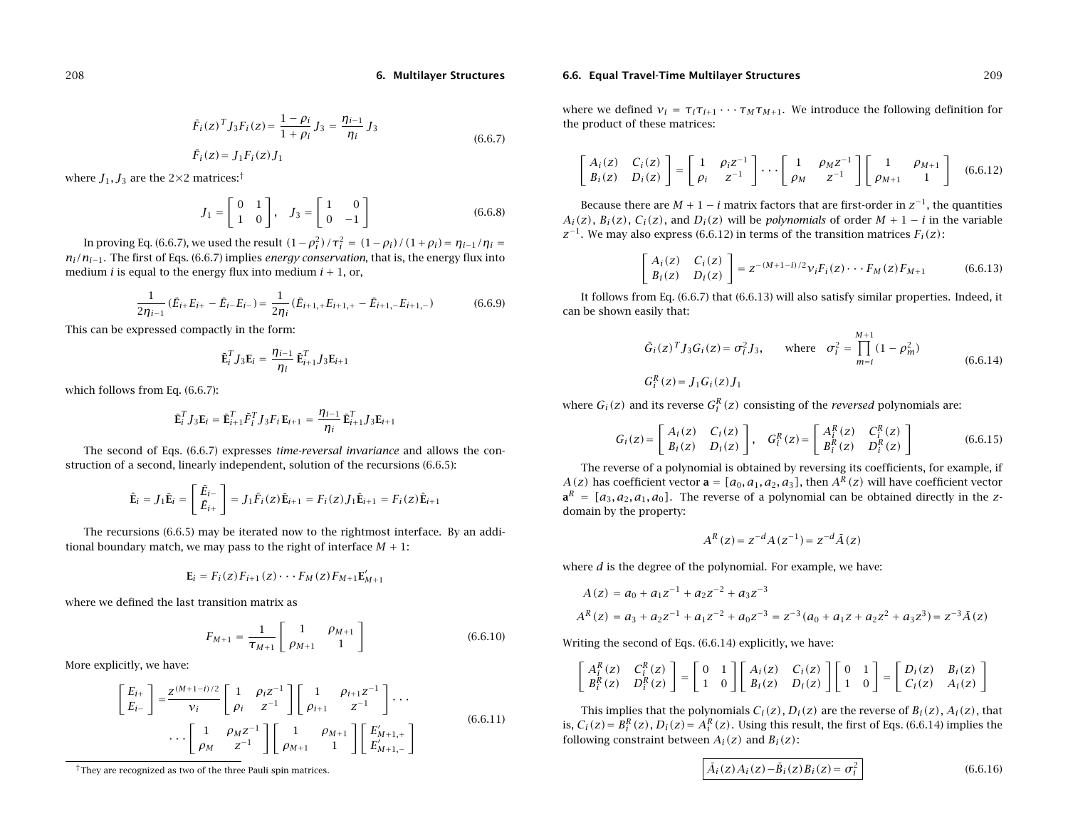### $\bar{F}_i(z)^T J_3 F_i(z) = \frac{1 - \rho_i}{1 - \rho_i}$  $\frac{1-\rho_i}{1+\rho_i} J_3 = \frac{\eta_{i-1}}{\eta_i} J_3$  $\bar{F}_i(z) = J_1 F_i(z) J_1$  $(6.6.7)$

where  $J_1,J_3$  are the 2 $\times$ 2 matrices: $^\dagger$ 

$$
J_1 = \begin{bmatrix} 0 & 1 \\ 1 & 0 \end{bmatrix}, \quad J_3 = \begin{bmatrix} 1 & 0 \\ 0 & -1 \end{bmatrix}
$$
 (6.6.8)

In proving Eq. (6.6.7), we used the result  $(1 - \rho_i^2)/\tau_i^2 = (1 - \rho_i)/(1 + \rho_i) = \eta_{i-1}/\eta_i =$  $n_i/n_{i-1}$ . The first of Eqs. (6.6.7) implies *energy conservation*, that is, the energy flux into medium *i* is equal to the energy flux into medium  $i + 1$ , or,

$$
\frac{1}{2\eta_{i-1}}\left(\bar{E}_{i+}E_{i+}-\bar{E}_{i-}E_{i-}\right)=\frac{1}{2\eta_i}\left(\bar{E}_{i+1,+}\bar{E}_{i+1,+}-\bar{E}_{i+1,-}\bar{E}_{i+1,-}\right)\tag{6.6.9}
$$

This can be expressed compactly in the form:

$$
\bar{\mathbf{E}}_i^T J_3 \mathbf{E}_i = \frac{\eta_{i-1}}{\eta_i} \bar{\mathbf{E}}_{i+1}^T J_3 \mathbf{E}_{i+1}
$$

which follows from Eq. (6.6.7):

$$
\bar{\mathbf{E}}_i^T J_3 \mathbf{E}_i = \bar{\mathbf{E}}_{i+1}^T \bar{F}_i^T J_3 F_i \mathbf{E}_{i+1} = \frac{\eta_{i-1}}{\eta_i} \bar{\mathbf{E}}_{i+1}^T J_3 \mathbf{E}_{i+1}
$$

The second of Eqs. (6.6.7) expresses time-reversal invariance and allows the construction of <sup>a</sup> second, linearly independent, solution of the recursions (6.6.5):

$$
\hat{\mathbf{E}}_i = J_1 \bar{\mathbf{E}}_i = \begin{bmatrix} \bar{E}_{i-} \\ \bar{E}_{i+} \end{bmatrix} = J_1 \bar{F}_i(z) \bar{\mathbf{E}}_{i+1} = F_i(z) J_1 \bar{\mathbf{E}}_{i+1} = F_i(z) \hat{\mathbf{E}}_{i+1}
$$

The recursions (6.6.5) may be iterated now to the rightmost interface. By an additional boundary match, we may pass to the right of interface  $M+1$ :

$$
E_i = F_i(z) F_{i+1}(z) \cdots F_M(z) F_{M+1} E'_{M+1}
$$

where we defined the last transition matrix as

$$
F_{M+1} = \frac{1}{\tau_{M+1}} \begin{bmatrix} 1 & \rho_{M+1} \\ \rho_{M+1} & 1 \end{bmatrix}
$$
 (6.6.10)

More explicitly, we have:

$$
\begin{bmatrix} E_{i+} \\ E_{i-} \end{bmatrix} = \frac{z^{(M+1-i)/2}}{\nu_i} \begin{bmatrix} 1 & \rho_i z^{-1} \\ \rho_i & z^{-1} \end{bmatrix} \begin{bmatrix} 1 & \rho_{i+1} z^{-1} \\ \rho_{i+1} & z^{-1} \end{bmatrix} \cdots
$$

$$
\cdots \begin{bmatrix} 1 & \rho_M z^{-1} \\ \rho_M & z^{-1} \end{bmatrix} \begin{bmatrix} 1 & \rho_{M+1} \\ \rho_{M+1} & 1 \end{bmatrix} \begin{bmatrix} E'_{M+1,+} \\ E'_{M+1,-} \end{bmatrix}
$$
(6.6.11)

# where we defined  $v_i = \tau_i \tau_{i+1} \cdots \tau_M \tau_{M+1}$ . We introduce the following definition for the product of these matrices:

$$
\begin{bmatrix} A_i(z) & C_i(z) \\ B_i(z) & D_i(z) \end{bmatrix} = \begin{bmatrix} 1 & \rho_i z^{-1} \\ \rho_i & z^{-1} \end{bmatrix} \cdots \begin{bmatrix} 1 & \rho_M z^{-1} \\ \rho_M & z^{-1} \end{bmatrix} \begin{bmatrix} 1 & \rho_{M+1} \\ \rho_{M+1} & 1 \end{bmatrix} \tag{6.6.12}
$$

Because there are  $M+1-i$  matrix factors that are first-order in  $\boldsymbol{z}^{-1},$  the quantities  $A_i(z)$ ,  $B_i(z)$ ,  $C_i(z)$ , and  $D_i(z)$  will be *polynomials* of order  $M+1-i$  in the variable  $z^{-1}$ . We may also express (6.6.12) in terms of the transition matrices  $F_i(z)$ :

$$
\begin{bmatrix} A_i(z) & C_i(z) \\ B_i(z) & D_i(z) \end{bmatrix} = z^{-(M+1-i)/2} v_i F_i(z) \cdots F_M(z) F_{M+1}
$$
 (6.6.13)

It follows from Eq. (6.6.7) that (6.6.13) will also satisfy similar properties. Indeed, it can be shown easily that:

$$
\bar{G}_i(z)^T J_3 G_i(z) = \sigma_i^2 J_3
$$
, where  $\sigma_i^2 = \prod_{m=i}^{M+1} (1 - \rho_m^2)$  (6.6.14)

$$
G_i^R(z) = J_1 G_i(z) J_1
$$

where  $G_i(z)$  and its reverse  $G_i^R(z)$  consisting of the *reversed* polynomials are:

$$
G_i(z) = \begin{bmatrix} A_i(z) & C_i(z) \\ B_i(z) & D_i(z) \end{bmatrix}, \quad G_i^R(z) = \begin{bmatrix} A_i^R(z) & C_i^R(z) \\ B_i^R(z) & D_i^R(z) \end{bmatrix}
$$
(6.6.15)

The reverse of <sup>a</sup> polynomial is obtained by reversing its coefficients, for example, if  $A(z)$  has coefficient vector  $\mathbf{a} = [a_0, a_1, a_2, a_3]$ , then  $A^R(z)$  will have coefficient vector  ${\bf a}^R = [a_3, a_2, a_1, a_0]$ . The reverse of a polynomial can be obtained directly in the zdomain by the property:

$$
A^{R}(z) = z^{-d} A(z^{-1}) = z^{-d} \bar{A}(z)
$$

where *d* is the degree of the polynomial. For example, we have:

$$
A(z) = a_0 + a_1 z^{-1} + a_2 z^{-2} + a_3 z^{-3}
$$
  
\n
$$
A^R(z) = a_3 + a_2 z^{-1} + a_1 z^{-2} + a_0 z^{-3} = z^{-3} (a_0 + a_1 z + a_2 z^2 + a_3 z^3) = z^{-3} \overline{A}(z)
$$

Writing the second of Eqs. (6.6.14) explicitly, we have:

$$
\begin{bmatrix} A_i^R(z) & C_i^R(z) \\ B_i^R(z) & D_i^R(z) \end{bmatrix} = \begin{bmatrix} 0 & 1 \\ 1 & 0 \end{bmatrix} \begin{bmatrix} A_i(z) & C_i(z) \\ B_i(z) & D_i(z) \end{bmatrix} \begin{bmatrix} 0 & 1 \\ 1 & 0 \end{bmatrix} = \begin{bmatrix} D_i(z) & B_i(z) \\ C_i(z) & A_i(z) \end{bmatrix}
$$

This implies that the polynomials  $C_i(z)$ ,  $D_i(z)$  are the reverse of  $B_i(z)$ ,  $A_i(z)$ , that is,  $C_i(z) = B_i^R(z)$  ,  $D_i(z) = A_i^R(z)$  . Using this result, the first of Eqs. (6.6.14) implies the following constraint between  $A_i(z)$  and  $B_i(z)$ :

$$
\bar{A}_i(z)A_i(z) - \bar{B}_i(z)B_i(z) = \sigma_i^2
$$

(6.6.16)

<sup>†</sup>They are recognized as two of the three Pauli spin matrices.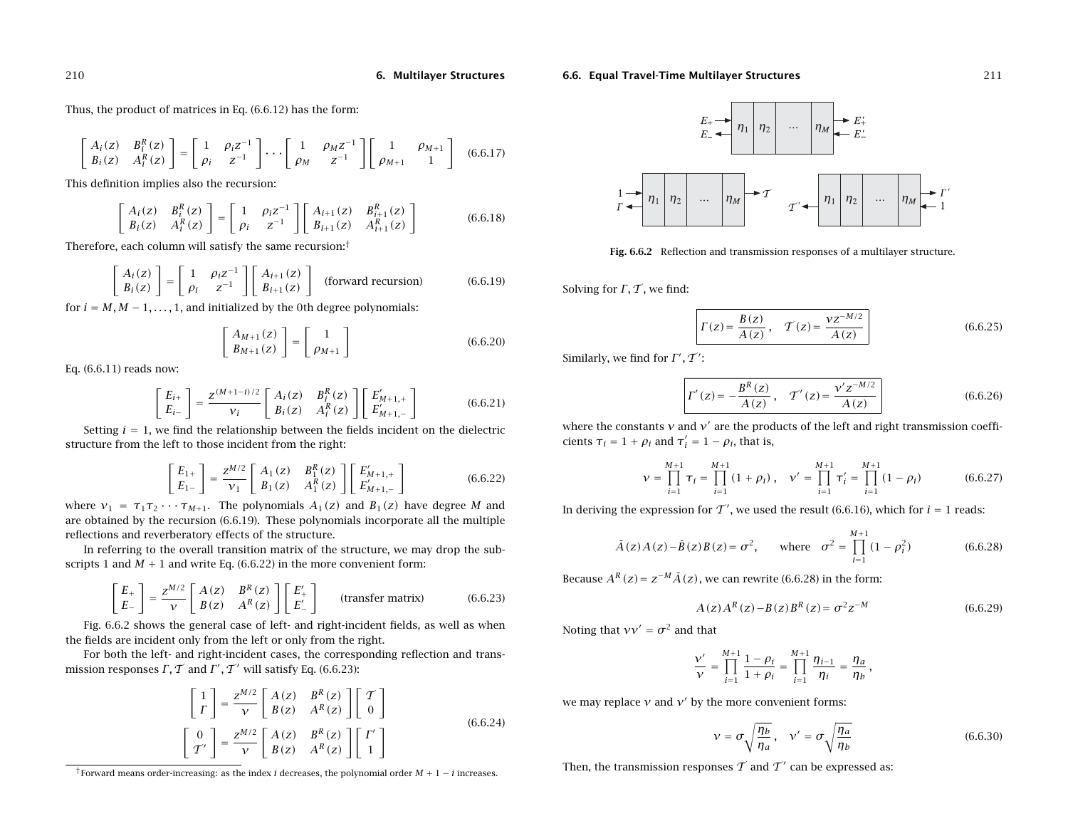#### Thus, the product of matrices in Eq. (6.6.12) has the form:

$$
\begin{bmatrix}\nA_i(z) & B_i^R(z) \\
B_i(z) & A_i^R(z)\n\end{bmatrix} =\n\begin{bmatrix}\n1 & \rho_i z^{-1} \\
\rho_i & z^{-1}\n\end{bmatrix}\n\cdots\n\begin{bmatrix}\n1 & \rho_M z^{-1} \\
\rho_M & z^{-1}\n\end{bmatrix}\n\begin{bmatrix}\n1 & \rho_{M+1} \\
\rho_{M+1} & 1\n\end{bmatrix}
$$
\n(6.6.17)

This definition implies also the recursion:

$$
\begin{bmatrix} A_i(z) & B_i^R(z) \\ B_i(z) & A_i^R(z) \end{bmatrix} = \begin{bmatrix} 1 & \rho_i z^{-1} \\ \rho_i & z^{-1} \end{bmatrix} \begin{bmatrix} A_{i+1}(z) & B_{i+1}^R(z) \\ B_{i+1}(z) & A_{i+1}^R(z) \end{bmatrix}
$$
(6.6.18)

Therefore, each column will satisfy the same recursion:<sup>†</sup>

$$
\begin{bmatrix} A_i(z) \\ B_i(z) \end{bmatrix} = \begin{bmatrix} 1 & \rho_i z^{-1} \\ \rho_i & z^{-1} \end{bmatrix} \begin{bmatrix} A_{i+1}(z) \\ B_{i+1}(z) \end{bmatrix}
$$
 (forward recursion) (6.6.19)

for  $i = M, M - 1, \ldots, 1$ , and initialized by the 0th degree polynomials:

$$
\begin{bmatrix} A_{M+1}(z) \\ B_{M+1}(z) \end{bmatrix} = \begin{bmatrix} 1 \\ \rho_{M+1} \end{bmatrix}
$$
 (6.6.20)

Eq. (6.6.11) reads now:

$$
\begin{bmatrix} E_{i+} \\ E_{i-} \end{bmatrix} = \frac{z^{(M+1-i)/2}}{\nu_i} \begin{bmatrix} A_i(z) & B_i^R(z) \\ B_i(z) & A_i^R(z) \end{bmatrix} \begin{bmatrix} E'_{M+1,+} \\ E'_{M+1,-} \end{bmatrix}
$$
(6.6.21)

Setting  $i = 1$ , we find the relationship between the fields incident on the dielectric structure from the left to those incident from the right:

$$
\begin{bmatrix} E_{1+} \\ E_{1-} \end{bmatrix} = \frac{Z^{M/2}}{\nu_1} \begin{bmatrix} A_1(z) & B_1^R(z) \\ B_1(z) & A_1^R(z) \end{bmatrix} \begin{bmatrix} E'_{M+1,+} \\ E'_{M+1,-} \end{bmatrix}
$$
(6.6.22)

where  $v_1 = \tau_1 \tau_2 \cdots \tau_{M+1}$ . The polynomials  $A_1(z)$  and  $B_1(z)$  have degree M and are obtained by the recursion (6.6.19). These polynomials incorporate all the multiple reflections and reverberatory effects of the structure.

In referring to the overall transition matrix of the structure, we may drop the subscripts 1 and  $M + 1$  and write Eq. (6.6.22) in the more convenient form:

$$
\begin{bmatrix} E_{+} \\ E_{-} \end{bmatrix} = \frac{z^{M/2}}{\nu} \begin{bmatrix} A(z) & B^{R}(z) \\ B(z) & A^{R}(z) \end{bmatrix} \begin{bmatrix} E'_{+} \\ E'_{-} \end{bmatrix}
$$
 (transfer matrix) (6.6.23)

Fig. 6.6.2 shows the general case of left- and right-incident fields, as well as when the fields are incident only from the left or only from the right.

For both the left- and right-incident cases, the corresponding reflection and transmission responses  $\Gamma, \mathcal{T}$  and  $\Gamma', \mathcal{T}'$  will satisfy Eq. (6.6.23):

$$
\begin{bmatrix} 1 \\ \Gamma \end{bmatrix} = \frac{z^{M/2}}{v} \begin{bmatrix} A(z) & B^R(z) \\ B(z) & A^R(z) \end{bmatrix} \begin{bmatrix} \mathcal{T} \\ 0 \end{bmatrix}
$$
\n
$$
\begin{bmatrix} 0 \\ \mathcal{T}' \end{bmatrix} = \frac{z^{M/2}}{v} \begin{bmatrix} A(z) & B^R(z) \\ B(z) & A^R(z) \end{bmatrix} \begin{bmatrix} \Gamma' \\ 1 \end{bmatrix}
$$
\n(6.6.24)

†Forward means order-increasing: as the index *i* decreases, the polynomial order  $M + 1 - i$  increases.



**Fig. 6.6.2** Reflection and transmission responses of <sup>a</sup> multilayer structure.

Solving for  $\Gamma$ ,  $\mathcal T$ , we find:

$$
\Gamma(z) = \frac{B(z)}{A(z)}, \quad \mathcal{T}(z) = \frac{\nu z^{-M/2}}{A(z)}
$$
\n(6.6.25)

Similarly, we find for  $\mathit{\Gamma}', \mathcal{T}'$  :

$$
\Gamma'(z) = -\frac{B^{R}(z)}{A(z)}, \quad \mathcal{T}'(z) = \frac{\nu' z^{-M/2}}{A(z)}
$$
(6.6.26)

where the constants  $v$  and  $v'$  are the products of the left and right transmission coefficients  $\tau_i = 1 + \rho_i$  and  $\tau'_i = 1 - \rho_i$ , that is,

$$
\nu = \prod_{i=1}^{M+1} \tau_i = \prod_{i=1}^{M+1} (1 + \rho_i), \quad \nu' = \prod_{i=1}^{M+1} \tau'_i = \prod_{i=1}^{M+1} (1 - \rho_i)
$$
(6.6.27)

In deriving the expression for  $\mathcal{T}'$ , we used the result (6.6.16), which for  $i = 1$  reads:

$$
\bar{A}(z)A(z) - \bar{B}(z)B(z) = \sigma^2, \quad \text{where} \quad \sigma^2 = \prod_{i=1}^{M+1} (1 - \rho_i^2) \tag{6.6.28}
$$

Because  $A^{R}(z)= z^{-M}\bar{A}(z)$  , we can rewrite (6.6.28) in the form:

$$
A(z) AR(z) - B(z) BR(z) = \sigma2 z-M
$$
 (6.6.29)

Noting that  $vv' = \sigma^2$  and that

$$
\frac{\nu'}{\nu} = \prod_{i=1}^{M+1} \frac{1-\rho_i}{1+\rho_i} = \prod_{i=1}^{M+1} \frac{\eta_{i-1}}{\eta_i} = \frac{\eta_a}{\eta_b},
$$

we may replace  $\nu$  and  $\nu'$  by the more convenient forms:

$$
\nu = \sigma \sqrt{\frac{\eta_b}{\eta_a}}, \quad \nu' = \sigma \sqrt{\frac{\eta_a}{\eta_b}}
$$
(6.6.30)

Then, the transmission responses  ${\cal T}$  and  ${\cal T}'$  can be expressed as:

210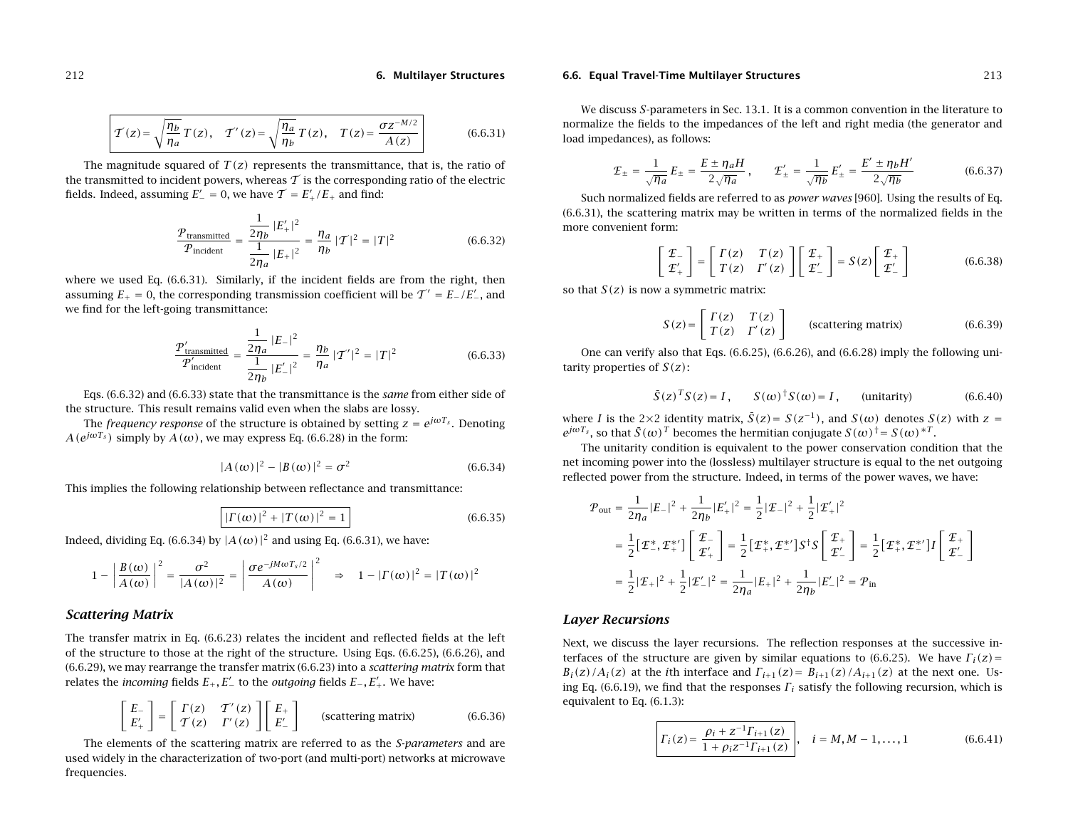$$
\mathcal{T}(z) = \sqrt{\frac{\eta_b}{\eta_a}} T(z), \quad \mathcal{T}'(z) = \sqrt{\frac{\eta_a}{\eta_b}} T(z), \quad T(z) = \frac{\sigma z^{-M/2}}{A(z)}
$$
(6.6.31)

The magnitude squared of  $T(z)$  represents the transmittance, that is, the ratio of the transmitted to incident powers, whereas  $\mathcal T$  is the corresponding ratio of the electric fields. Indeed, assuming  $E_-' = 0$ , we have  $\mathcal{T} = E_+'/E_+$  and find:

$$
\frac{p_{\text{transmitted}}}{p_{\text{incident}}} = \frac{\frac{1}{2\eta_b} |E_+|^2}{\frac{1}{2\eta_a} |E_+|^2} = \frac{\eta_a}{\eta_b} |\mathcal{T}|^2 = |\mathcal{T}|^2 \tag{6.6.32}
$$

where we used Eq. (6.6.31). Similarly, if the incident fields are from the right, then assuming  $E_+ = 0$ , the corresponding transmission coefficient will be  $\mathcal{T}' = E_-/E'_-,$  and we find for the left-going transmittance:

$$
\frac{\mathcal{P}_{\text{transmitted}}'}{\mathcal{P}_{\text{incident}}'} = \frac{\frac{1}{2\eta_a} |E_-|^2}{\frac{1}{2\eta_b} |E_-'|^2} = \frac{\eta_b}{\eta_a} |\mathcal{T}'|^2 = |\mathcal{T}|^2 \tag{6.6.33}
$$

Eqs. (6.6.32) and (6.6.33) state that the transmittance is the same from either side of the structure. This result remains valid even when the slabs are lossy.

The *frequency response* of the structure is obtained by setting  $z = e^{j\omega T_s}$ . Denoting  $A(e^{j\omega T_s})$  simply by  $A(\omega)$ , we may express Eq. (6.6.28) in the form:

$$
|A(\omega)|^2 - |B(\omega)|^2 = \sigma^2 \tag{6.6.34}
$$

This implies the following relationship between reflectance and transmittance:

$$
|\Gamma(\omega)|^2 + |\Gamma(\omega)|^2 = 1
$$
 (6.6.35)

Indeed, dividing Eq. (6.6.34) by  $|A(\omega)|^2$  and using Eq. (6.6.31), we have:

$$
1 - \left| \frac{B(\omega)}{A(\omega)} \right|^2 = \frac{\sigma^2}{|A(\omega)|^2} = \left| \frac{\sigma e^{-jM\omega T_s/2}}{A(\omega)} \right|^2 \Rightarrow 1 - | \Gamma(\omega) |^2 = | \Gamma(\omega) |^2
$$

# **Scattering Matrix**

The transfer matrix in Eq. (6.6.23) relates the incident and reflected fields at the left of the structure to those at the right of the structure. Using Eqs. (6.6.25), (6.6.26), and (6.6.29), we may rearrange the transfer matrix (6.6.23) into <sup>a</sup> scattering matrix form that relates the *incoming* fields  $E_+,E'_-$  to the *outgoing* fields  $E_-,E'_+$ . We have:

$$
\begin{bmatrix} E_{-} \\ E'_{+} \end{bmatrix} = \begin{bmatrix} \Gamma(z) & \mathcal{T}'(z) \\ \mathcal{T}(z) & \Gamma'(z) \end{bmatrix} \begin{bmatrix} E_{+} \\ E'_{-} \end{bmatrix} \qquad \text{(scattering matrix)} \tag{6.6.36}
$$

The elements of the scattering matrix are referred to as the *S-parameters* and are used widely in the characterization of two-port (and multi-port) networks at microwave frequencies.

#### **6.6. Equal Travel-Time Multilayer Structures** 213

We discuss  $S$ -parameters in Sec. 13.1. It is a common convention in the literature to normalize the fields to the impedances of the left and right media (the generator and load impedances), as follows:

$$
\mathcal{L}_{\pm} = \frac{1}{\sqrt{\eta_a}} E_{\pm} = \frac{E \pm \eta_a H}{2\sqrt{\eta_a}}, \qquad \mathcal{L}'_{\pm} = \frac{1}{\sqrt{\eta_b}} E'_{\pm} = \frac{E' \pm \eta_b H'}{2\sqrt{\eta_b}}
$$
(6.6.37)

Such normalized fields are referred to as *power waves* [960]. Using the results of Eq. (6.6.31), the scattering matrix may be written in terms of the normalized fields in the more convenient form:

$$
\begin{bmatrix} \mathcal{I}_{-} \\ \mathcal{I}'_{+} \end{bmatrix} = \begin{bmatrix} \Gamma(z) & T(z) \\ T(z) & \Gamma'(z) \end{bmatrix} \begin{bmatrix} \mathcal{I}_{+} \\ \mathcal{I}'_{-} \end{bmatrix} = S(z) \begin{bmatrix} \mathcal{I}_{+} \\ \mathcal{I}'_{-} \end{bmatrix} \tag{6.6.38}
$$

so that  $S(z)$  is now a symmetric matrix:

$$
S(z) = \begin{bmatrix} \Gamma(z) & T(z) \\ T(z) & \Gamma'(z) \end{bmatrix} \qquad \text{(scattering matrix)} \tag{6.6.39}
$$

One can verify also that Eqs. (6.6.25), (6.6.26), and (6.6.28) imply the following unitarity properties of  $S(z)$ :

$$
\bar{S}(z)^{T} S(z) = I, \qquad S(\omega)^{\dagger} S(\omega) = I, \qquad \text{(unitarity)} \tag{6.6.40}
$$

where I is the 2×2 identity matrix,  $\bar{S}(z) = S(z^{-1})$ , and  $S(\omega)$  denotes  $S(z)$  with  $z =$  $e^{j\omega T_s}$ , so that  $\bar{S}(\omega)^T$  becomes the hermitian conjugate  $S(\omega)^\dag$  =  $S(\omega)^{\ast T}.$ 

The unitarity condition is equivalent to the power conservation condition that the net incoming power into the (lossless) multilayer structure is equal to the net outgoing reflected power from the structure. Indeed, in terms of the power waves, we have:

$$
\mathcal{P}_{\text{out}} = \frac{1}{2\eta_a} |E_-|^2 + \frac{1}{2\eta_b} |E_+'|^2 = \frac{1}{2} |\mathcal{F}_-|^2 + \frac{1}{2} |\mathcal{F}_+'|^2
$$
\n
$$
= \frac{1}{2} [\mathcal{F}_-^*, \mathcal{F}_+^*'] \left[ \frac{\mathcal{F}_-}{\mathcal{F}_+'} \right] = \frac{1}{2} [\mathcal{F}_+^*, \mathcal{F}_-^*'] S^\dagger S \left[ \frac{\mathcal{F}_+}{\mathcal{F}_-'} \right] = \frac{1}{2} [\mathcal{F}_+^*, \mathcal{F}_-^*'] I \left[ \frac{\mathcal{F}_+}{\mathcal{F}_-'} \right]
$$
\n
$$
= \frac{1}{2} |\mathcal{F}_+|^2 + \frac{1}{2} |\mathcal{F}_-'|^2 = \frac{1}{2\eta_a} |E_+|^2 + \frac{1}{2\eta_b} |E_-'|^2 = \mathcal{P}_{\text{in}}
$$

# **Layer Recursions**

Next, we discuss the layer recursions. The reflection responses at the successive interfaces of the structure are given by similar equations to (6.6.25). We have  $\Gamma_i(z)$  $B_i(z)/A_i(z)$  at the *i*th interface and  $\Gamma_{i+1}(z) = B_{i+1}(z)/A_{i+1}(z)$  at the next one. Using Eq. (6.6.19), we find that the responses  $\Gamma_i$  satisfy the following recursion, which is equivalent to Eq. (6.1.3):

$$
\left| \Gamma_i(z) = \frac{\rho_i + z^{-1} \Gamma_{i+1}(z)}{1 + \rho_i z^{-1} \Gamma_{i+1}(z)} \right|, \quad i = M, M - 1, \dots, 1 \tag{6.6.41}
$$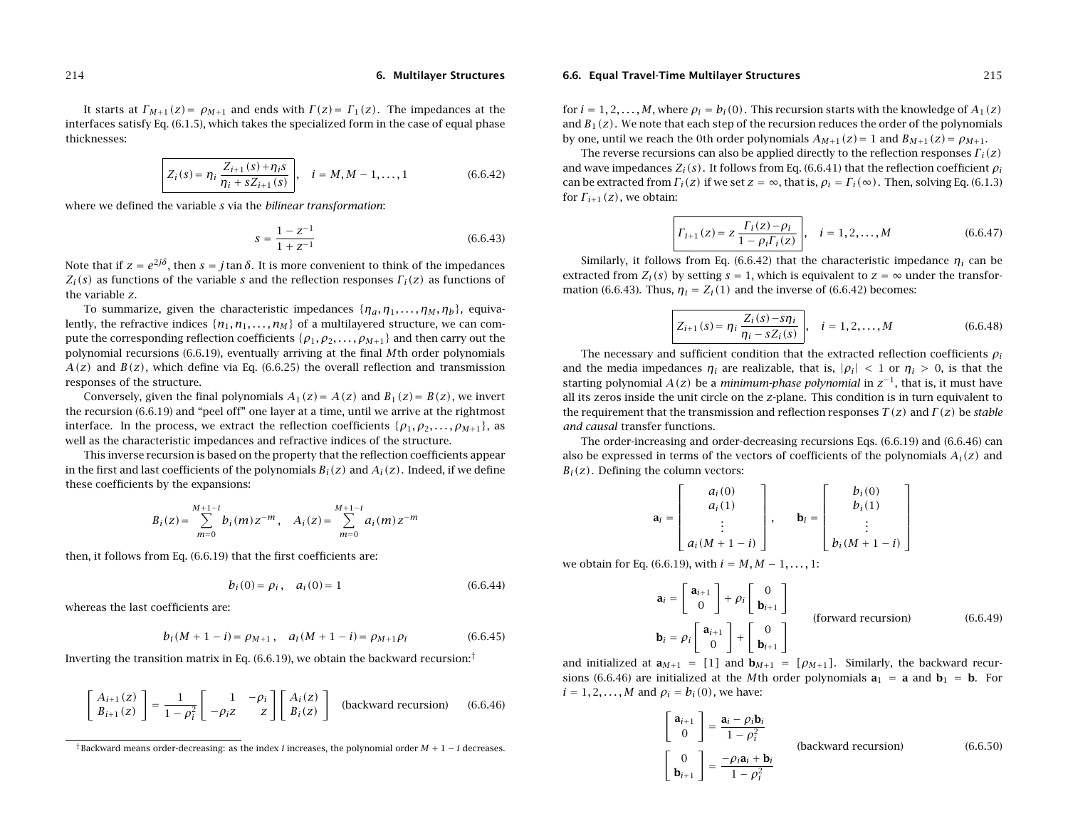It starts at  $\Gamma_{M+1}(z) = \rho_{M+1}$  and ends with  $\Gamma(z) = \Gamma_1(z)$ . The impedances at the interfaces satisfy Eq. (6.1.5), which takes the specialized form in the case of equal phase thicknesses:

$$
Z_i(s) = \eta_i \frac{Z_{i+1}(s) + \eta_i s}{\eta_i + sZ_{i+1}(s)}, \quad i = M, M-1, ..., 1
$$
 (6.6.42)

where we defined the variable *s* via the *bilinear transformation*:

$$
s = \frac{1 - z^{-1}}{1 + z^{-1}}\tag{6.6.43}
$$

Note that if  $z = e^{2i\delta}$ , then  $s = j \tan \delta$ . It is more convenient to think of the impedances  $Z_i(s)$  as functions of the variable s and the reflection responses  $\Gamma_i(z)$  as functions of the variable z.

To summarize, given the characteristic impedances  $\{\eta_a, \eta_1, \ldots, \eta_M, \eta_b\}$ , equivalently, the refractive indices  $\{n_1, n_1, \ldots, n_M\}$  of a multilayered structure, we can compute the corresponding reflection coefficients  $\{\rho_1, \rho_2, \ldots, \rho_{M+1}\}$  and then carry out the polynomial recursions (6.6.19), eventually arriving at the final Mth order polynomials  $A(z)$  and  $B(z)$ , which define via Eq. (6.6.25) the overall reflection and transmission responses of the structure.

Conversely, given the final polynomials  $A_1(z) = A(z)$  and  $B_1(z) = B(z)$ , we invert the recursion (6.6.19) and "peel off" one layer at <sup>a</sup> time, until we arrive at the rightmost interface. In the process, we extract the reflection coefficients  $\{ \rho_1, \rho_2, \ldots, \rho_{M+1} \}$ , as well as the characteristic impedances and refractive indices of the structure.

This inverse recursion is based on the property that the reflection coefficients appear in the first and last coefficients of the polynomials  $B_i(z)$  and  $A_i(z)$ . Indeed, if we define these coefficients by the expansions:

$$
B_i(z) = \sum_{m=0}^{M+1-i} b_i(m) z^{-m}, \quad A_i(z) = \sum_{m=0}^{M+1-i} a_i(m) z^{-m}
$$

then, it follows from Eq. (6.6.19) that the first coefficients are:

$$
b_i(0) = \rho_i, \quad a_i(0) = 1 \tag{6.6.44}
$$

whereas the last coefficients are:

$$
b_i(M+1-i) = \rho_{M+1}, \quad a_i(M+1-i) = \rho_{M+1}\rho_i \tag{6.6.45}
$$

Inverting the transition matrix in Eq.  $(6.6.19)$ , we obtain the backward recursion:<sup>†</sup>

$$
\begin{bmatrix} A_{i+1}(z) \\ B_{i+1}(z) \end{bmatrix} = \frac{1}{1 - \rho_i^2} \begin{bmatrix} 1 & -\rho_i \\ -\rho_i z & z \end{bmatrix} \begin{bmatrix} A_i(z) \\ B_i(z) \end{bmatrix}
$$
 (backward recursion) (6.6.46)

#### **6.6. Equal Travel-Time Multilayer Structures** 215

for  $i = 1, 2, ..., M$ , where  $\rho_i = b_i(0)$ . This recursion starts with the knowledge of  $A_1(z)$ and  $B_1(z)$ . We note that each step of the recursion reduces the order of the polynomials by one, until we reach the 0th order polynomials  $A_{M+1}(z) = 1$  and  $B_{M+1}(z) = \rho_{M+1}$ .

The reverse recursions can also be applied directly to the reflection responses  $\Gamma_i(z)$ and wave impedances  $Z_i(s)$ . It follows from Eq. (6.6.41) that the reflection coefficient  $\rho_i$ can be extracted from  $\Gamma_i(z)$  if we set  $z = \infty$ , that is,  $\rho_i = \Gamma_i(\infty)$ . Then, solving Eq. (6.1.3) for  $\Gamma_{i+1}(z)$ , we obtain:

$$
\Gamma_{i+1}(z) = z \frac{\Gamma_i(z) - \rho_i}{1 - \rho_i \Gamma_i(z)}, \quad i = 1, 2, ..., M
$$
\n(6.6.47)

Similarly, it follows from Eq. (6.6.42) that the characteristic impedance  $\eta_i$  can be extracted from  $Z_i(s)$  by setting  $s = 1$ , which is equivalent to  $z = \infty$  under the transformation (6.6.43). Thus,  $\eta_i = Z_i(1)$  and the inverse of (6.6.42) becomes:

$$
Z_{i+1}(s) = \eta_i \frac{Z_i(s) - s\eta_i}{\eta_i - sZ_i(s)}, \quad i = 1, 2, ..., M
$$
 (6.6.48)

The necessary and sufficient condition that the extracted reflection coefficients  $\rho_i$ and the media impedances  $\eta_i$  are realizable, that is,  $|\rho_i| < 1$  or  $\eta_i > 0$ , is that the starting polynomial  $A(z)$  be a *minimum-phase polynomial* in  $z^{-1}$ , that is, it must have all its zeros inside the unit circle on the <sup>z</sup>-plane. This condition is in turn equivalent to the requirement that the transmission and reflection responses  $T(z)$  and  $\Gamma(z)$  be *stable* and causal transfer functions.

The order-increasing and order-decreasing recursions Eqs. (6.6.19) and (6.6.46) can also be expressed in terms of the vectors of coefficients of the polynomials  $A_i(z)$  and  $B_i(z)$ . Defining the column vectors:

$$
\mathbf{a}_{i} = \begin{bmatrix} a_{i}(0) \\ a_{i}(1) \\ \vdots \\ a_{i}(M+1-i) \end{bmatrix}, \quad \mathbf{b}_{i} = \begin{bmatrix} b_{i}(0) \\ b_{i}(1) \\ \vdots \\ b_{i}(M+1-i) \end{bmatrix}
$$

we obtain for Eq. (6.6.19), with  $i = M, M-1, \ldots, 1$ :

$$
\mathbf{a}_{i} = \begin{bmatrix} \mathbf{a}_{i+1} \\ 0 \end{bmatrix} + \rho_{i} \begin{bmatrix} 0 \\ \mathbf{b}_{i+1} \end{bmatrix}
$$
  
\n
$$
\mathbf{b}_{i} = \rho_{i} \begin{bmatrix} \mathbf{a}_{i+1} \\ 0 \end{bmatrix} + \begin{bmatrix} 0 \\ \mathbf{b}_{i+1} \end{bmatrix}
$$
 (forward recursion) (6.6.49)

and initialized at  $a_{M+1} = [1]$  and  $b_{M+1} = [\rho_{M+1}]$ . Similarly, the backward recursions (6.6.46) are initialized at the Mth order polynomials  $\mathbf{a}_1 = \mathbf{a}$  and  $\mathbf{b}_1 = \mathbf{b}$ . For  $i = 1, 2, \ldots, M$  and  $\rho_i = b_i(0)$ , we have:

$$
\begin{bmatrix}\n\mathbf{a}_{i+1} \\
0\n\end{bmatrix} = \frac{\mathbf{a}_i - \rho_i \mathbf{b}_i}{1 - \rho_i^2}
$$
\n(backward recursion)\n
$$
\begin{bmatrix}\n0 \\
\mathbf{b}_{i+1}\n\end{bmatrix} = \frac{-\rho_i \mathbf{a}_i + \mathbf{b}_i}{1 - \rho_i^2}
$$
\n(backward recursion) (6.6.50)

 $^\dagger$ Backward means order-decreasing: as the index i increases, the polynomial order  $M+1-i$  decreases.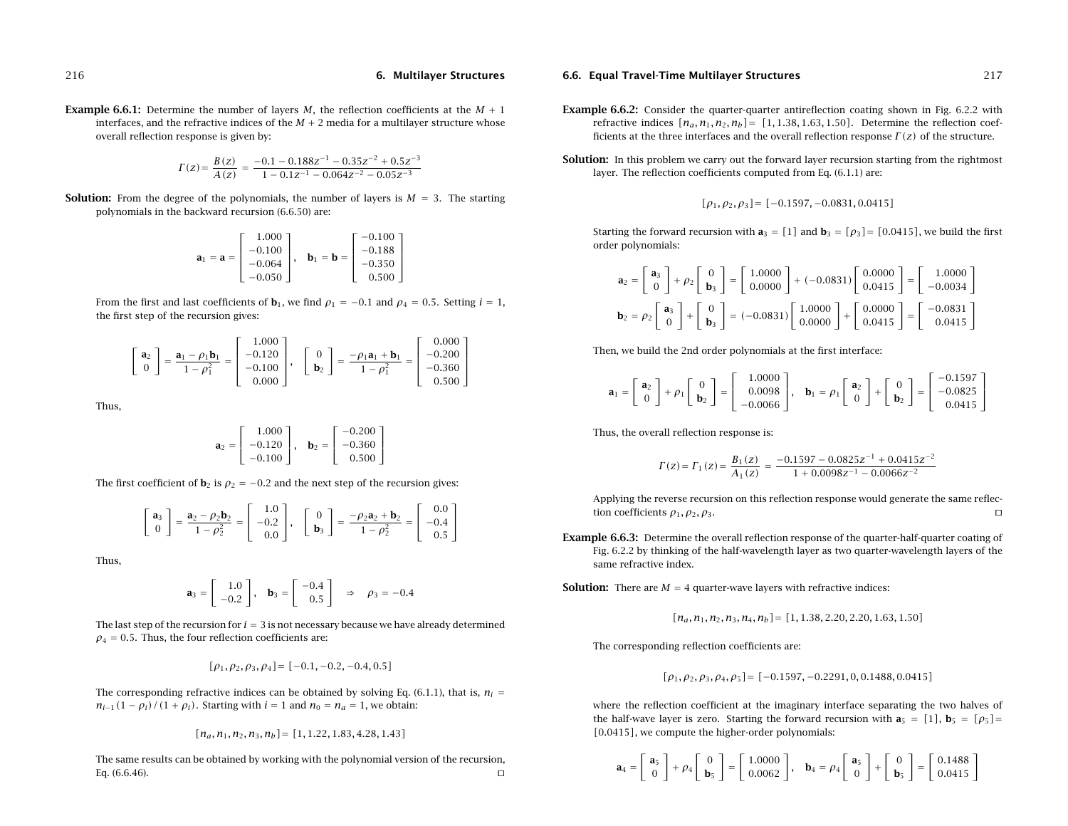**Example 6.6.1:** Determine the number of layers M, the reflection coefficients at the  $M + 1$ interfaces, and the refractive indices of the  $M + 2$  media for a multilayer structure whose overall reflection response is given by:

$$
\Gamma(z) = \frac{B(z)}{A(z)} = \frac{-0.1 - 0.188z^{-1} - 0.35z^{-2} + 0.5z^{-3}}{1 - 0.1z^{-1} - 0.064z^{-2} - 0.05z^{-3}}
$$

**Solution:** From the degree of the polynomials, the number of layers is M <sup>=</sup> 3. The starting polynomials in the backward recursion (6.6.50) are:

$$
\mathbf{a}_1 = \mathbf{a} = \begin{bmatrix} 1.000 \\ -0.100 \\ -0.064 \\ -0.050 \end{bmatrix}, \quad \mathbf{b}_1 = \mathbf{b} = \begin{bmatrix} -0.100 \\ -0.188 \\ -0.350 \\ 0.500 \end{bmatrix}
$$

From the first and last coefficients of  $\mathbf{b}_1$ , we find  $\rho_1 = -0.1$  and  $\rho_4 = 0.5$ . Setting  $i = 1,$ the first step of the recursion gives:

$$
\begin{bmatrix} \mathbf{a}_2 \\ 0 \end{bmatrix} = \frac{\mathbf{a}_1 - \rho_1 \mathbf{b}_1}{1 - \rho_1^2} = \begin{bmatrix} 1.000 \\ -0.120 \\ -0.100 \\ 0.000 \end{bmatrix}, \quad \begin{bmatrix} 0 \\ \mathbf{b}_2 \end{bmatrix} = \frac{-\rho_1 \mathbf{a}_1 + \mathbf{b}_1}{1 - \rho_1^2} = \begin{bmatrix} 0.000 \\ -0.200 \\ -0.360 \\ 0.500 \end{bmatrix}
$$

Thus,

$$
\mathbf{a}_2 = \begin{bmatrix} 1.000 \\ -0.120 \\ -0.100 \end{bmatrix}, \quad \mathbf{b}_2 = \begin{bmatrix} -0.200 \\ -0.360 \\ 0.500 \end{bmatrix}
$$

The first coefficient of  $\mathbf{b}_2$  is  $\rho_2 = -0.2$  and the next step of the recursion gives:

$$
\begin{bmatrix} \mathbf{a}_3 \\ 0 \end{bmatrix} = \frac{\mathbf{a}_2 - \rho_2 \mathbf{b}_2}{1 - \rho_2^2} = \begin{bmatrix} 1.0 \\ -0.2 \\ 0.0 \end{bmatrix}, \quad \begin{bmatrix} 0 \\ \mathbf{b}_3 \end{bmatrix} = \frac{-\rho_2 \mathbf{a}_2 + \mathbf{b}_2}{1 - \rho_2^2} = \begin{bmatrix} 0.0 \\ -0.4 \\ 0.5 \end{bmatrix}
$$

Thus,

$$
\mathbf{a}_3 = \left[ \begin{array}{c} 1.0 \\ -0.2 \end{array} \right], \quad \mathbf{b}_3 = \left[ \begin{array}{c} -0.4 \\ 0.5 \end{array} \right] \quad \Rightarrow \quad \rho_3 = -0.4
$$

The last step of the recursion for  $i = 3$  is not necessary because we have already determined  $\rho_4$  = 0.5. Thus, the four reflection coefficients are:

$$
[\rho_1, \rho_2, \rho_3, \rho_4] = [-0.1, -0.2, -0.4, 0.5]
$$

The corresponding refractive indices can be obtained by solving Eq. (6.1.1), that is,  $n_i =$  $n_{i-1}(1 - \rho_i)/(1 + \rho_i)$ . Starting with  $i = 1$  and  $n_0 = n_a = 1$ , we obtain:

$$
[n_a, n_1, n_2, n_3, n_b] = [1, 1.22, 1.83, 4.28, 1.43]
$$

The same results can be obtained by working with the polynomial version of the recursion, Eq.  $(6.6.46)$ .

#### **6.6. Equal Travel-Time Multilayer Structures** 217

- **Example 6.6.2:** Consider the quarter-quarter antireflection coating shown in Fig. 6.2.2 with refractive indices  $[n_a, n_1, n_2, n_b] = [1, 1.38, 1.63, 1.50]$ . Determine the reflection coefficients at the three interfaces and the overall reflection response  $\Gamma(z)$  of the structure.
- **Solution:** In this problem we carry out the forward layer recursion starting from the rightmost layer. The reflection coefficients computed from Eq. (6.1.1) are:

$$
[\rho_1, \rho_2, \rho_3] = [-0.1597, -0.0831, 0.0415]
$$

Starting the forward recursion with  $\mathbf{a}_3 = [1]$  and  $\mathbf{b}_3 = [\rho_3] = [0.0415]$ , we build the first order polynomials:

$$
\mathbf{a}_2 = \begin{bmatrix} \mathbf{a}_3 \\ 0 \end{bmatrix} + \rho_2 \begin{bmatrix} 0 \\ \mathbf{b}_3 \end{bmatrix} = \begin{bmatrix} 1.0000 \\ 0.0000 \end{bmatrix} + (-0.0831) \begin{bmatrix} 0.0000 \\ 0.0415 \end{bmatrix} = \begin{bmatrix} 1.0000 \\ -0.0034 \end{bmatrix}
$$

$$
\mathbf{b}_2 = \rho_2 \begin{bmatrix} \mathbf{a}_3 \\ 0 \end{bmatrix} + \begin{bmatrix} 0 \\ \mathbf{b}_3 \end{bmatrix} = (-0.0831) \begin{bmatrix} 1.0000 \\ 0.0000 \end{bmatrix} + \begin{bmatrix} 0.0000 \\ 0.0415 \end{bmatrix} = \begin{bmatrix} -0.0831 \\ 0.0415 \end{bmatrix}
$$

Then, we build the 2nd order polynomials at the first interface:

$$
\mathbf{a}_1 = \begin{bmatrix} \mathbf{a}_2 \\ 0 \end{bmatrix} + \rho_1 \begin{bmatrix} 0 \\ \mathbf{b}_2 \end{bmatrix} = \begin{bmatrix} 1.0000 \\ 0.0098 \\ -0.0066 \end{bmatrix}, \quad \mathbf{b}_1 = \rho_1 \begin{bmatrix} \mathbf{a}_2 \\ 0 \end{bmatrix} + \begin{bmatrix} 0 \\ \mathbf{b}_2 \end{bmatrix} = \begin{bmatrix} -0.1597 \\ -0.0825 \\ 0.0415 \end{bmatrix}
$$

Thus, the overall reflection response is:

$$
\Gamma(z) = \Gamma_1(z) = \frac{B_1(z)}{A_1(z)} = \frac{-0.1597 - 0.0825z^{-1} + 0.0415z^{-2}}{1 + 0.0098z^{-1} - 0.0066z^{-2}}
$$

Applying the reverse recursion on this reflection response would generate the same reflection coefficients  $\rho_1, \rho_2, \rho_3$ .

- **Example 6.6.3:** Determine the overall reflection response of the quarter-half-quarter coating of Fig. 6.2.2 by thinking of the half-wavelength layer as two quarter-wavelength layers of the same refractive index.
- **Solution:** There are  $M = 4$  quarter-wave layers with refractive indices:

$$
[n_a, n_1, n_2, n_3, n_4, n_b] = [1, 1.38, 2.20, 2.20, 1.63, 1.50]
$$

The corresponding reflection coefficients are:

$$
[\rho_1, \rho_2, \rho_3, \rho_4, \rho_5] = [-0.1597, -0.2291, 0, 0.1488, 0.0415]
$$

where the reflection coefficient at the imaginary interface separating the two halves of the half-wave layer is zero. Starting the forward recursion with  $a_5 = [1]$ ,  $b_5 = [\rho_5]$ [0.0415], we compute the higher-order polynomials:

$$
\mathbf{a}_4 = \begin{bmatrix} \mathbf{a}_5 \\ 0 \end{bmatrix} + \rho_4 \begin{bmatrix} 0 \\ \mathbf{b}_5 \end{bmatrix} = \begin{bmatrix} 1.0000 \\ 0.0062 \end{bmatrix}, \quad \mathbf{b}_4 = \rho_4 \begin{bmatrix} \mathbf{a}_5 \\ 0 \end{bmatrix} + \begin{bmatrix} 0 \\ \mathbf{b}_5 \end{bmatrix} = \begin{bmatrix} 0.1488 \\ 0.0415 \end{bmatrix}
$$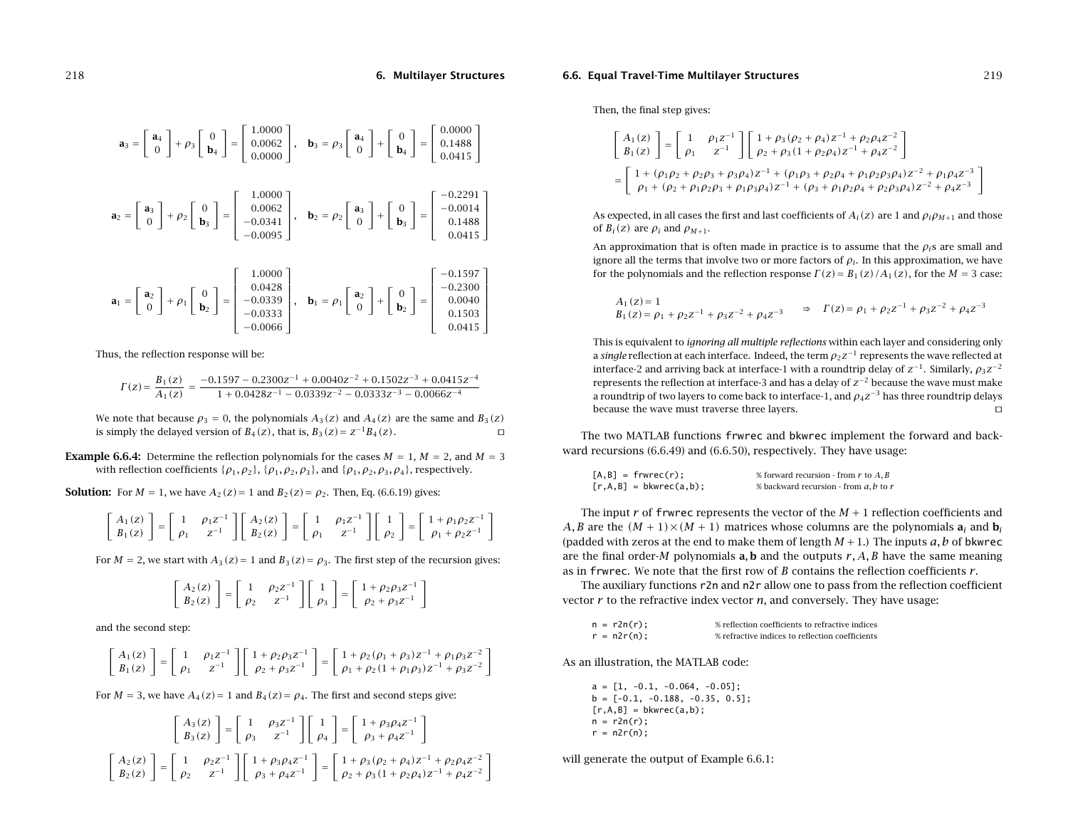$$
\mathbf{a}_{3} = \begin{bmatrix} \mathbf{a}_{4} \\ 0 \end{bmatrix} + \rho_{3} \begin{bmatrix} 0 \\ \mathbf{b}_{4} \end{bmatrix} = \begin{bmatrix} 1.0000 \\ 0.0062 \\ 0.0000 \end{bmatrix}, \quad \mathbf{b}_{3} = \rho_{3} \begin{bmatrix} \mathbf{a}_{4} \\ 0 \end{bmatrix} + \begin{bmatrix} 0 \\ \mathbf{b}_{4} \end{bmatrix} = \begin{bmatrix} 0.0000 \\ 0.1488 \\ 0.0415 \end{bmatrix}
$$

$$
\mathbf{a}_{2} = \begin{bmatrix} \mathbf{a}_{3} \\ 0 \end{bmatrix} + \rho_{2} \begin{bmatrix} 0 \\ \mathbf{b}_{3} \end{bmatrix} = \begin{bmatrix} 1.0000 \\ 0.0062 \\ -0.0341 \\ -0.0095 \end{bmatrix}, \quad \mathbf{b}_{2} = \rho_{2} \begin{bmatrix} \mathbf{a}_{3} \\ 0 \end{bmatrix} + \begin{bmatrix} 0 \\ \mathbf{b}_{3} \end{bmatrix} = \begin{bmatrix} -0.2291 \\ -0.0014 \\ 0.1488 \\ 0.0415 \end{bmatrix}
$$

$$
\mathbf{a}_{1} = \begin{bmatrix} \mathbf{a}_{2} \\ 0 \end{bmatrix} + \rho_{1} \begin{bmatrix} 0 \\ \mathbf{b}_{2} \end{bmatrix} = \begin{bmatrix} 1.0000 \\ -0.0339 \\ -0.0339 \\ -0.0333 \end{bmatrix}, \quad \mathbf{b}_{1} = \rho_{1} \begin{bmatrix} \mathbf{a}_{2} \\ 0 \end{bmatrix} + \begin{bmatrix} 0 \\ \mathbf{b}_{2} \end{bmatrix} = \begin{bmatrix} -0.1597 \\ 0.0040 \\ 0.1503 \\ 0.0415 \end{bmatrix}
$$

Thus, the reflection response will be:

$$
\Gamma(z) = \frac{B_1(z)}{A_1(z)} = \frac{-0.1597 - 0.2300z^{-1} + 0.0040z^{-2} + 0.1502z^{-3} + 0.0415z^{-4}}{1 + 0.0428z^{-1} - 0.0339z^{-2} - 0.0333z^{-3} - 0.0066z^{-4}}
$$

We note that because  $\rho_3 = 0$ , the polynomials  $A_3(z)$  and  $A_4(z)$  are the same and  $B_3(z)$ is simply the delayed version of  $B_4(z)$ , that is,  $B_3(z) = z^{-1}B_4(z)$ .  $□$ 

**Example 6.6.4:** Determine the reflection polynomials for the cases  $M = 1$ ,  $M = 2$ , and  $M = 3$ with reflection coefficients  $\{\rho_1, \rho_2\}$ ,  $\{\rho_1, \rho_2, \rho_3\}$ , and  $\{\rho_1, \rho_2, \rho_3, \rho_4\}$ , respectively.

**Solution:** For  $M = 1$ , we have  $A_2(z) = 1$  and  $B_2(z) = \rho_2$ . Then, Eq. (6.6.19) gives:

$$
\begin{bmatrix} A_1(z) \\ B_1(z) \end{bmatrix} = \begin{bmatrix} 1 & \rho_1 z^{-1} \\ \rho_1 & z^{-1} \end{bmatrix} \begin{bmatrix} A_2(z) \\ B_2(z) \end{bmatrix} = \begin{bmatrix} 1 & \rho_1 z^{-1} \\ \rho_1 & z^{-1} \end{bmatrix} \begin{bmatrix} 1 \\ \rho_2 \end{bmatrix} = \begin{bmatrix} 1 + \rho_1 \rho_2 z^{-1} \\ \rho_1 + \rho_2 z^{-1} \end{bmatrix}
$$

For  $M = 2$ , we start with  $A_3(z) = 1$  and  $B_3(z) = \rho_3$ . The first step of the recursion gives:

$$
\begin{bmatrix} A_2(z) \\ B_2(z) \end{bmatrix} = \begin{bmatrix} 1 & \rho_2 z^{-1} \\ \rho_2 & z^{-1} \end{bmatrix} \begin{bmatrix} 1 \\ \rho_3 \end{bmatrix} = \begin{bmatrix} 1 + \rho_2 \rho_3 z^{-1} \\ \rho_2 + \rho_3 z^{-1} \end{bmatrix}
$$

and the second step:

$$
\begin{bmatrix} A_1(z) \\ B_1(z) \end{bmatrix} = \begin{bmatrix} 1 & \rho_1 z^{-1} \\ \rho_1 & z^{-1} \end{bmatrix} \begin{bmatrix} 1 + \rho_2 \rho_3 z^{-1} \\ \rho_2 + \rho_3 z^{-1} \end{bmatrix} = \begin{bmatrix} 1 + \rho_2 (\rho_1 + \rho_3) z^{-1} + \rho_1 \rho_3 z^{-2} \\ \rho_1 + \rho_2 (1 + \rho_1 \rho_3) z^{-1} + \rho_3 z^{-2} \end{bmatrix}
$$

For  $M = 3$ , we have  $A_4(z) = 1$  and  $B_4(z) = \rho_4$ . The first and second steps give:

$$
\begin{bmatrix}\nA_3(z) \\
B_3(z)\n\end{bmatrix} =\n\begin{bmatrix}\n1 & \rho_3 z^{-1} \\
\rho_3 & z^{-1}\n\end{bmatrix}\n\begin{bmatrix}\n1 \\
\rho_4\n\end{bmatrix} =\n\begin{bmatrix}\n1 + \rho_3 \rho_4 z^{-1} \\
\rho_3 + \rho_4 z^{-1}\n\end{bmatrix}
$$
\n
$$
\begin{bmatrix}\nA_2(z) \\
B_2(z)\n\end{bmatrix} =\n\begin{bmatrix}\n1 & \rho_2 z^{-1} \\
\rho_2 & z^{-1}\n\end{bmatrix}\n\begin{bmatrix}\n1 + \rho_3 \rho_4 z^{-1} \\
\rho_3 + \rho_4 z^{-1}\n\end{bmatrix} =\n\begin{bmatrix}\n1 + \rho_3 (\rho_2 + \rho_4) z^{-1} + \rho_2 \rho_4 z^{-2} \\
\rho_2 + \rho_3 (1 + \rho_2 \rho_4) z^{-1} + \rho_4 z^{-2}\n\end{bmatrix}
$$

#### **6.6. Equal Travel-Time Multilayer Structures** 219

Then, the final step gives:

$$
\begin{bmatrix}\nA_1(z) \\
B_1(z)\n\end{bmatrix} =\n\begin{bmatrix}\n1 & \rho_1 z^{-1} \\
\rho_1 & z^{-1}\n\end{bmatrix}\n\begin{bmatrix}\n1 + \rho_3(\rho_2 + \rho_4)z^{-1} + \rho_2\rho_4 z^{-2} \\
\rho_2 + \rho_3(1 + \rho_2\rho_4)z^{-1} + \rho_4 z^{-2}\n\end{bmatrix}
$$
\n
$$
= \begin{bmatrix}\n1 + (\rho_1 \rho_2 + \rho_2 \rho_3 + \rho_3 \rho_4)z^{-1} + (\rho_1 \rho_3 + \rho_2 \rho_4 + \rho_1 \rho_2 \rho_3 \rho_4)z^{-2} + \rho_1 \rho_4 z^{-3} \\
\rho_1 + (\rho_2 + \rho_1 \rho_2 \rho_3 + \rho_1 \rho_3 \rho_4)z^{-1} + (\rho_3 + \rho_1 \rho_2 \rho_4 + \rho_2 \rho_3 \rho_4)z^{-2} + \rho_4 z^{-3}\n\end{bmatrix}
$$

As expected, in all cases the first and last coefficients of  $A_i(z)$  are 1 and  $\rho_i \rho_{M+1}$  and those of  $B_i(z)$  are  $\rho_i$  and  $\rho_{M+1}$ .

An approximation that is often made in practice is to assume that the  $\rho_i$ s are small and ignore all the terms that involve two or more factors of  $\rho_i$ . In this approximation, we have for the polynomials and the reflection response  $\Gamma(z) = B_1(z)/A_1(z)$ , for the  $M = 3$  case:

$$
A_1(z) = 1
$$
  
\n
$$
B_1(z) = \rho_1 + \rho_2 z^{-1} + \rho_3 z^{-2} + \rho_4 z^{-3} \Rightarrow \Gamma(z) = \rho_1 + \rho_2 z^{-1} + \rho_3 z^{-2} + \rho_4 z^{-3}
$$

This is equivalent to ignoring all multiple reflections within each layer and considering only a *single* reflection at each interface. Indeed, the term  $\rho_2 z^{-1}$  represents the wave reflected at interface-2 and arriving back at interface-1 with a roundtrip delay of  $z^{-1}$ . Similarly,  $ρ_3z^{-2}$ represents the reflection at interface-3 and has a delay of  $z^{-2}$  because the wave must make a roundtrip of two layers to come back to interface-1, and  $\rho_4 z^{-3}$  has three roundtrip delays because the wave must traverse three layers.

The two MATLAB functions frwrec and bkwrec implement the forward and backward recursions (6.6.49) and (6.6.50), respectively. They have usage:

| $[A,B] = \text{frwrec}(r);$ | % forward recursion - from $r$ to $A$ . $B$ |
|-----------------------------|---------------------------------------------|
| $[r,A,B] = b$ kwrec(a,b);   | % backward recursion - from a, b to r       |

The input r of frwrec represents the vector of the  $M+1$  reflection coefficients and A, B are the  $(M + 1) \times (M + 1)$  matrices whose columns are the polynomials  $a_i$  and  $b_i$ (padded with zeros at the end to make them of length  $M+1$ .) The inputs a, b of bkwrec are the final order-M polynomials **<sup>a</sup>**, **b** and the outputs r, A, B have the same meaning as in frwrec. We note that the first row of B contains the reflection coefficients  $r$ .

The auxiliary functions r2n and n2r allow one to pass from the reflection coefficient vector  $r$  to the refractive index vector  $n$ , and conversely. They have usage:

| $n = r2n(r)$ ; | % reflection coefficients to refractive indices |
|----------------|-------------------------------------------------|
| $r = n2r(n)$ ; | % refractive indices to reflection coefficients |

As an illustration, the MATLAB code:

 $a = [1, -0.1, -0.064, -0.05];$  $b = [-0.1, -0.188, -0.35, 0.5]$ ;  $[r,A,B] = b$ kwrec $(a,b)$ ;  $n = r2n(r)$ ;  $r = n2r(n);$ 

will generate the output of Example 6.6.1: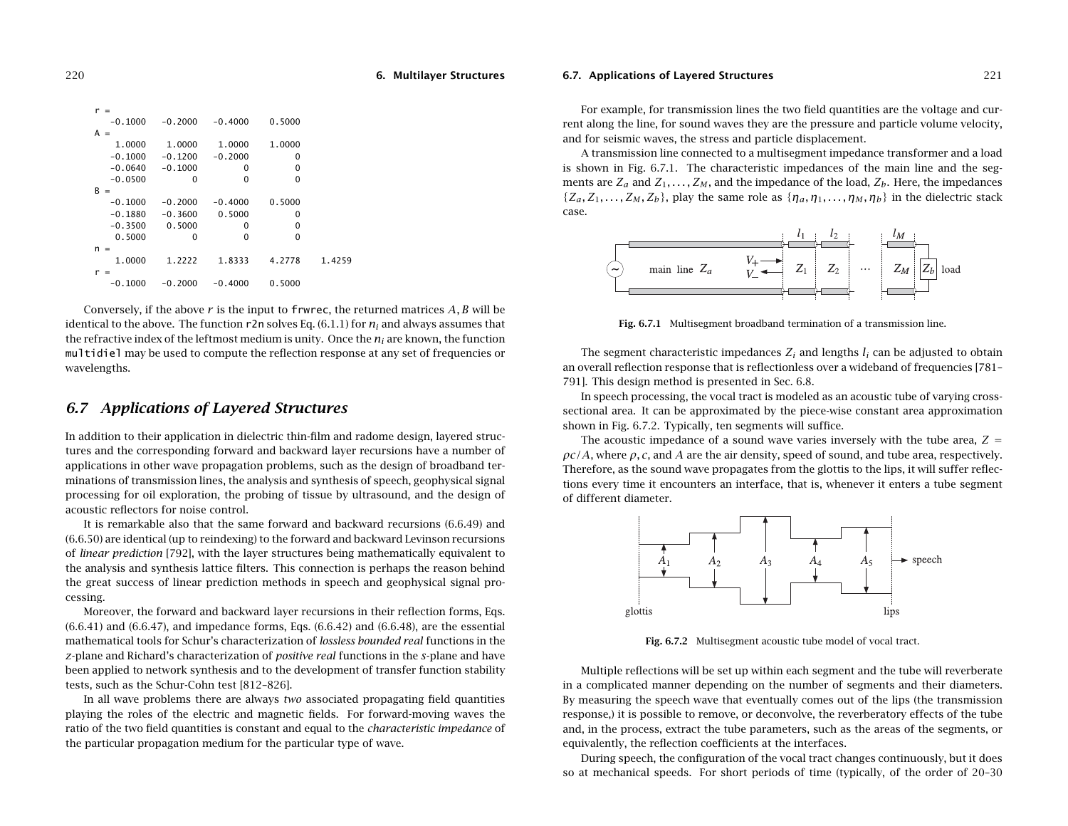| r<br>$=$  |           |           |        |        |
|-----------|-----------|-----------|--------|--------|
| $-0.1000$ | $-0.2000$ | $-0.4000$ | 0.5000 |        |
| $A =$     |           |           |        |        |
| 1.0000    | 1.0000    | 1.0000    | 1.0000 |        |
| $-0.1000$ | $-0.1200$ | $-0.2000$ | 0      |        |
| $-0.0640$ | $-0.1000$ | 0         | ŋ      |        |
| $-0.0500$ | O         | O         | ŋ      |        |
| B<br>$=$  |           |           |        |        |
| $-0.1000$ | $-0.2000$ | $-0.4000$ | 0.5000 |        |
| $-0.1880$ | $-0.3600$ | 0.5000    | o      |        |
| $-0.3500$ | 0.5000    | 0         | ŋ      |        |
| 0.5000    | O         | O         | 0      |        |
| $n =$     |           |           |        |        |
| 1,0000    | 1.2222    | 1.8333    | 4.2778 | 1.4259 |
| $r =$     |           |           |        |        |
| $-0.1000$ | $-0.2000$ | $-0.4000$ | 0.5000 |        |

Conversely, if the above  $r$  is the input to frwrec, the returned matrices  $A, B$  will be identical to the above. The function <code>r2n</code> solves Eq. (6.1.1) for  $n_i$  and always assumes that the refractive index of the leftmost medium is unity. Once the  $n_i$  are known, the function multidiel may be used to compute the reflection response at any set of frequencies or wavelengths.

# **6.7 Applications of Layered Structures**

In addition to their application in dielectric thin-film and radome design, layered structures and the corresponding forward and backward layer recursions have <sup>a</sup> number of applications in other wave propagation problems, such as the design of broadband terminations of transmission lines, the analysis and synthesis of speech, geophysical signal processing for oil exploration, the probing of tissue by ultrasound, and the design of acoustic reflectors for noise control.

It is remarkable also that the same forward and backward recursions (6.6.49) and (6.6.50) are identical (up to reindexing) to the forward and backward Levinson recursions of *linear prediction* [792], with the layer structures being mathematically equivalent to the analysis and synthesis lattice filters. This connection is perhaps the reason behind the great success of linear prediction methods in speech and geophysical signal processing.

Moreover, the forward and backward layer recursions in their reflection forms, Eqs. (6.6.41) and (6.6.47), and impedance forms, Eqs. (6.6.42) and (6.6.48), are the essential mathematical tools for Schur's characterization of *lossless bounded real* functions in the z-plane and Richard's characterization of *positive real* functions in the s-plane and have been applied to network synthesis and to the development of transfer function stability tests, such as the Schur-Cohn test [812–826].

In all wave problems there are always two associated propagating field quantities playing the roles of the electric and magnetic fields. For forward-moving waves the ratio of the two field quantities is constant and equal to the characteristic impedance of the particular propagation medium for the particular type of wave.

## **6.7. Applications of Layered Structures** 221

For example, for transmission lines the two field quantities are the voltage and current along the line, for sound waves they are the pressure and particle volume velocity, and for seismic waves, the stress and particle displacement.

A transmission line connected to <sup>a</sup> multisegment impedance transformer and <sup>a</sup> load is shown in Fig. 6.7.1. The characteristic impedances of the main line and the segments are  $Z_a$  and  $Z_1,\ldots,Z_M$ , and the impedance of the load,  $Z_b.$  Here, the impedances  $\{Z_a, Z_1, \ldots, Z_M, Z_b\}$ , play the same role as  $\{\eta_a, \eta_1, \ldots, \eta_M, \eta_b\}$  in the dielectric stack case.



**Fig. 6.7.1** Multisegment broadband termination of <sup>a</sup> transmission line.

The segment characteristic impedances  $Z_i$  and lengths  $l_i$  can be adjusted to obtain an overall reflection response that is reflectionless over <sup>a</sup> wideband of frequencies [781– 791]. This design method is presented in Sec. 6.8.

In speech processing, the vocal tract is modeled as an acoustic tube of varying crosssectional area. It can be approximated by the piece-wise constant area approximation shown in Fig. 6.7.2. Typically, ten segments will suffice.

The acoustic impedance of a sound wave varies inversely with the tube area,  $Z =$  $\rho c/A$ , where  $\rho$ , c, and A are the air density, speed of sound, and tube area, respectively. Therefore, as the sound wave propagates from the glottis to the lips, it will suffer reflections every time it encounters an interface, that is, whenever it enters <sup>a</sup> tube segment of different diameter.



**Fig. 6.7.2** Multisegment acoustic tube model of vocal tract.

Multiple reflections will be set up within each segment and the tube will reverberate in <sup>a</sup> complicated manner depending on the number of segments and their diameters. By measuring the speech wave that eventually comes out of the lips (the transmission response,) it is possible to remove, or deconvolve, the reverberatory effects of the tube and, in the process, extract the tube parameters, such as the areas of the segments, or equivalently, the reflection coefficients at the interfaces.

During speech, the configuration of the vocal tract changes continuously, but it does so at mechanical speeds. For short periods of time (typically, of the order of 20–30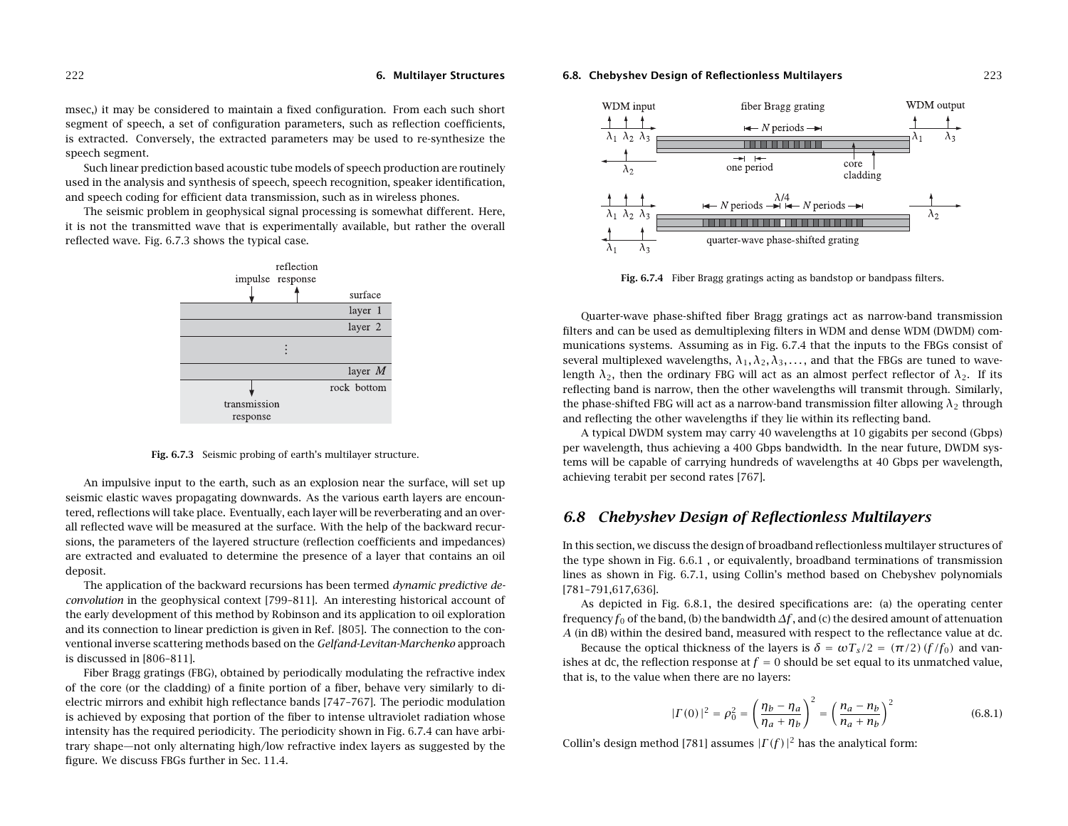### **6.8. Chebyshev Design of Reflectionless Multilayers** 223

msec,) it may be considered to maintain <sup>a</sup> fixed configuration. From each such short segment of speech, <sup>a</sup> set of configuration parameters, such as reflection coefficients, is extracted. Conversely, the extracted parameters may be used to re-synthesize the speech segment.

**6. Multilayer Structures**

Such linear prediction based acoustic tube models of speech production are routinely used in the analysis and synthesis of speech, speech recognition, speaker identification, and speech coding for efficient data transmission, such as in wireless phones.

The seismic problem in geophysical signal processing is somewhat different. Here, it is not the transmitted wave that is experimentally available, but rather the overall reflected wave. Fig. 6.7.3 shows the typical case.



**Fig. 6.7.3** Seismic probing of earth's multilayer structure.

An impulsive input to the earth, such as an explosion near the surface, will set up seismic elastic waves propagating downwards. As the various earth layers are encountered, reflections will take place. Eventually, each layer will be reverberating and an overall reflected wave will be measured at the surface. With the help of the backward recursions, the parameters of the layered structure (reflection coefficients and impedances) are extracted and evaluated to determine the presence of <sup>a</sup> layer that contains an oil deposit.

The application of the backward recursions has been termed dynamic predictive deconvolution in the geophysical context [799–811]. An interesting historical account of the early development of this method by Robinson and its application to oil exploration and its connection to linear prediction is given in Ref. [805]. The connection to the conventional inverse scattering methods based on the Gelfand-Levitan-Marchenko approach is discussed in [806–811].

Fiber Bragg gratings (FBG), obtained by periodically modulating the refractive index of the core (or the cladding) of <sup>a</sup> finite portion of <sup>a</sup> fiber, behave very similarly to dielectric mirrors and exhibit high reflectance bands [747–767]. The periodic modulation is achieved by exposing that portion of the fiber to intense ultraviolet radiation whose intensity has the required periodicity. The periodicity shown in Fig. 6.7.4 can have arbitrary shape—not only alternating high/low refractive index layers as suggested by the figure. We discuss FBGs further in Sec. 11.4.



**Fig. 6.7.4** Fiber Bragg gratings acting as bandstop or bandpass filters.

Quarter-wave phase-shifted fiber Bragg gratings act as narrow-band transmission filters and can be used as demultiplexing filters in WDM and dense WDM (DWDM) communications systems. Assuming as in Fig. 6.7.4 that the inputs to the FBGs consist of several multiplexed wavelengths,  $\lambda_1, \lambda_2, \lambda_3, \ldots$ , and that the FBGs are tuned to wavelength  $\lambda_2$ , then the ordinary FBG will act as an almost perfect reflector of  $\lambda_2$ . If its reflecting band is narrow, then the other wavelengths will transmit through. Similarly, the phase-shifted FBG will act as a narrow-band transmission filter allowing  $\lambda_2$  through and reflecting the other wavelengths if they lie within its reflecting band.

A typical DWDM system may carry 40 wavelengths at 10 gigabits per second (Gbps) per wavelength, thus achieving <sup>a</sup> 400 Gbps bandwidth. In the near future, DWDM systems will be capable of carrying hundreds of wavelengths at 40 Gbps per wavelength, achieving terabit per second rates [767].

# **6.8 Chebyshev Design of Reflectionless Multilayers**

In this section, we discuss the design of broadband reflectionless multilayer structures of the type shown in Fig. 6.6.1 , or equivalently, broadband terminations of transmission lines as shown in Fig. 6.7.1, using Collin's method based on Chebyshev polynomials [781–791,617,636].

As depicted in Fig. 6.8.1, the desired specifications are: (a) the operating center frequency  $f_0$  of the band, (b) the bandwidth  $\varDelta f$ , and (c) the desired amount of attenuation  $A$  (in dB) within the desired band, measured with respect to the reflectance value at dc.

Because the optical thickness of the layers is  $\delta = \omega T_s/2 = (\pi/2)(f/f_0)$  and vanishes at dc, the reflection response at  $f = 0$  should be set equal to its unmatched value, that is, to the value when there are no layers:

$$
|\Gamma(0)|^2 = \rho_0^2 = \left(\frac{\eta_b - \eta_a}{\eta_a + \eta_b}\right)^2 = \left(\frac{n_a - n_b}{n_a + n_b}\right)^2 \tag{6.8.1}
$$

Collin's design method [781] assumes  $|\Gamma(f)|^2$  has the analytical form: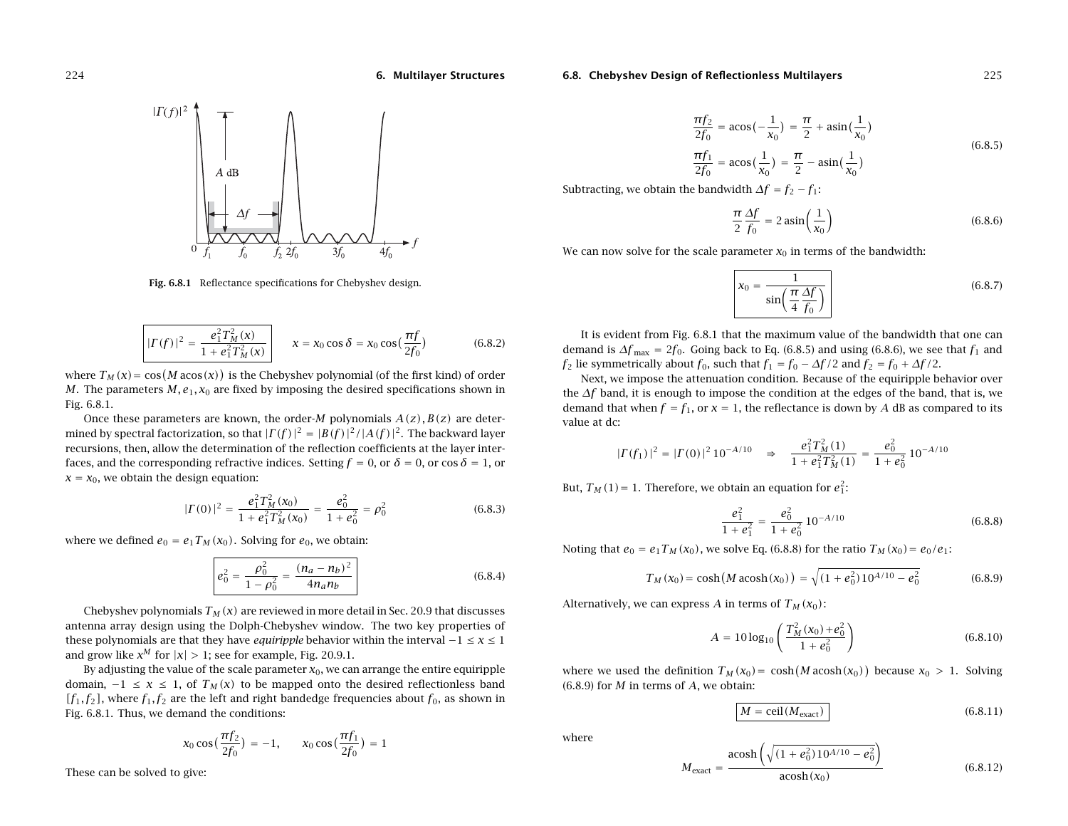#### **6.8. Chebyshev Design of Reflectionless Multilayers** 225

$$
\frac{\pi f_2}{2f_0} = \arccos(-\frac{1}{x_0}) = \frac{\pi}{2} + \arcsin(\frac{1}{x_0})
$$
\n
$$
\frac{\pi f_1}{2f_0} = \arccos(\frac{1}{x_0}) = \frac{\pi}{2} - \arccos(\frac{1}{x_0})
$$
\n(6.8.5)

Subtracting, we obtain the bandwidth  $\varDelta f=f_2-f_1$ :

$$
\frac{\pi}{2} \frac{\Delta f}{f_0} = 2 \operatorname{asin} \left( \frac{1}{x_0} \right) \tag{6.8.6}
$$

We can now solve for the scale parameter  $x_0$  in terms of the bandwidth:

$$
\chi_0 = \frac{1}{\sin\left(\frac{\pi}{4}\frac{\Delta f}{f_0}\right)}\tag{6.8.7}
$$

It is evident from Fig. 6.8.1 that the maximum value of the bandwidth that one can demand is  $\Delta f_\text{max} = 2 f_0$ . Going back to Eq. (6.8.5) and using (6.8.6), we see that  $f_1$  and  $f_2$  lie symmetrically about  $f_0$ , such that  $f_1 = f_0 - \Delta f/2$  and  $f_2 = f_0 + \Delta f/2$ .

Next, we impose the attenuation condition. Because of the equiripple behavior over the  $\Delta f$  band, it is enough to impose the condition at the edges of the band, that is, we demand that when  $f = f_1$ , or  $x = 1$ , the reflectance is down by A dB as compared to its value at dc:

$$
|\Gamma(f_1)|^2 = |\Gamma(0)|^2 10^{-A/10} \Rightarrow \frac{e_1^2 T_M^2(1)}{1 + e_1^2 T_M^2(1)} = \frac{e_0^2}{1 + e_0^2} 10^{-A/10}
$$

But,  $T_M(1) = 1$ . Therefore, we obtain an equation for  $e_1^2$ .

$$
\frac{e_1^2}{1+e_1^2} = \frac{e_0^2}{1+e_0^2} 10^{-A/10}
$$
 (6.8.8)

Noting that  $e_0 = e_1 T_M(x_0)$ , we solve Eq. (6.8.8) for the ratio  $T_M(x_0) = e_0/e_1$ :

$$
T_M(x_0) = \cosh(M \operatorname{acosh}(x_0)) = \sqrt{(1 + e_0^2) 10^{A/10} - e_0^2}
$$
 (6.8.9)

Alternatively, we can express A in terms of  $T_M(x_0)$ :

$$
A = 10\log_{10}\left(\frac{T_M^2(x_0) + e_0^2}{1 + e_0^2}\right) \tag{6.8.10}
$$

where we used the definition  $T_M(x_0) = \cosh(M \operatorname{acosh}(x_0))$  because  $x_0 > 1$ . Solving  $(6.8.9)$  for *M* in terms of *A*, we obtain:

$$
M = \text{ceil}(M_{\text{exact}}) \tag{6.8.11}
$$

where

$$
M_{\text{exact}} = \frac{\text{acosh}\left(\sqrt{(1 + e_0^2)10^{A/10} - e_0^2}\right)}{\text{acosh}(x_0)}\tag{6.8.12}
$$



**Fig. 6.8.1** Reflectance specifications for Chebyshev design.

$$
\left| |\Gamma(f)|^2 = \frac{e_1^2 T_M^2(x)}{1 + e_1^2 T_M^2(x)} \right| \qquad x = x_0 \cos \delta = x_0 \cos \left( \frac{\pi f}{2f_0} \right) \tag{6.8.2}
$$

where  $T_M(x) = \cos(M \arccos(x))$  is the Chebyshev polynomial (of the first kind) of order M. The parameters M,  $e_1$ ,  $x_0$  are fixed by imposing the desired specifications shown in Fig. 6.8.1.

Once these parameters are known, the order-M polynomials  $A(z)$ ,  $B(z)$  are determined by spectral factorization, so that  $|\Gamma(f)|^2 = |B(f)|^2/|A(f)|^2$ . The backward layer recursions, then, allow the determination of the reflection coefficients at the layer interfaces, and the corresponding refractive indices. Setting  $f = 0$ , or  $\delta = 0$ , or  $\cos \delta = 1$ , or  $x = x_0$ , we obtain the design equation:

$$
|\Gamma(0)|^2 = \frac{e_1^2 T_M^2(x_0)}{1 + e_1^2 T_M^2(x_0)} = \frac{e_0^2}{1 + e_0^2} = \rho_0^2
$$
 (6.8.3)

where we defined  $e_0 = e_1 T_M(x_0)$ . Solving for  $e_0$ , we obtain:

$$
e_0^2 = \frac{\rho_0^2}{1 - \rho_0^2} = \frac{(n_a - n_b)^2}{4n_a n_b}
$$
 (6.8.4)

Chebyshev polynomials  $T_M(x)$  are reviewed in more detail in Sec. 20.9 that discusses antenna array design using the Dolph-Chebyshev window. The two key properties of these polynomials are that they have *equiripple* behavior within the interval  $-1 \le x \le 1$ and grow like  $x^M$  for  $|x| > 1$ ; see for example, Fig. 20.9.1.

By adjusting the value of the scale parameter  $x_0$ , we can arrange the entire equiripple domain,  $-1 \le x \le 1$ , of  $T_M(x)$  to be mapped onto the desired reflectionless band  $\left[f_{1}, f_{2}\right]$ , where  $f_{1}, f_{2}$  are the left and right bandedge frequencies about  $f_{0}$ , as shown in Fig. 6.8.1. Thus, we demand the conditions:

$$
x_0 \cos\left(\frac{\pi f_2}{2f_0}\right) = -1, \qquad x_0 \cos\left(\frac{\pi f_1}{2f_0}\right) = 1
$$

These can be solved to give: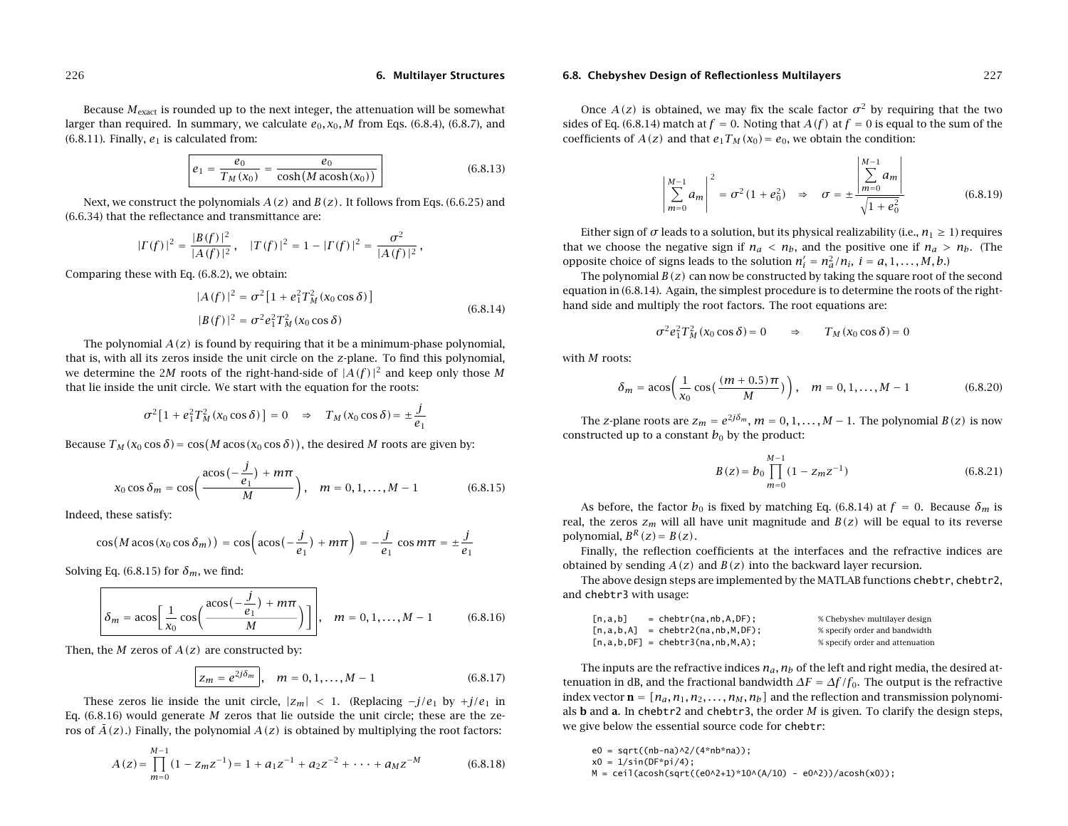Because  $M_{\rm exact}$  is rounded up to the next integer, the attenuation will be somewhat larger than required. In summary, we calculate  $e_0$ ,  $x_0$ , M from Eqs. (6.8.4), (6.8.7), and (6.8.11). Finally,  $e_1$  is calculated from:

$$
e_1 = \frac{e_0}{T_M(x_0)} = \frac{e_0}{\cosh(M \operatorname{acosh}(x_0))}
$$
(6.8.13)

Next, we construct the polynomials  $A(z)$  and  $B(z)$ . It follows from Eqs. (6.6.25) and (6.6.34) that the reflectance and transmittance are:

$$
|\Gamma(f)|^2 = \frac{|B(f)|^2}{|A(f)|^2}, \quad |\Gamma(f)|^2 = 1 - |\Gamma(f)|^2 = \frac{\sigma^2}{|A(f)|^2},
$$

Comparing these with Eq. (6.8.2), we obtain:

$$
|A(f)|^2 = \sigma^2 [1 + e_1^2 T_M^2 (x_0 \cos \delta)]
$$
  
\n
$$
|B(f)|^2 = \sigma^2 e_1^2 T_M^2 (x_0 \cos \delta)
$$
\n(6.8.14)

The polynomial  $A(z)$  is found by requiring that it be a minimum-phase polynomial, that is, with all its zeros inside the unit circle on the <sup>z</sup>-plane. To find this polynomial, we determine the 2M roots of the right-hand-side of  $|A(f)|^2$  and keep only those M that lie inside the unit circle. We start with the equation for the roots:

$$
\sigma^2 \left[ 1 + e_1^2 T_M^2(x_0 \cos \delta) \right] = 0 \quad \Rightarrow \quad T_M(x_0 \cos \delta) = \pm \frac{j}{e_1}
$$

Because  $T_M$  (x $_0$  cos  $\delta)$  = cos (M acos (x $_0$  cos  $\delta)$  ) , the desired M roots are given by:

$$
x_0 \cos \delta_m = \cos \left( \frac{\cos \left( -\frac{j}{e_1} \right) + m \pi}{M} \right), \quad m = 0, 1, \dots, M - 1 \tag{6.8.15}
$$

Indeed, these satisfy:

$$
\cos(M\arccos(x_0\cos\delta_m)) = \cos\left(\arccos(-\frac{j}{e_1}) + m\pi\right) = -\frac{j}{e_1}\cos m\pi = \pm\frac{j}{e_1}
$$

Solving Eq. (6.8.15) for  $\delta_m$ , we find:

$$
\delta_m = \arccos\left[\frac{1}{x_0} \cos\left(\frac{\arccos(-\frac{j}{e_1}) + m\pi}{M}\right)\right], \quad m = 0, 1, ..., M - 1 \quad (6.8.16)
$$

Then, the M zeros of  $A(z)$  are constructed by:

$$
z_m = e^{2j\delta_m}, \quad m = 0, 1, ..., M - 1
$$
 (6.8.17)

These zeros lie inside the unit circle,  $|z_m| < 1$ . (Replacing  $-j/e_1$  by  $+j/e_1$  in Eq. (6.8.16) would generate M zeros that lie outside the unit circle; these are the zeros of  $\bar{A}(z)$  .) Finally, the polynomial  $A(z)$  is obtained by multiplying the root factors:

$$
A(z) = \prod_{m=0}^{M-1} (1 - z_m z^{-1}) = 1 + a_1 z^{-1} + a_2 z^{-2} + \dots + a_M z^{-M}
$$
 (6.8.18)

### **6.8. Chebyshev Design of Reflectionless Multilayers** 227

Once  $A(z)$  is obtained, we may fix the scale factor  $\sigma^2$  by requiring that the two sides of Eq. (6.8.14) match at  $f = 0$ . Noting that  $A(f)$  at  $f = 0$  is equal to the sum of the coefficients of  $A(z)$  and that  $e_1T_M(x_0)=e_0$ , we obtain the condition:

$$
\left|\sum_{m=0}^{M-1} a_m\right|^2 = \sigma^2 (1 + e_0^2) \Rightarrow \sigma = \pm \frac{\left|\sum_{m=0}^{M-1} a_m\right|}{\sqrt{1 + e_0^2}}
$$
(6.8.19)

Either sign of  $\sigma$  leads to a solution, but its physical realizability (i.e.,  $n_1\geq 1$ ) requires that we choose the negative sign if  $n_a < n_b$ , and the positive one if  $n_a > n_b$ . (The opposite choice of signs leads to the solution  $n'_i = n_a^2/n_i$ ,  $i = a, 1, \ldots, M, b$ .)

The polynomial  $B(z)$  can now be constructed by taking the square root of the second equation in (6.8.14). Again, the simplest procedure is to determine the roots of the righthand side and multiply the root factors. The root equations are:

$$
\sigma^2 e_1^2 T_M^2(x_0 \cos \delta) = 0 \qquad \Rightarrow \qquad T_M(x_0 \cos \delta) = 0
$$

with  $M$  roots:

$$
\delta_m = \arccos\left(\frac{1}{x_0}\cos\left(\frac{(m+0.5)\pi}{M}\right)\right), \quad m = 0, 1, \dots, M-1 \tag{6.8.20}
$$

The z-plane roots are  $z_m = e^{2j\delta_m}$ ,  $m = 0, 1, ..., M - 1$ . The polynomial  $B(z)$  is now constructed up to a constant  $b_0$  by the product:

$$
B(z) = b_0 \prod_{m=0}^{M-1} (1 - z_m z^{-1})
$$
 (6.8.21)

As before, the factor  $b_0$  is fixed by matching Eq. (6.8.14) at  $f$  = 0. Because  $\delta_m$  is real, the zeros  $z_m$  will all have unit magnitude and  $B\left(z\right)$  will be equal to its reverse polynomial,  $B^R(z) = B(z)$ .

Finally, the reflection coefficients at the interfaces and the refractive indices are obtained by sending  $A(z)$  and  $B(z)$  into the backward layer recursion.

The above design steps are implemented by the MATLAB functions chebtr, chebtr2, and chebtr3 with usage:

| [n,a,b]   | $=$ chebtr(na,nb,A,DF);          | % Chebyshev multilayer design   |
|-----------|----------------------------------|---------------------------------|
| [n,a,b,A] | = chebtr2(na,nb,M,DF);           | % specify order and bandwidth   |
|           | [n,a,b,DF] = chebtr3(na,nb,M,A); | % specify order and attenuation |

The inputs are the refractive indices  $n_a, n_b$  of the left and right media, the desired attenuation in dB, and the fractional bandwidth  $\varDelta F=\varDelta f/f_0.$  The output is the refractive index vector  $\mathbf{n} = [n_a, n_1, n_2, \ldots, n_M, n_b]$  and the reflection and transmission polynomials**b** and **<sup>a</sup>**. In chebtr2 and chebtr3, the order M is given. To clarify the design steps, we give below the essential source code for chebtr:

 $e0 = \text{sqrt}((nb-na)\wedge2/(4*nb*na))$ ;  $x0 = 1/\sin(DF * pi / 4)$ :  $M = cei[(acosh(sqrt((e0 \land 2+1)*10 \land (A/10) - e0 \land 2))/(acosh(x0));$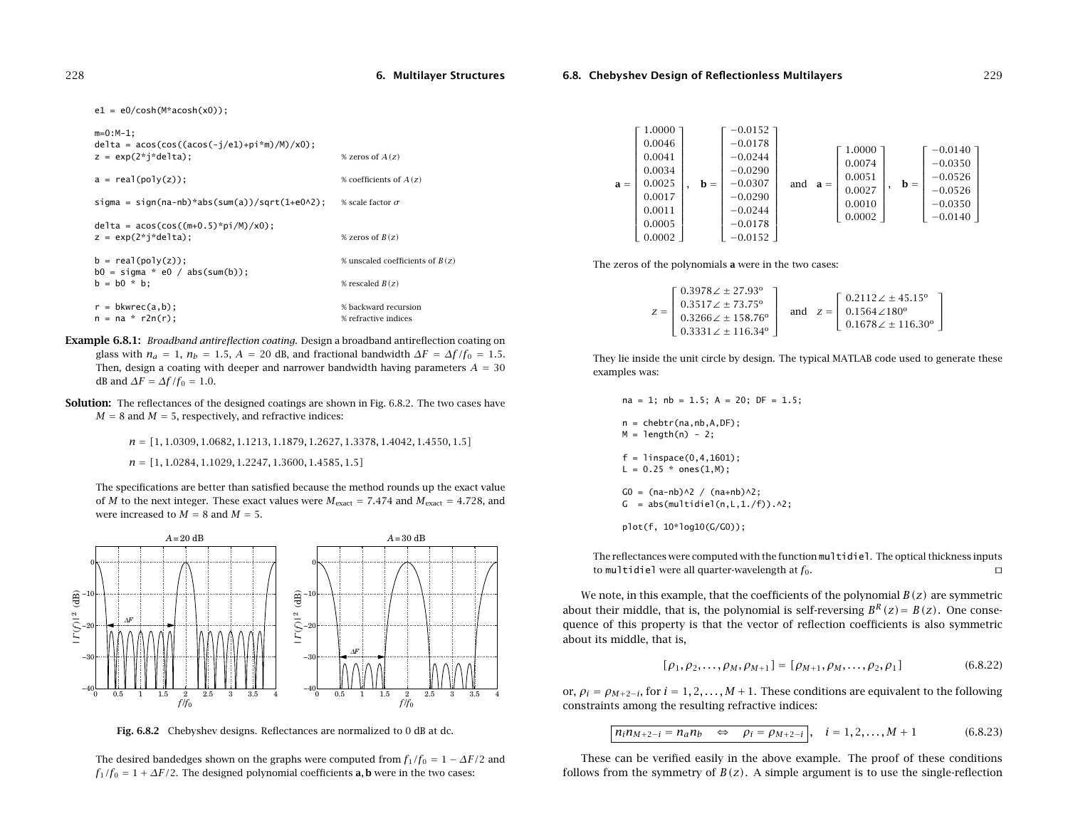$e1 = e0/cosh(M^*acosh(x0));$ 

| $m=0:M-1$ ;<br>delta = $acos(cos((acos(-j/e1)+pi*m)/M)/x0)$ ;<br>$z = exp(2 \cdot i \cdot de)$ : | % zeros of $A(z)$                            |
|--------------------------------------------------------------------------------------------------|----------------------------------------------|
| $a = real(poly(z))$ ;                                                                            | % coefficients of $A(z)$                     |
| sigma = sign(na-nb)*abs(sum(a))/sgrt(1+e0^2);                                                    | % scale factor $\sigma$                      |
| delta = $acos(cos((m+0.5)*pi/M)/x0)$ ;<br>$z = exp(2 \cdot i \cdot de \cdot d \cdot d)$ ;        | % zeros of $B(z)$                            |
| $b = real(poly(z))$ ;                                                                            | % unscaled coefficients of $B(z)$            |
| $b0 = \text{sigma} * e0 / abs(sum(b));$<br>$b = b0$ * b;                                         | % rescaled $B(z)$                            |
| $r =$ bkwrec(a,b);<br>$n = na * r2n(r)$ :                                                        | % backward recursion<br>% refractive indices |

- **Example 6.8.1:** Broadband antireflection coating. Design a broadband antireflection coating on glass with  $n_a = 1$ ,  $n_b = 1.5$ ,  $A = 20$  dB, and fractional bandwidth  $\Delta F = \Delta f/f_0 = 1.5$ . Then, design a coating with deeper and narrower bandwidth having parameters  $A = 30$ dB and  $\Delta F = \Delta f/f_0 = 1.0$ .
- **Solution:** The reflectances of the designed coatings are shown in Fig. 6.8.2. The two cases have  $M = 8$  and  $M = 5$ , respectively, and refractive indices:

n <sup>=</sup> [1, 1.0309, 1.0682, 1.1213, 1.1879, 1.2627, 1.3378, 1.4042, 1.4550, 1.5]

n <sup>=</sup> [1, 1.0284, 1.1029, 1.2247, 1.3600, 1.4585, 1.5]

The specifications are better than satisfied because the method rounds up the exact value of M to the next integer. These exact values were  $M_{\text{exact}} = 7.474$  and  $M_{\text{exact}} = 4.728$ , and were increased to  $M=8$  and  $M=5.$ 



**Fig. 6.8.2** Chebyshev designs. Reflectances are normalized to 0 dB at dc.

The desired bandedges shown on the graphs were computed from  $f_1/f_0 = 1 - \Delta F/2$  and  $f_1/f_0 = 1 + \Delta F/2.$  The designed polynomial coefficients  ${\bf a},{\bf b}$  were in the two cases:

#### **6.8. Chebyshev Design of Reflectionless Multilayers** 229



The zeros of the polynomials **<sup>a</sup>** were in the two cases:

$$
z = \begin{bmatrix} 0.3978\angle \pm 27.93^{\circ} \\ 0.3517\angle \pm 73.75^{\circ} \\ 0.3266\angle \pm 158.76^{\circ} \\ 0.3331\angle \pm 116.34^{\circ} \end{bmatrix} \text{ and } z = \begin{bmatrix} 0.2112\angle \pm 45.15^{\circ} \\ 0.1564\angle 180^{\circ} \\ 0.1678\angle \pm 116.30^{\circ} \end{bmatrix}
$$

They lie inside the unit circle by design. The typical MATLAB code used to generate these examples was:

$$
na = 1; nb = 1.5; A = 20; DF = 1.5;
$$
\n
$$
n = chebr(na, nb, A, DF);
$$
\n
$$
M = length(n) - 2;
$$
\n
$$
f = linspace(0, 4, 1601);
$$
\n
$$
L = 0.25 * ones(1, M);
$$
\n
$$
GO = (na-nb) \cdot 2 / (na+nb) \cdot 2;
$$
\n
$$
G = abs(multidi(n, L, 1. / f)). \cdot 2;
$$

plot(f, 10\*log10(G/G0));

The reflectances were computed with the function multidiel. The optical thickness inputs to multidiel were all quarter-wavelength at  $f_0$ .  $\hfill \Box$ 

We note, in this example, that the coefficients of the polynomial  $B(z)$  are symmetric about their middle, that is, the polynomial is self-reversing  $B<sup>R</sup>(z) = B(z)$ . One consequence of this property is that the vector of reflection coefficients is also symmetric about its middle, that is,

$$
[\rho_1, \rho_2, \dots, \rho_M, \rho_{M+1}] = [\rho_{M+1}, \rho_M, \dots, \rho_2, \rho_1]
$$
(6.8.22)

or,  $\rho_i = \rho_{M+2-i}$ , for  $i = 1, 2, ..., M+1$ . These conditions are equivalent to the following constraints among the resulting refractive indices:

$$
n_i n_{M+2-i} = n_a n_b \iff \rho_i = \rho_{M+2-i}, \quad i = 1, 2, ..., M+1
$$
 (6.8.23)

These can be verified easily in the above example. The proof of these conditions follows from the symmetry of  $B(z)$ . A simple argument is to use the single-reflection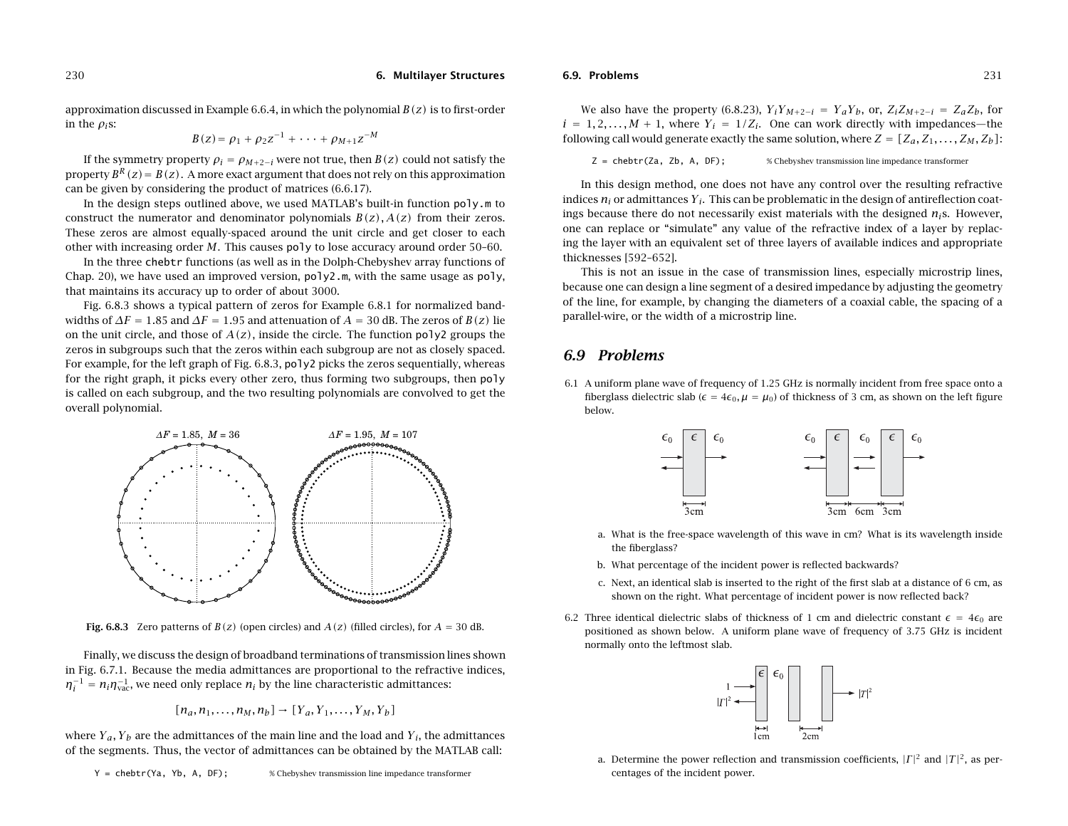approximation discussed in Example 6.6.4, in which the polynomial  $B(z)$  is to first-order in the  $\rho_i$ s:

$$
B(z) = \rho_1 + \rho_2 z^{-1} + \cdots + \rho_{M+1} z^{-M}
$$

If the symmetry property  $\rho_i = \rho_{M+2-i}$  were not true, then  $B(z)$  could not satisfy the property  $B^R(z) = B(z)$ . A more exact argument that does not rely on this approximation can be given by considering the product of matrices (6.6.17).

In the design steps outlined above, we used MATLAB's built-in function poly.m to construct the numerator and denominator polynomials  $B(z)$ ,  $A(z)$  from their zeros. These zeros are almost equally-spaced around the unit circle and get closer to each other with increasing order M. This causes poly to lose accuracy around order 50–60.

In the three chebtr functions (as well as in the Dolph-Chebyshev array functions of Chap. 20), we have used an improved version,  $poly2$ .m, with the same usage as  $poly$ , that maintains its accuracy up to order of about 3000.

Fig. 6.8.3 shows <sup>a</sup> typical pattern of zeros for Example 6.8.1 for normalized bandwidths of  $\Delta F = 1.85$  and  $\Delta F = 1.95$  and attenuation of  $A = 30$  dB. The zeros of  $B\left( z \right)$  lie on the unit circle, and those of  $A(z)$ , inside the circle. The function poly2 groups the zeros in subgroups such that the zeros within each subgroup are not as closely spaced. For example, for the left graph of Fig. 6.8.3, poly2 picks the zeros sequentially, whereas for the right graph, it picks every other zero, thus forming two subgroups, then poly is called on each subgroup, and the two resulting polynomials are convolved to get the overall polynomial.



**Fig.** 6.8.3 Zero patterns of  $B(z)$  (open circles) and  $A(z)$  (filled circles), for  $A = 30$  dB.

Finally, we discuss the design of broadband terminations of transmission lines shown in Fig. 6.7.1. Because the media admittances are proportional to the refractive indices,  $\eta_i^{-1} = n_i \eta_{\text{vac}}^{-1}$ , we need only replace  $n_i$  by the line characteristic admittances:

$$
[n_a, n_1, \ldots, n_M, n_b] \rightarrow [Y_a, Y_1, \ldots, Y_M, Y_b]
$$

where  $Y_a, Y_b$  are the admittances of the main line and the load and  $Y_i$ , the admittances of the segments. Thus, the vector of admittances can be obtained by the MATLAB call:

# **6.9. Problems**

We also have the property (6.8.23),  $Y_iY_{M+2-i} = Y_aY_b$ , or,  $Z_iZ_{M+2-i} = Z_aZ_b$ , for  $i = 1, 2, \ldots, M + 1$ , where  $Y_i = 1/Z_i$ . One can work directly with impedances—the following call would generate exactly the same solution, where  $Z = [Z_a, Z_1, \ldots, Z_M, Z_b]$ :

Z <sup>=</sup> chebtr(Za, Zb, A, DF); % Chebyshev transmission line impedance transformer

In this design method, one does not have any control over the resulting refractive indices  $n_i$  or admittances  $Y_i$ . This can be problematic in the design of antireflection coatings because there do not necessarily exist materials with the designed  $n_i$ s. However, one can replace or "simulate" any value of the refractive index of <sup>a</sup> layer by replacing the layer with an equivalent set of three layers of available indices and appropriate thicknesses [592–652].

This is not an issue in the case of transmission lines, especially microstrip lines, because one can design <sup>a</sup> line segment of <sup>a</sup> desired impedance by adjusting the geometry of the line, for example, by changing the diameters of <sup>a</sup> coaxial cable, the spacing of <sup>a</sup> parallel-wire, or the width of <sup>a</sup> microstrip line.

# **6.9 Problems**

6.1 A uniform plane wave of frequency of 1.25 GHz is normally incident from free space onto <sup>a</sup> fiberglass dielectric slab ( $\epsilon = 4\epsilon_0$ ,  $\mu = \mu_0$ ) of thickness of 3 cm, as shown on the left figure below.



- a. What is the free-space wavelength of this wave in cm? What is its wavelength inside the fiberglass?
- b. What percentage of the incident power is reflected backwards?
- c. Next, an identical slab is inserted to the right of the first slab at <sup>a</sup> distance of 6 cm, as shown on the right. What percentage of incident power is now reflected back?
- 6.2 Three identical dielectric slabs of thickness of 1 cm and dielectric constant  $\epsilon = 4\epsilon_0$  are positioned as shown below. A uniform plane wave of frequency of 3.75 GHz is incident normally onto the leftmost slab.



a. Determine the power reflection and transmission coefficients,  $|\Gamma|^2$  and  $|\Gamma|^2$ , as percentages of the incident power.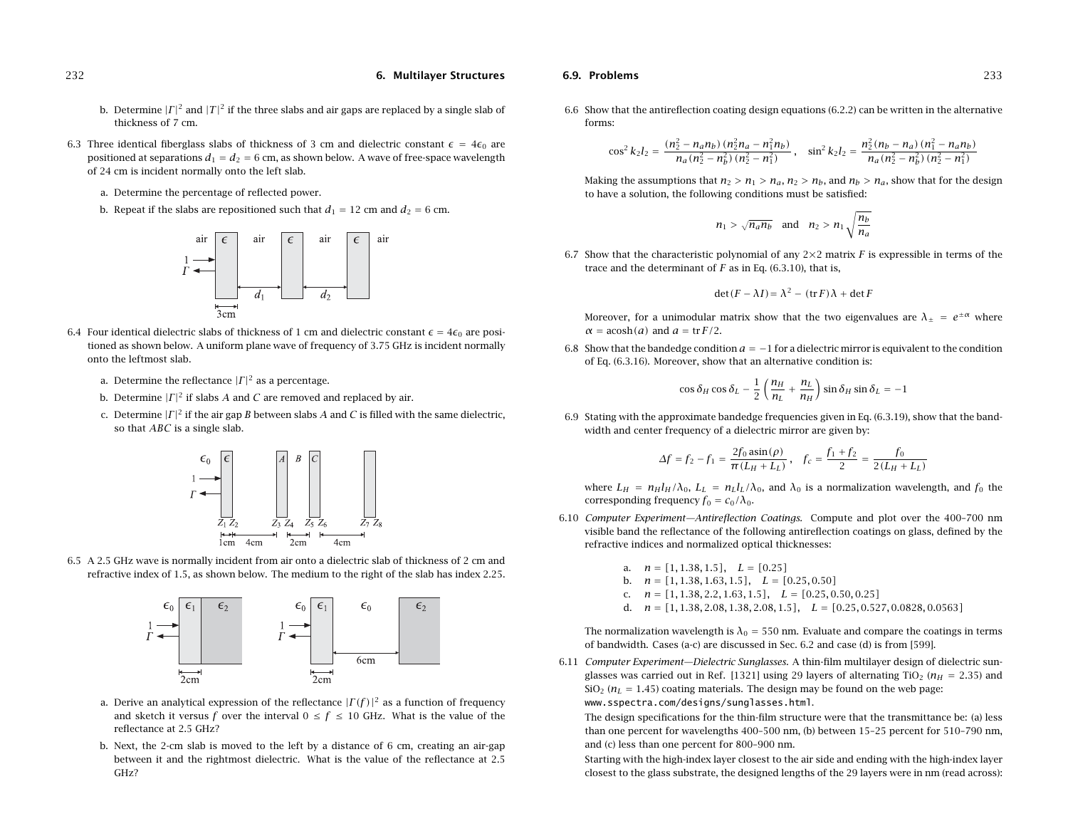- b. Determine  $|\Gamma|^2$  and  $|\Gamma|^2$  if the three slabs and air gaps are replaced by a single slab of thickness of 7 cm.
- 6.3 Three identical fiberglass slabs of thickness of 3 cm and dielectric constant  $\epsilon = 4\epsilon_0$  are positioned at separations  $d_1 = d_2 = 6$  cm, as shown below. A wave of free-space wavelength of 24 cm is incident normally onto the left slab.
	- a. Determine the percentage of reflected power.
	- b. Repeat if the slabs are repositioned such that  $d_1 = 12$  cm and  $d_2 = 6$  cm.



- 6.4 Four identical dielectric slabs of thickness of 1 cm and dielectric constant  $\epsilon = 4\epsilon_0$  are positioned as shown below. A uniform plane wave of frequency of 3.75 GHz is incident normally onto the leftmost slab.
	- a. Determine the reflectance  $|\varGamma|^2$  as a percentage.
	- b. Determine  $|\varGamma|^2$  if slabs A and C are removed and replaced by air.
	- c. Determine  $|\Gamma|^2$  if the air gap B between slabs A and C is filled with the same dielectric, so that  $ABC$  is a single slab.



6.5 A 2.5 GHz wave is normally incident from air onto <sup>a</sup> dielectric slab of thickness of 2 cm and refractive index of 1.5, as shown below. The medium to the right of the slab has index 2.25.



- a. Derive an analytical expression of the reflectance  $|\Gamma(f)|^2$  as a function of frequency and sketch it versus f over the interval  $0 \le f \le 10$  GHz. What is the value of the reflectance at 2.5 GHz?
- b. Next, the 2-cm slab is moved to the left by <sup>a</sup> distance of 6 cm, creating an air-gap between it and the rightmost dielectric. What is the value of the reflectance at 2.5 GHz?

# **6.9. Problems**

6.6 Show that the antireflection coating design equations (6.2.2) can be written in the alternative forms:

$$
\cos^2 k_2 l_2 = \frac{(n_2^2 - n_a n_b) (n_2^2 n_a - n_1^2 n_b)}{n_a (n_2^2 - n_b^2) (n_2^2 - n_1^2)} , \quad \sin^2 k_2 l_2 = \frac{n_2^2 (n_b - n_a) (n_1^2 - n_a n_b)}{n_a (n_2^2 - n_b^2) (n_2^2 - n_1^2)}
$$

Making the assumptions that  $n_2 > n_1 > n_a$ ,  $n_2 > n_b$ , and  $n_b > n_a$ , show that for the design to have <sup>a</sup> solution, the following conditions must be satisfied:

$$
n_1 > \sqrt{n_a n_b}
$$
 and  $n_2 > n_1 \sqrt{\frac{n_b}{n_a}}$ 

6.7 Show that the characteristic polynomial of any  $2\times 2$  matrix F is expressible in terms of the trace and the determinant of F as in Eq. (6.3.10), that is,

$$
\det(F - \lambda I) = \lambda^2 - (\operatorname{tr} F)\lambda + \det F
$$

Moreover, for a unimodular matrix show that the two eigenvalues are  $\lambda_\pm\ =\ e^{\pm\alpha}$  where  $\alpha = \operatorname{acosh}(a)$  and  $a = \operatorname{tr} F/2$ .

6.8 Show that the bandedge condition  $a = -1$  for a dielectric mirror is equivalent to the condition of Eq. (6.3.16). Moreover, show that an alternative condition is:

$$
\cos \delta_H \cos \delta_L - \frac{1}{2} \left( \frac{n_H}{n_L} + \frac{n_L}{n_H} \right) \sin \delta_H \sin \delta_L = -1
$$

6.9 Stating with the approximate bandedge frequencies given in Eq. (6.3.19), show that the bandwidth and center frequency of <sup>a</sup> dielectric mirror are given by:

$$
\Delta f = f_2 - f_1 = \frac{2f_0 \operatorname{asin}(\rho)}{\pi (L_H + L_L)}, \quad f_c = \frac{f_1 + f_2}{2} = \frac{f_0}{2(L_H + L_L)}
$$

where  $L_H = n_H l_H/\lambda_0$ ,  $L_L = n_L l_L/\lambda_0$ , and  $\lambda_0$  is a normalization wavelength, and  $f_0$  the corresponding frequency  $f_0 = c_0/\lambda_0$ .

- 6.10 Computer Experiment—Antireflection Coatings. Compute and plot over the 400–700 nm visible band the reflectance of the following antireflection coatings on glass, defined by the refractive indices and normalized optical thicknesses:
	- a.  $n = [1, 1.38, 1.5], L = [0.25]$
	- b.  $n = [1, 1.38, 1.63, 1.5], L = [0.25, 0.50]$
	- c.  $n = [1, 1.38, 2.2, 1.63, 1.5], L = [0.25, 0.50, 0.25]$
	- d.  $n = \{1, 1.38, 2.08, 1.38, 2.08, 1.5\}, L = \{0.25, 0.527, 0.0828, 0.0563\}$

The normalization wavelength is  $\lambda_0 = 550$  nm. Evaluate and compare the coatings in terms of bandwidth. Cases (a-c) are discussed in Sec. 6.2 and case (d) is from [599].

6.11 Computer Experiment—Dielectric Sunglasses. A thin-film multilayer design of dielectric sunglasses was carried out in Ref. [1321] using 29 layers of alternating TiO $_{2}$  ( $n_{H}$  = 2.35) and SiO<sub>2</sub> ( $n_L = 1.45$ ) coating materials. The design may be found on the web page: www.sspectra.com/designs/sunglasses.html.

The design specifications for the thin-film structure were that the transmittance be: (a) less than one percent for wavelengths 400–500 nm, (b) between 15–25 percent for 510–790 nm, and (c) less than one percent for 800–900 nm.

Starting with the high-index layer closest to the air side and ending with the high-index layer closest to the glass substrate, the designed lengths of the 29 layers were in nm (read across):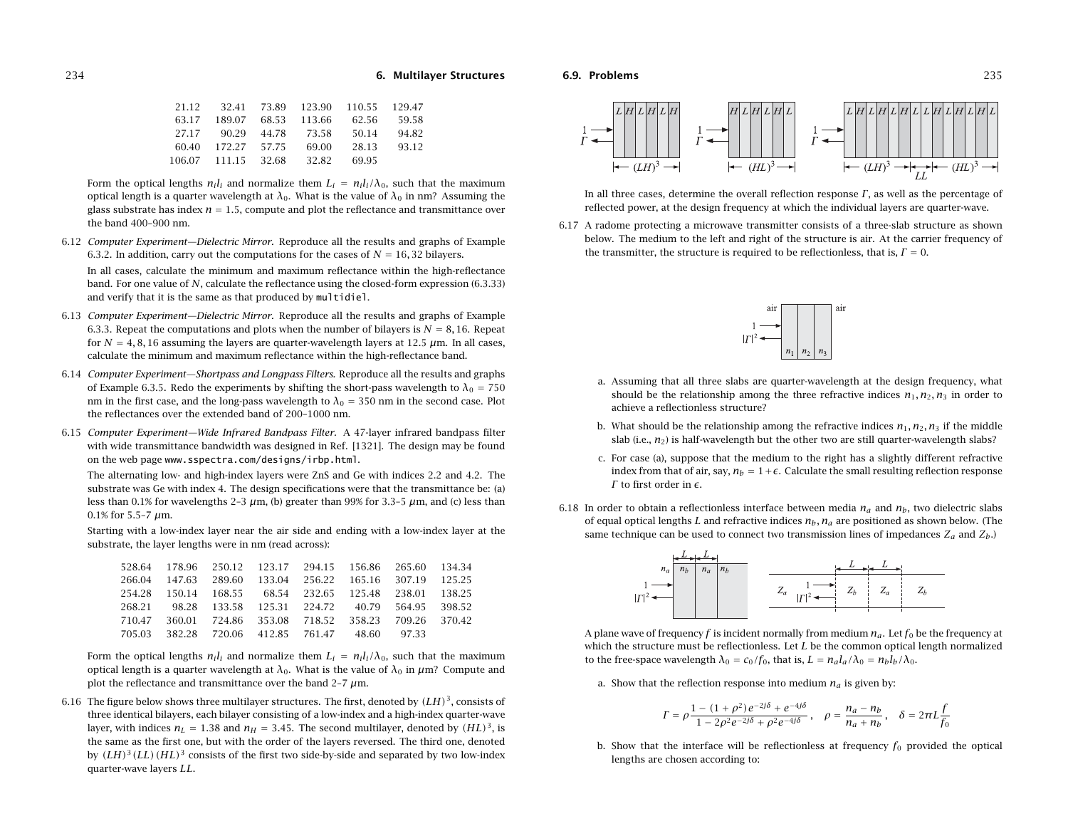| 21.12 |                     |       |                     | 32.41 73.89 123.90 110.55 | 129.47 |
|-------|---------------------|-------|---------------------|---------------------------|--------|
| 63.17 |                     |       | 189.07 68.53 113.66 | 62.56                     | 59.58  |
| 27.17 | 90.29               | 44.78 | 73.58               | 50.14                     | 94.82  |
| 60.40 | 172.27 57.75        |       | 69.00               | 28.13                     | 93.12  |
|       | 106.07 111.15 32.68 |       | 32.82               | 69.95                     |        |

Form the optical lengths  $n_i l_i$  and normalize them  $L_i = n_i l_i / \lambda_0$ , such that the maximum optical length is a quarter wavelength at  $\lambda_0.$  What is the value of  $\lambda_0$  in nm? Assuming the glass substrate has index  $n = 1.5$ , compute and plot the reflectance and transmittance over the band 400–900 nm.

- 6.12 Computer Experiment—Dielectric Mirror. Reproduce all the results and graphs of Example 6.3.2. In addition, carry out the computations for the cases of  $N = 16, 32$  bilayers. In all cases, calculate the minimum and maximum reflectance within the high-reflectance band. For one value of N, calculate the reflectance using the closed-form expression (6.3.33) and verify that it is the same as that produced by multidiel.
- 6.13 Computer Experiment—Dielectric Mirror. Reproduce all the results and graphs of Example 6.3.3. Repeat the computations and plots when the number of bilayers is  $N = 8, 16$ . Repeat for  $N=4,8,16$  assuming the layers are quarter-wavelength layers at 12.5  $\mu$ m. In all cases, calculate the minimum and maximum reflectance within the high-reflectance band.
- 6.14 Computer Experiment—Shortpass and Longpass Filters. Reproduce all the results and graphs of Example 6.3.5. Redo the experiments by shifting the short-pass wavelength to  $\lambda_0$  = 750 nm in the first case, and the long-pass wavelength to  $\lambda_0 = 350$  nm in the second case. Plot the reflectances over the extended band of 200–1000 nm.
- 6.15 Computer Experiment—Wide Infrared Bandpass Filter. A 47-layer infrared bandpass filter with wide transmittance bandwidth was designed in Ref. [1321]. The design may be found on the web page www.sspectra.com/designs/irbp.html.

The alternating low- and high-index layers were ZnS and Ge with indices 2.2 and 4.2. The substrate was Ge with index 4. The design specifications were that the transmittance be: (a) less than 0.1% for wavelengths 2-3  $\mu$ m, (b) greater than 99% for 3.3-5  $\mu$ m, and (c) less than 0.1% for 5.5-7  $\mu$ m.

Starting with <sup>a</sup> low-index layer near the air side and ending with <sup>a</sup> low-index layer at the substrate, the layer lengths were in nm (read across):

|  |  | 528.64 178.96 250.12 123.17 294.15 156.86 265.60 134.34 |  |  |
|--|--|---------------------------------------------------------|--|--|
|  |  | 266.04 147.63 289.60 133.04 256.22 165.16 307.19 125.25 |  |  |
|  |  | 254.28 150.14 168.55 68.54 232.65 125.48 238.01 138.25  |  |  |
|  |  | 268.21 98.28 133.58 125.31 224.72 40.79 564.95 398.52   |  |  |
|  |  | 710.47 360.01 724.86 353.08 718.52 358.23 709.26 370.42 |  |  |
|  |  | 705.03 382.28 720.06 412.85 761.47 48.60 97.33          |  |  |

Form the optical lengths  $n_i l_i$  and normalize them  $L_i = n_i l_i / \lambda_0$ , such that the maximum optical length is a quarter wavelength at  $\lambda_0.$  What is the value of  $\lambda_0$  in  $\mu$ m? Compute and plot the reflectance and transmittance over the band  $2-7 \mu m$ .

6.16 The figure below shows three multilayer structures. The first, denoted by  $(LH)^3$ , consists of three identical bilayers, each bilayer consisting of <sup>a</sup> low-index and <sup>a</sup> high-index quarter-wave layer, with indices  $n_L = 1.38$  and  $n_H = 3.45$ . The second multilayer, denoted by  $(HL)^3$ , is the same as the first one, but with the order of the layers reversed. The third one, denoted by  $(LH)^3(LL)$  (HL)<sup>3</sup> consists of the first two side-by-side and separated by two low-index quarter-wave layers LL.

# **6.9. Problems**



In all three cases, determine the overall reflection response  $\Gamma$ , as well as the percentage of reflected power, at the design frequency at which the individual layers are quarter-wave.

6.17 A radome protecting <sup>a</sup> microwave transmitter consists of <sup>a</sup> three-slab structure as shown below. The medium to the left and right of the structure is air. At the carrier frequency of the transmitter, the structure is required to be reflectionless, that is,  $\Gamma = 0$ .



- a. Assuming that all three slabs are quarter-wavelength at the design frequency, what should be the relationship among the three refractive indices  $n_1, n_2, n_3$  in order to achieve <sup>a</sup> reflectionless structure?
- b. What should be the relationship among the refractive indices  $n_1, n_2, n_3$  if the middle slab (i.e.,  $n_2$ ) is half-wavelength but the other two are still quarter-wavelength slabs?
- c. For case (a), suppose that the medium to the right has <sup>a</sup> slightly different refractive index from that of air, say,  $n_b = 1+\epsilon.$  Calculate the small resulting reflection response  $\varGamma$  to first order in  $\epsilon.$
- 6.18 In order to obtain a reflectionless interface between media  $n_a$  and  $n_b$ , two dielectric slabs of equal optical lengths  $L$  and refractive indices  $n_b, n_a$  are positioned as shown below. (The same technique can be used to connect two transmission lines of impedances  $Z_a$  and  $Z_b$ .)



A plane wave of frequency  $f$  is incident normally from medium  $n_a.$  Let  $f_0$  be the frequency at which the structure must be reflectionless. Let L be the common optical length normalized to the free-space wavelength  $\lambda_0 = c_0/f_0$ , that is,  $L = n_a l_a/\lambda_0 = n_b l_b/\lambda_0$ .

a. Show that the reflection response into medium  $n_a$  is given by:

$$
\Gamma = \rho \frac{1 - (1 + \rho^2)e^{-2j\delta} + e^{-4j\delta}}{1 - 2\rho^2 e^{-2j\delta} + \rho^2 e^{-4j\delta}}, \quad \rho = \frac{n_a - n_b}{n_a + n_b}, \quad \delta = 2\pi L \frac{f}{f_0}
$$

b. Show that the interface will be reflectionless at frequency  $f_0$  provided the optical lengths are chosen according to: